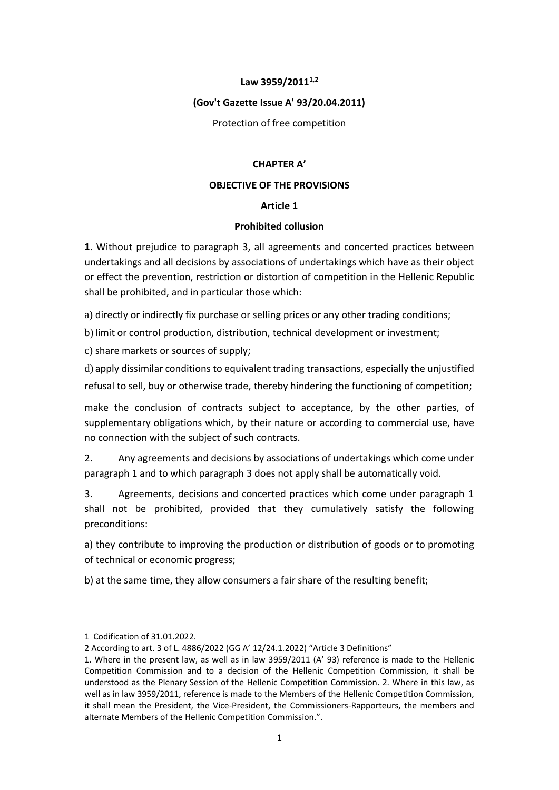#### **Law 3959/20111,2**

#### **(Gov't Gazette Issue A' 93/20.04.2011)**

Protection of free competition

#### **CHAPTER A'**

#### **OBJECTIVE OF THE PROVISIONS**

## **Article 1**

#### **Prohibited collusion**

**1**. Without prejudice to paragraph 3, all agreements and concerted practices between undertakings and all decisions by associations of undertakings which have as their object or effect the prevention, restriction or distortion of competition in the Hellenic Republic shall be prohibited, and in particular those which:

a) directly or indirectly fix purchase or selling prices or any other trading conditions;

b) limit or control production, distribution, technical development or investment;

c) share markets or sources of supply;

d) apply dissimilar conditions to equivalent trading transactions, especially the unjustified refusal to sell, buy or otherwise trade, thereby hindering the functioning of competition;

make the conclusion of contracts subject to acceptance, by the other parties, of supplementary obligations which, by their nature or according to commercial use, have no connection with the subject of such contracts.

2. Any agreements and decisions by associations of undertakings which come under paragraph 1 and to which paragraph 3 does not apply shall be automatically void.

3. Agreements, decisions and concerted practices which come under paragraph 1 shall not be prohibited, provided that they cumulatively satisfy the following preconditions:

a) they contribute to improving the production or distribution of goods or to promoting of technical or economic progress;

b) at the same time, they allow consumers a fair share of the resulting benefit;

<sup>1</sup> Codification of 31.01.2022.

<sup>2</sup> According to art. 3 of L. 4886/2022 (GG A' 12/24.1.2022) "Article 3 Definitions"

<sup>1.</sup> Where in the present law, as well as in law 3959/2011 (A' 93) reference is made to the Hellenic Competition Commission and to a decision of the Hellenic Competition Commission, it shall be understood as the Plenary Session of the Hellenic Competition Commission. 2. Where in this law, as well as in law 3959/2011, reference is made to the Members of the Hellenic Competition Commission, it shall mean the President, the Vice-President, the Commissioners-Rapporteurs, the members and alternate Members of the Hellenic Competition Commission.".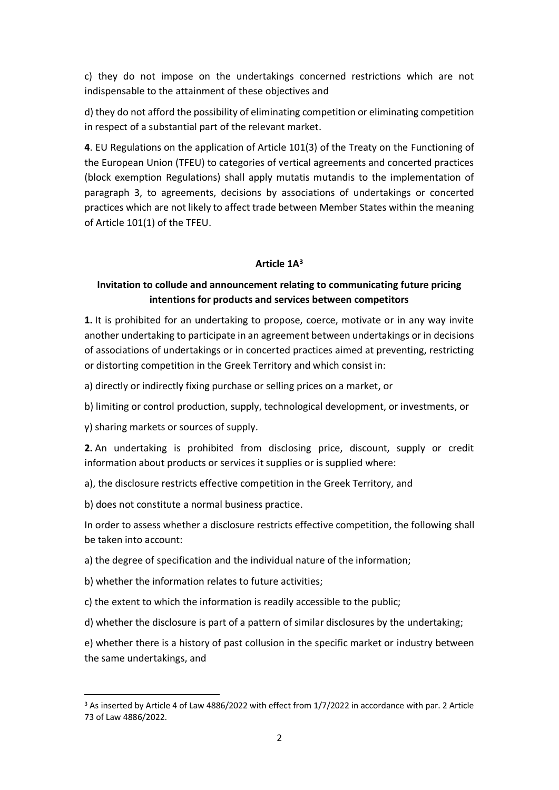c) they do not impose on the undertakings concerned restrictions which are not indispensable to the attainment of these objectives and

d) they do not afford the possibility of eliminating competition or eliminating competition in respect of a substantial part of the relevant market.

**4**. EU Regulations on the application of Article 101(3) of the Treaty on the Functioning of the European Union (TFEU) to categories of vertical agreements and concerted practices (block exemption Regulations) shall apply mutatis mutandis to the implementation of paragraph 3, to agreements, decisions by associations of undertakings or concerted practices which are not likely to affect trade between Member States within the meaning of Article 101(1) of the TFEU.

## **Article 1A 3**

# **Invitation to collude and announcement relating to communicating future pricing intentions for products and services between competitors**

**1.** It is prohibited for an undertaking to propose, coerce, motivate or in any way invite another undertaking to participate in an agreement between undertakings or in decisions of associations of undertakings or in concerted practices aimed at preventing, restricting or distorting competition in the Greek Territory and which consist in:

- a) directly or indirectly fixing purchase or selling prices on a market, or
- b) limiting or control production, supply, technological development, or investments, or
- γ) sharing markets or sources of supply.

**2.** An undertaking is prohibited from disclosing price, discount, supply or credit information about products or services it supplies or is supplied where:

- a), the disclosure restricts effective competition in the Greek Territory, and
- b) does not constitute a normal business practice.

In order to assess whether a disclosure restricts effective competition, the following shall be taken into account:

a) the degree of specification and the individual nature of the information;

- b) whether the information relates to future activities;
- c) the extent to which the information is readily accessible to the public;
- d) whether the disclosure is part of a pattern of similar disclosures by the undertaking;

e) whether there is a history of past collusion in the specific market or industry between the same undertakings, and

<sup>3</sup> As inserted by Article 4 of Law 4886/2022 with effect from 1/7/2022 in accordance with par. 2 Article 73 of Law 4886/2022.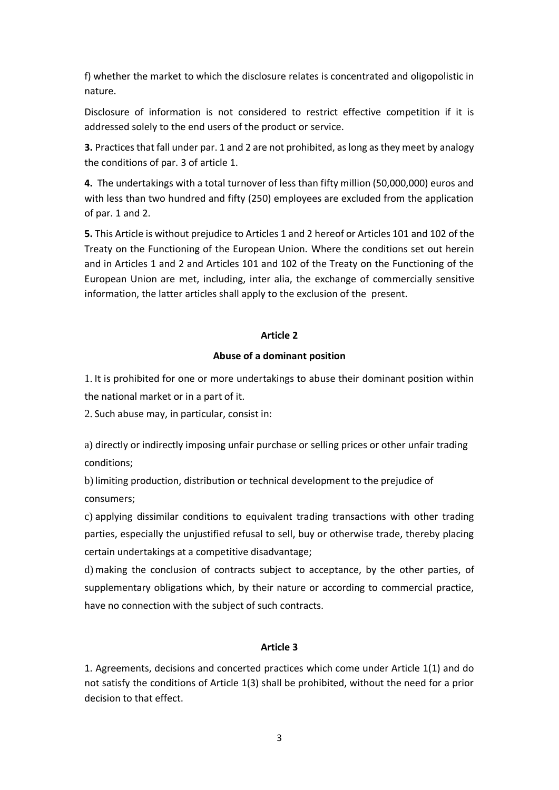f) whether the market to which the disclosure relates is concentrated and oligopolistic in nature.

Disclosure of information is not considered to restrict effective competition if it is addressed solely to the end users of the product or service.

**3.** Practices that fall under par. 1 and 2 are not prohibited, as long as they meet by analogy the conditions of par. 3 of article 1.

**4.** The undertakings with a total turnover of less than fifty million (50,000,000) euros and with less than two hundred and fifty (250) employees are excluded from the application of par. 1 and 2.

**5.** This Article is without prejudice to Articles 1 and 2 hereof or Articles 101 and 102 of the Treaty on the Functioning of the European Union. Where the conditions set out herein and in Articles 1 and 2 and Articles 101 and 102 of the Treaty on the Functioning of the European Union are met, including, inter alia, the exchange of commercially sensitive information, the latter articles shall apply to the exclusion of the present.

## **Article 2**

## **Abuse of a dominant position**

1. It is prohibited for one or more undertakings to abuse their dominant position within the national market or in a part of it.

2. Such abuse may, in particular, consist in:

a) directly or indirectly imposing unfair purchase or selling prices or other unfair trading conditions;

b) limiting production, distribution or technical development to the prejudice of consumers;

c) applying dissimilar conditions to equivalent trading transactions with other trading parties, especially the unjustified refusal to sell, buy or otherwise trade, thereby placing certain undertakings at a competitive disadvantage;

d) making the conclusion of contracts subject to acceptance, by the other parties, of supplementary obligations which, by their nature or according to commercial practice, have no connection with the subject of such contracts.

## **Article 3**

1. Agreements, decisions and concerted practices which come under Article 1(1) and do not satisfy the conditions of Article 1(3) shall be prohibited, without the need for a prior decision to that effect.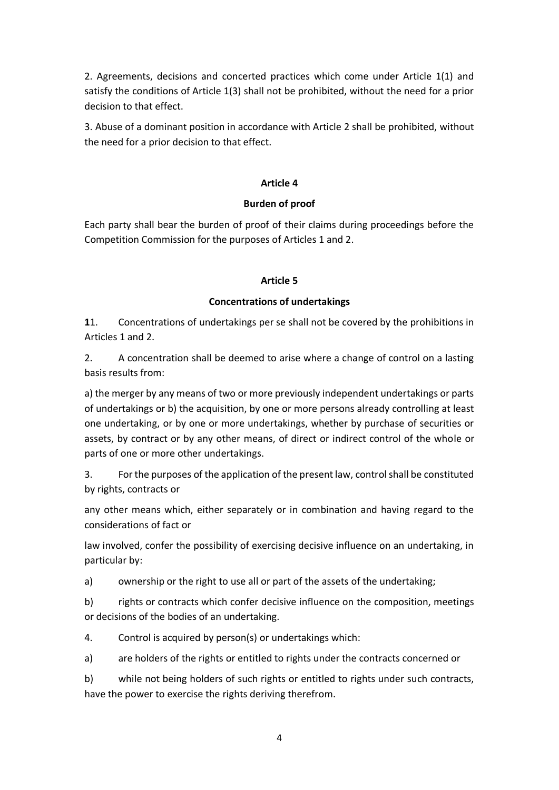2. Agreements, decisions and concerted practices which come under Article 1(1) and satisfy the conditions of Article 1(3) shall not be prohibited, without the need for a prior decision to that effect.

3. Abuse of a dominant position in accordance with Article 2 shall be prohibited, without the need for a prior decision to that effect.

# **Article 4**

# **Burden of proof**

Each party shall bear the burden of proof of their claims during proceedings before the Competition Commission for the purposes of Articles 1 and 2.

# **Article 5**

## **Concentrations of undertakings**

**1**1. Concentrations of undertakings per se shall not be covered by the prohibitions in Articles 1 and 2.

2. A concentration shall be deemed to arise where a change of control on a lasting basis results from:

a) the merger by any means of two or more previously independent undertakings or parts of undertakings or b) the acquisition, by one or more persons already controlling at least one undertaking, or by one or more undertakings, whether by purchase of securities or assets, by contract or by any other means, of direct or indirect control of the whole or parts of one or more other undertakings.

3. For the purposes of the application of the present law, control shall be constituted by rights, contracts or

any other means which, either separately or in combination and having regard to the considerations of fact or

law involved, confer the possibility of exercising decisive influence on an undertaking, in particular by:

a) ownership or the right to use all or part of the assets of the undertaking;

b) rights or contracts which confer decisive influence on the composition, meetings or decisions of the bodies of an undertaking.

4. Control is acquired by person(s) or undertakings which:

a) are holders of the rights or entitled to rights under the contracts concerned or

b) while not being holders of such rights or entitled to rights under such contracts, have the power to exercise the rights deriving therefrom.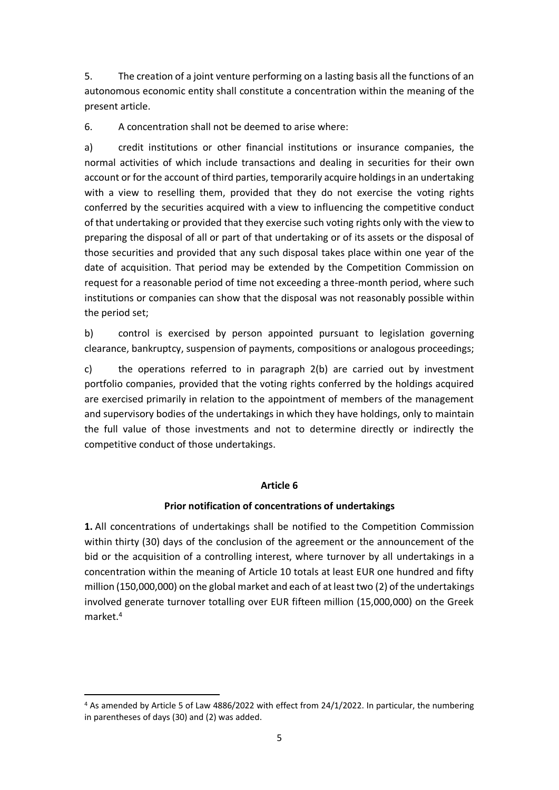5. The creation of a joint venture performing on a lasting basis all the functions of an autonomous economic entity shall constitute a concentration within the meaning of the present article.

6. A concentration shall not be deemed to arise where:

a) credit institutions or other financial institutions or insurance companies, the normal activities of which include transactions and dealing in securities for their own account or for the account of third parties, temporarily acquire holdings in an undertaking with a view to reselling them, provided that they do not exercise the voting rights conferred by the securities acquired with a view to influencing the competitive conduct of that undertaking or provided that they exercise such voting rights only with the view to preparing the disposal of all or part of that undertaking or of its assets or the disposal of those securities and provided that any such disposal takes place within one year of the date of acquisition. That period may be extended by the Competition Commission on request for a reasonable period of time not exceeding a three-month period, where such institutions or companies can show that the disposal was not reasonably possible within the period set;

b) control is exercised by person appointed pursuant to legislation governing clearance, bankruptcy, suspension of payments, compositions or analogous proceedings;

c) the operations referred to in paragraph 2(b) are carried out by investment portfolio companies, provided that the voting rights conferred by the holdings acquired are exercised primarily in relation to the appointment of members of the management and supervisory bodies of the undertakings in which they have holdings, only to maintain the full value of those investments and not to determine directly or indirectly the competitive conduct of those undertakings.

## **Article 6**

## **Prior notification of concentrations of undertakings**

**1.** All concentrations of undertakings shall be notified to the Competition Commission within thirty (30) days of the conclusion of the agreement or the announcement of the bid or the acquisition of a controlling interest, where turnover by all undertakings in a concentration within the meaning of Article 10 totals at least EUR one hundred and fifty million (150,000,000) on the global market and each of at least two (2) of the undertakings involved generate turnover totalling over EUR fifteen million (15,000,000) on the Greek market.<sup>4</sup>

<sup>4</sup> As amended by Article 5 of Law 4886/2022 with effect from 24/1/2022. In particular, the numbering in parentheses of days (30) and (2) was added.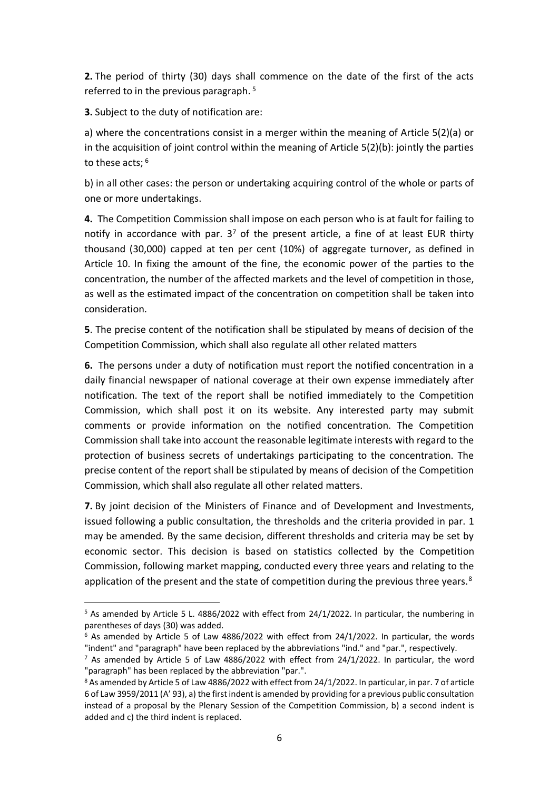**2.** The period of thirty (30) days shall commence on the date of the first of the acts referred to in the previous paragraph. 5

**3.** Subject to the duty of notification are:

a) where the concentrations consist in a merger within the meaning of Article 5(2)(a) or in the acquisition of joint control within the meaning of Article 5(2)(b): jointly the parties to these acts; <sup>6</sup>

b) in all other cases: the person or undertaking acquiring control of the whole or parts of one or more undertakings.

**4.** The Competition Commission shall impose on each person who is at fault for failing to notify in accordance with par.  $3<sup>7</sup>$  of the present article, a fine of at least EUR thirty thousand (30,000) capped at ten per cent (10%) of aggregate turnover, as defined in Article 10. In fixing the amount of the fine, the economic power of the parties to the concentration, the number of the affected markets and the level of competition in those, as well as the estimated impact of the concentration on competition shall be taken into consideration.

**5**. The precise content of the notification shall be stipulated by means of decision of the Competition Commission, which shall also regulate all other related matters

**6.** The persons under a duty of notification must report the notified concentration in a daily financial newspaper of national coverage at their own expense immediately after notification. The text of the report shall be notified immediately to the Competition Commission, which shall post it on its website. Any interested party may submit comments or provide information on the notified concentration. The Competition Commission shall take into account the reasonable legitimate interests with regard to the protection of business secrets of undertakings participating to the concentration. The precise content of the report shall be stipulated by means of decision of the Competition Commission, which shall also regulate all other related matters.

**7.** By joint decision of the Ministers of Finance and of Development and Investments, issued following a public consultation, the thresholds and the criteria provided in par. 1 may be amended. By the same decision, different thresholds and criteria may be set by economic sector. This decision is based on statistics collected by the Competition Commission, following market mapping, conducted every three years and relating to the application of the present and the state of competition during the previous three years.<sup>8</sup>

<sup>5</sup> As amended by Article 5 L. 4886/2022 with effect from 24/1/2022. In particular, the numbering in parentheses of days (30) was added.

 $6$  As amended by Article 5 of Law 4886/2022 with effect from 24/1/2022. In particular, the words "indent" and "paragraph" have been replaced by the abbreviations "ind." and "par.", respectively.

 $7$  As amended by Article 5 of Law 4886/2022 with effect from 24/1/2022. In particular, the word "paragraph" has been replaced by the abbreviation "par.".

<sup>&</sup>lt;sup>8</sup> As amended by Article 5 of Law 4886/2022 with effect from 24/1/2022. In particular, in par. 7 of article 6 of Law 3959/2011 (A' 93), a) the first indent is amended by providing for a previous public consultation instead of a proposal by the Plenary Session of the Competition Commission, b) a second indent is added and c) the third indent is replaced.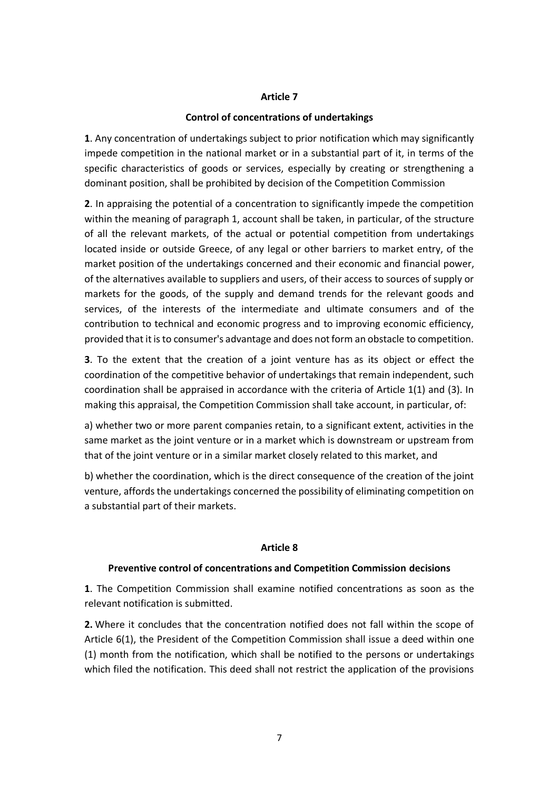#### **Article 7**

### **Control of concentrations of undertakings**

**1**. Any concentration of undertakings subject to prior notification which may significantly impede competition in the national market or in a substantial part of it, in terms of the specific characteristics of goods or services, especially by creating or strengthening a dominant position, shall be prohibited by decision of the Competition Commission

**2**. In appraising the potential of a concentration to significantly impede the competition within the meaning of paragraph 1, account shall be taken, in particular, of the structure of all the relevant markets, of the actual or potential competition from undertakings located inside or outside Greece, of any legal or other barriers to market entry, of the market position of the undertakings concerned and their economic and financial power, of the alternatives available to suppliers and users, of their access to sources of supply or markets for the goods, of the supply and demand trends for the relevant goods and services, of the interests of the intermediate and ultimate consumers and of the contribution to technical and economic progress and to improving economic efficiency, provided that it is to consumer's advantage and does not form an obstacle to competition.

**3**. To the extent that the creation of a joint venture has as its object or effect the coordination of the competitive behavior of undertakings that remain independent, such coordination shall be appraised in accordance with the criteria of Article 1(1) and (3). In making this appraisal, the Competition Commission shall take account, in particular, of:

a) whether two or more parent companies retain, to a significant extent, activities in the same market as the joint venture or in a market which is downstream or upstream from that of the joint venture or in a similar market closely related to this market, and

b) whether the coordination, which is the direct consequence of the creation of the joint venture, affords the undertakings concerned the possibility of eliminating competition on a substantial part of their markets.

#### **Article 8**

## **Preventive control of concentrations and Competition Commission decisions**

**1**. The Competition Commission shall examine notified concentrations as soon as the relevant notification is submitted.

**2.** Where it concludes that the concentration notified does not fall within the scope of Article 6(1), the President of the Competition Commission shall issue a deed within one (1) month from the notification, which shall be notified to the persons or undertakings which filed the notification. This deed shall not restrict the application of the provisions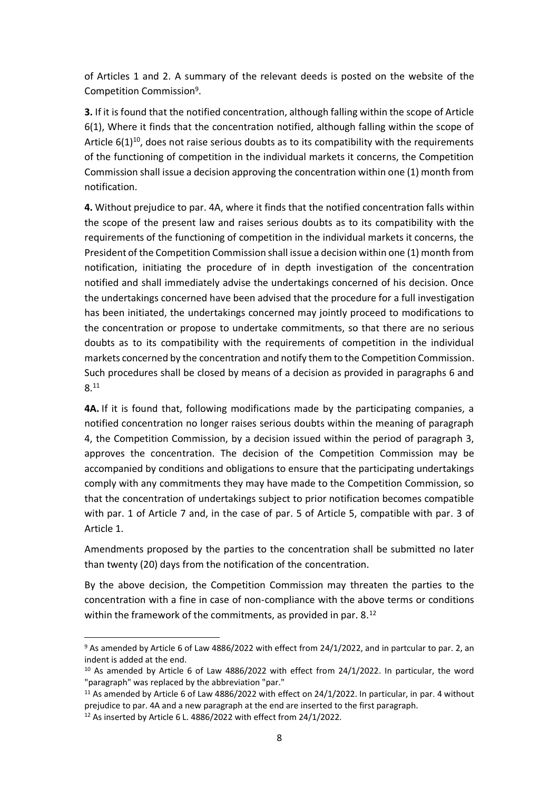of Articles 1 and 2. A summary of the relevant deeds is posted on the website of the Competition Commission<sup>9</sup> .

**3.** If it is found that the notified concentration, although falling within the scope of Article 6(1), Where it finds that the concentration notified, although falling within the scope of Article  $6(1)^{10}$ , does not raise serious doubts as to its compatibility with the requirements of the functioning of competition in the individual markets it concerns, the Competition Commission shall issue a decision approving the concentration within one (1) month from notification.

**4.** Without prejudice to par. 4A, where it finds that the notified concentration falls within the scope of the present law and raises serious doubts as to its compatibility with the requirements of the functioning of competition in the individual markets it concerns, the President of the Competition Commission shall issue a decision within one (1) month from notification, initiating the procedure of in depth investigation of the concentration notified and shall immediately advise the undertakings concerned of his decision. Once the undertakings concerned have been advised that the procedure for a full investigation has been initiated, the undertakings concerned may jointly proceed to modifications to the concentration or propose to undertake commitments, so that there are no serious doubts as to its compatibility with the requirements of competition in the individual markets concerned by the concentration and notify them to the Competition Commission. Such procedures shall be closed by means of a decision as provided in paragraphs 6 and 8. 11

**4Α.** If it is found that, following modifications made by the participating companies, a notified concentration no longer raises serious doubts within the meaning of paragraph 4, the Competition Commission, by a decision issued within the period of paragraph 3, approves the concentration. The decision of the Competition Commission may be accompanied by conditions and obligations to ensure that the participating undertakings comply with any commitments they may have made to the Competition Commission, so that the concentration of undertakings subject to prior notification becomes compatible with par. 1 of Article 7 and, in the case of par. 5 of Article 5, compatible with par. 3 of Article 1.

Amendments proposed by the parties to the concentration shall be submitted no later than twenty (20) days from the notification of the concentration.

By the above decision, the Competition Commission may threaten the parties to the concentration with a fine in case of non-compliance with the above terms or conditions within the framework of the commitments, as provided in par. 8.<sup>12</sup>

<sup>&</sup>lt;sup>9</sup> As amended by Article 6 of Law 4886/2022 with effect from 24/1/2022, and in partcular to par. 2, an indent is added at the end.

 $10$  As amended by Article 6 of Law 4886/2022 with effect from 24/1/2022. In particular, the word "paragraph" was replaced by the abbreviation "par."

<sup>&</sup>lt;sup>11</sup> As amended by Article 6 of Law 4886/2022 with effect on 24/1/2022. In particular, in par. 4 without prejudice to par. 4A and a new paragraph at the end are inserted to the first paragraph.

 $12$  As inserted by Article 6 L. 4886/2022 with effect from 24/1/2022.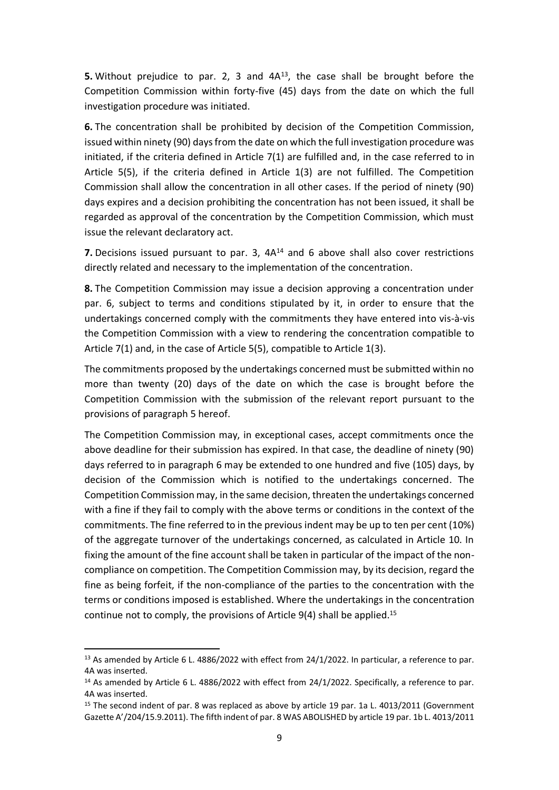**5.** Without prejudice to par. 2, 3 and 4A<sup>13</sup>, the case shall be brought before the Competition Commission within forty-five (45) days from the date on which the full investigation procedure was initiated.

**6.** The concentration shall be prohibited by decision of the Competition Commission, issued within ninety (90) days from the date on which the full investigation procedure was initiated, if the criteria defined in Article 7(1) are fulfilled and, in the case referred to in Article 5(5), if the criteria defined in Article 1(3) are not fulfilled. The Competition Commission shall allow the concentration in all other cases. If the period of ninety (90) days expires and a decision prohibiting the concentration has not been issued, it shall be regarded as approval of the concentration by the Competition Commission, which must issue the relevant declaratory act.

**7.** Decisions issued pursuant to par. 3, 4A<sup>14</sup> and 6 above shall also cover restrictions directly related and necessary to the implementation of the concentration.

**8.** The Competition Commission may issue a decision approving a concentration under par. 6, subject to terms and conditions stipulated by it, in order to ensure that the undertakings concerned comply with the commitments they have entered into vis-à-vis the Competition Commission with a view to rendering the concentration compatible to Article 7(1) and, in the case of Article 5(5), compatible to Article 1(3).

The commitments proposed by the undertakings concerned must be submitted within no more than twenty (20) days of the date on which the case is brought before the Competition Commission with the submission of the relevant report pursuant to the provisions of paragraph 5 hereof.

The Competition Commission may, in exceptional cases, accept commitments once the above deadline for their submission has expired. In that case, the deadline of ninety (90) days referred to in paragraph 6 may be extended to one hundred and five (105) days, by decision of the Commission which is notified to the undertakings concerned. The Competition Commission may, in the same decision, threaten the undertakings concerned with a fine if they fail to comply with the above terms or conditions in the context of the commitments. The fine referred to in the previous indent may be up to ten per cent (10%) of the aggregate turnover of the undertakings concerned, as calculated in Article 10. In fixing the amount of the fine account shall be taken in particular of the impact of the noncompliance on competition. The Competition Commission may, by its decision, regard the fine as being forfeit, if the non-compliance of the parties to the concentration with the terms or conditions imposed is established. Where the undertakings in the concentration continue not to comply, the provisions of Article 9(4) shall be applied. 15

<sup>&</sup>lt;sup>13</sup> As amended by Article 6 L. 4886/2022 with effect from 24/1/2022. In particular, a reference to par. 4A was inserted.

<sup>&</sup>lt;sup>14</sup> As amended by Article 6 L. 4886/2022 with effect from 24/1/2022. Specifically, a reference to par. 4A was inserted.

<sup>&</sup>lt;sup>15</sup> The second indent of par. 8 was replaced as above by article 19 par. 1a L. 4013/2011 (Government Gazette A'/204/15.9.2011). The fifth indent of par. 8 WAS ABOLISHED by article 19 par. 1b L. 4013/2011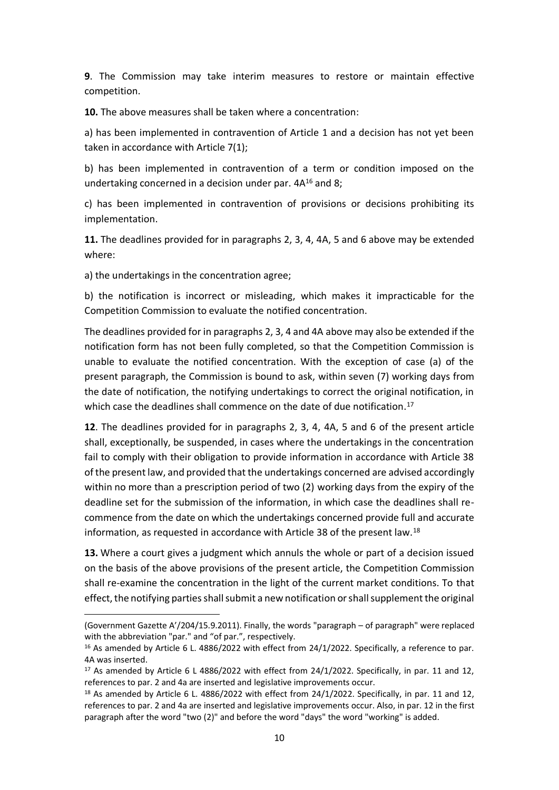**9**. The Commission may take interim measures to restore or maintain effective competition.

**10.** The above measures shall be taken where a concentration:

a) has been implemented in contravention of Article 1 and a decision has not yet been taken in accordance with Article 7(1);

b) has been implemented in contravention of a term or condition imposed on the undertaking concerned in a decision under par. 4A<sup>16</sup> and 8;

c) has been implemented in contravention of provisions or decisions prohibiting its implementation.

**11.** The deadlines provided for in paragraphs 2, 3, 4, 4A, 5 and 6 above may be extended where:

a) the undertakings in the concentration agree;

b) the notification is incorrect or misleading, which makes it impracticable for the Competition Commission to evaluate the notified concentration.

The deadlines provided for in paragraphs 2, 3, 4 and 4A above may also be extended if the notification form has not been fully completed, so that the Competition Commission is unable to evaluate the notified concentration. With the exception of case (a) of the present paragraph, the Commission is bound to ask, within seven (7) working days from the date of notification, the notifying undertakings to correct the original notification, in which case the deadlines shall commence on the date of due notification.<sup>17</sup>

**12**. The deadlines provided for in paragraphs 2, 3, 4, 4Α, 5 and 6 of the present article shall, exceptionally, be suspended, in cases where the undertakings in the concentration fail to comply with their obligation to provide information in accordance with Article 38 of the present law, and provided that the undertakings concerned are advised accordingly within no more than a prescription period of two (2) working days from the expiry of the deadline set for the submission of the information, in which case the deadlines shall recommence from the date on which the undertakings concerned provide full and accurate information, as requested in accordance with Article 38 of the present law.<sup>18</sup>

**13.** Where a court gives a judgment which annuls the whole or part of a decision issued on the basis of the above provisions of the present article, the Competition Commission shall re-examine the concentration in the light of the current market conditions. To that effect, the notifying parties shall submit a new notification or shall supplement the original

<sup>(</sup>Government Gazette A'/204/15.9.2011). Finally, the words "paragraph – of paragraph" were replaced with the abbreviation "par." and "of par.", respectively.

<sup>&</sup>lt;sup>16</sup> As amended by Article 6 L. 4886/2022 with effect from 24/1/2022. Specifically, a reference to par. 4A was inserted.

 $17$  As amended by Article 6 L 4886/2022 with effect from 24/1/2022. Specifically, in par. 11 and 12, references to par. 2 and 4a are inserted and legislative improvements occur.

 $18$  As amended by Article 6 L. 4886/2022 with effect from 24/1/2022. Specifically, in par. 11 and 12, references to par. 2 and 4a are inserted and legislative improvements occur. Also, in par. 12 in the first paragraph after the word "two (2)" and before the word "days" the word "working" is added.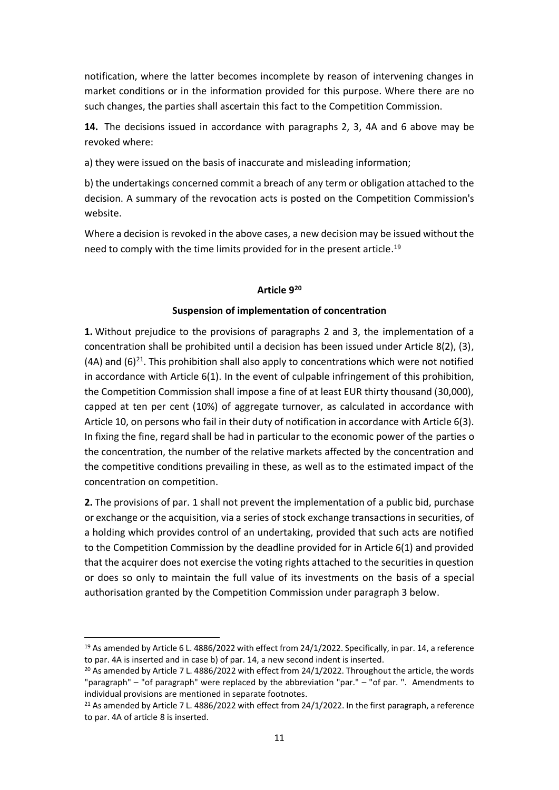notification, where the latter becomes incomplete by reason of intervening changes in market conditions or in the information provided for this purpose. Where there are no such changes, the parties shall ascertain this fact to the Competition Commission.

**14.** The decisions issued in accordance with paragraphs 2, 3, 4A and 6 above may be revoked where:

a) they were issued on the basis of inaccurate and misleading information;

b) the undertakings concerned commit a breach of any term or obligation attached to the decision. A summary of the revocation acts is posted on the Competition Commission's website.

Where a decision is revoked in the above cases, a new decision may be issued without the need to comply with the time limits provided for in the present article.<sup>19</sup>

# **Article 9 20**

# **Suspension of implementation of concentration**

**1.** Without prejudice to the provisions of paragraphs 2 and 3, the implementation of a concentration shall be prohibited until a decision has been issued under Article 8(2), (3),  $(4A)$  and  $(6)^{21}$ . This prohibition shall also apply to concentrations which were not notified in accordance with Article 6(1). In the event of culpable infringement of this prohibition, the Competition Commission shall impose a fine of at least EUR thirty thousand (30,000), capped at ten per cent (10%) of aggregate turnover, as calculated in accordance with Article 10, on persons who fail in their duty of notification in accordance with Article 6(3). In fixing the fine, regard shall be had in particular to the economic power of the parties o the concentration, the number of the relative markets affected by the concentration and the competitive conditions prevailing in these, as well as to the estimated impact of the concentration on competition.

**2.** The provisions of par. 1 shall not prevent the implementation of a public bid, purchase or exchange or the acquisition, via a series of stock exchange transactions in securities, of a holding which provides control of an undertaking, provided that such acts are notified to the Competition Commission by the deadline provided for in Article 6(1) and provided that the acquirer does not exercise the voting rights attached to the securities in question or does so only to maintain the full value of its investments on the basis of a special authorisation granted by the Competition Commission under paragraph 3 below.

<sup>&</sup>lt;sup>19</sup> As amended by Article 6 L. 4886/2022 with effect from 24/1/2022. Specifically, in par. 14, a reference to par. 4A is inserted and in case b) of par. 14, a new second indent is inserted.

<sup>&</sup>lt;sup>20</sup> As amended by Article 7 L. 4886/2022 with effect from 24/1/2022. Throughout the article, the words "paragraph" – "of paragraph" were replaced by the abbreviation "par." – "of par. ". Amendments to individual provisions are mentioned in separate footnotes.

<sup>&</sup>lt;sup>21</sup> As amended by Article 7 L. 4886/2022 with effect from 24/1/2022. In the first paragraph, a reference to par. 4A of article 8 is inserted.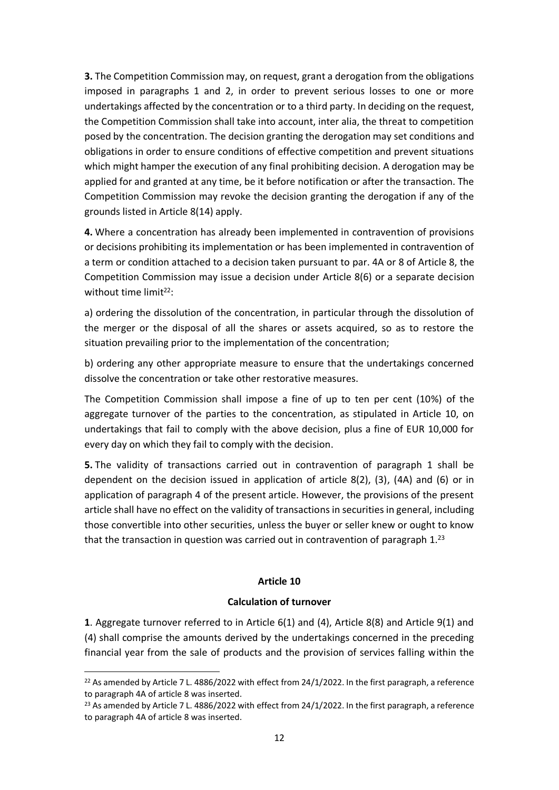**3.** The Competition Commission may, on request, grant a derogation from the obligations imposed in paragraphs 1 and 2, in order to prevent serious losses to one or more undertakings affected by the concentration or to a third party. In deciding on the request, the Competition Commission shall take into account, inter alia, the threat to competition posed by the concentration. The decision granting the derogation may set conditions and obligations in order to ensure conditions of effective competition and prevent situations which might hamper the execution of any final prohibiting decision. A derogation may be applied for and granted at any time, be it before notification or after the transaction. The Competition Commission may revoke the decision granting the derogation if any of the grounds listed in Article 8(14) apply.

**4.** Where a concentration has already been implemented in contravention of provisions or decisions prohibiting its implementation or has been implemented in contravention of a term or condition attached to a decision taken pursuant to par. 4A or 8 of Article 8, the Competition Commission may issue a decision under Article 8(6) or a separate decision without time  $limit<sup>22</sup>$ :

a) ordering the dissolution of the concentration, in particular through the dissolution of the merger or the disposal of all the shares or assets acquired, so as to restore the situation prevailing prior to the implementation of the concentration;

b) ordering any other appropriate measure to ensure that the undertakings concerned dissolve the concentration or take other restorative measures.

The Competition Commission shall impose a fine of up to ten per cent (10%) of the aggregate turnover of the parties to the concentration, as stipulated in Article 10, on undertakings that fail to comply with the above decision, plus a fine of EUR 10,000 for every day on which they fail to comply with the decision.

**5.** The validity of transactions carried out in contravention of paragraph 1 shall be dependent on the decision issued in application of article 8(2), (3), (4A) and (6) or in application of paragraph 4 of the present article. However, the provisions of the present article shall have no effect on the validity of transactions in securities in general, including those convertible into other securities, unless the buyer or seller knew or ought to know that the transaction in question was carried out in contravention of paragraph 1.<sup>23</sup>

## **Article 10**

## **Calculation of turnover**

**1**. Aggregate turnover referred to in Article 6(1) and (4), Article 8(8) and Article 9(1) and (4) shall comprise the amounts derived by the undertakings concerned in the preceding financial year from the sale of products and the provision of services falling within the

<sup>&</sup>lt;sup>22</sup> As amended by Article 7 L. 4886/2022 with effect from 24/1/2022. In the first paragraph, a reference to paragraph 4A of article 8 was inserted.

<sup>&</sup>lt;sup>23</sup> As amended by Article 7 L. 4886/2022 with effect from 24/1/2022. In the first paragraph, a reference to paragraph 4A of article 8 was inserted.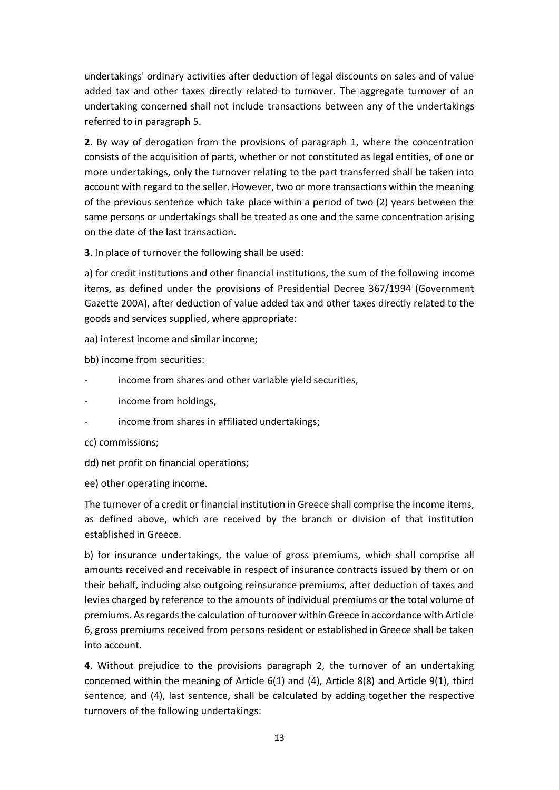undertakings' ordinary activities after deduction of legal discounts on sales and of value added tax and other taxes directly related to turnover. The aggregate turnover of an undertaking concerned shall not include transactions between any of the undertakings referred to in paragraph 5.

**2**. By way of derogation from the provisions of paragraph 1, where the concentration consists of the acquisition of parts, whether or not constituted as legal entities, of one or more undertakings, only the turnover relating to the part transferred shall be taken into account with regard to the seller. However, two or more transactions within the meaning of the previous sentence which take place within a period of two (2) years between the same persons or undertakings shall be treated as one and the same concentration arising on the date of the last transaction.

**3**. In place of turnover the following shall be used:

a) for credit institutions and other financial institutions, the sum of the following income items, as defined under the provisions of Presidential Decree 367/1994 (Government Gazette 200A), after deduction of value added tax and other taxes directly related to the goods and services supplied, where appropriate:

aa) interest income and similar income;

bb) income from securities:

- income from shares and other variable yield securities,
- income from holdings,
- income from shares in affiliated undertakings;
- cc) commissions;
- dd) net profit on financial operations;
- ee) other operating income.

The turnover of a credit or financial institution in Greece shall comprise the income items, as defined above, which are received by the branch or division of that institution established in Greece.

b) for insurance undertakings, the value of gross premiums, which shall comprise all amounts received and receivable in respect of insurance contracts issued by them or on their behalf, including also outgoing reinsurance premiums, after deduction of taxes and levies charged by reference to the amounts of individual premiums or the total volume of premiums. As regards the calculation of turnover within Greece in accordance with Article 6, gross premiums received from persons resident or established in Greece shall be taken into account.

**4**. Without prejudice to the provisions paragraph 2, the turnover of an undertaking concerned within the meaning of Article 6(1) and (4), Article 8(8) and Article 9(1), third sentence, and (4), last sentence, shall be calculated by adding together the respective turnovers of the following undertakings: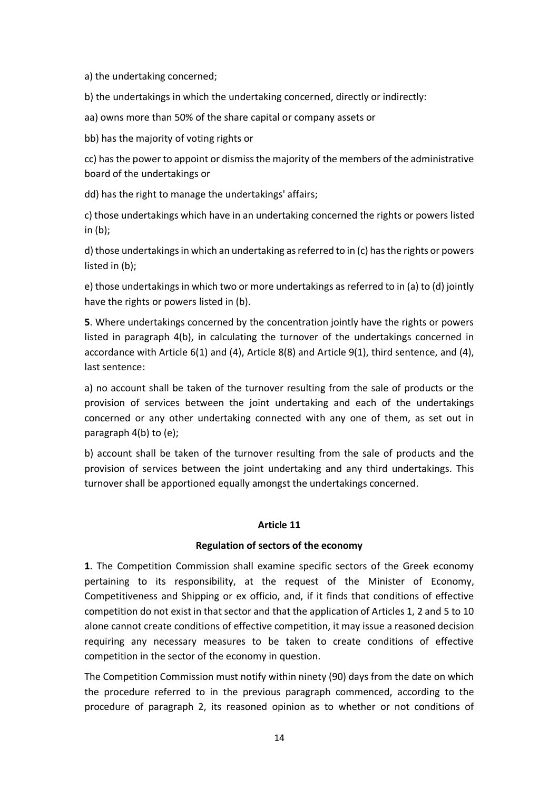a) the undertaking concerned;

b) the undertakings in which the undertaking concerned, directly or indirectly:

aa) owns more than 50% of the share capital or company assets or

bb) has the majority of voting rights or

cc) has the power to appoint or dismiss the majority of the members of the administrative board of the undertakings or

dd) has the right to manage the undertakings' affairs;

c) those undertakings which have in an undertaking concerned the rights or powers listed in (b);

d) those undertakings in which an undertaking as referred to in (c) has the rights or powers listed in (b);

e) those undertakings in which two or more undertakings as referred to in (a) to (d) jointly have the rights or powers listed in (b).

**5**. Where undertakings concerned by the concentration jointly have the rights or powers listed in paragraph 4(b), in calculating the turnover of the undertakings concerned in accordance with Article 6(1) and (4), Article 8(8) and Article 9(1), third sentence, and (4), last sentence:

a) no account shall be taken of the turnover resulting from the sale of products or the provision of services between the joint undertaking and each of the undertakings concerned or any other undertaking connected with any one of them, as set out in paragraph 4(b) to (e);

b) account shall be taken of the turnover resulting from the sale of products and the provision of services between the joint undertaking and any third undertakings. This turnover shall be apportioned equally amongst the undertakings concerned.

#### **Article 11**

## **Regulation of sectors of the economy**

**1**. The Competition Commission shall examine specific sectors of the Greek economy pertaining to its responsibility, at the request of the Minister of Economy, Competitiveness and Shipping or ex officio, and, if it finds that conditions of effective competition do not exist in that sector and that the application of Articles 1, 2 and 5 to 10 alone cannot create conditions of effective competition, it may issue a reasoned decision requiring any necessary measures to be taken to create conditions of effective competition in the sector of the economy in question.

The Competition Commission must notify within ninety (90) days from the date on which the procedure referred to in the previous paragraph commenced, according to the procedure of paragraph 2, its reasoned opinion as to whether or not conditions of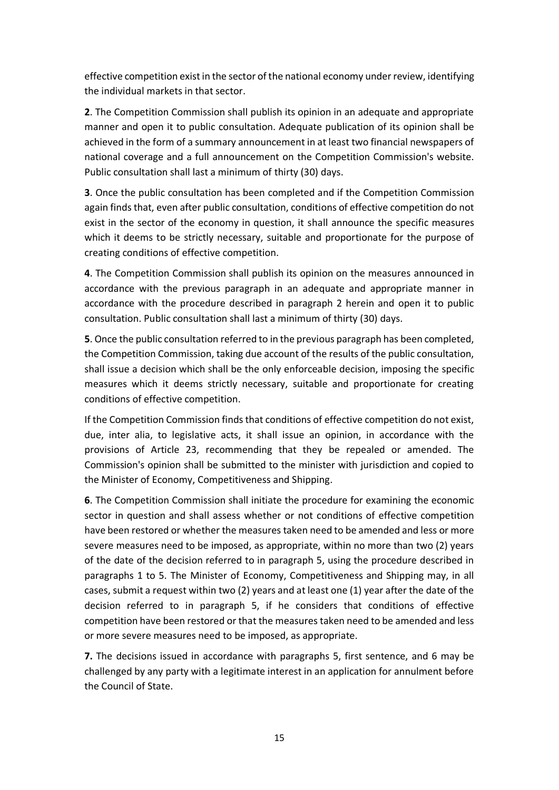effective competition exist in the sector of the national economy under review, identifying the individual markets in that sector.

**2**. The Competition Commission shall publish its opinion in an adequate and appropriate manner and open it to public consultation. Adequate publication of its opinion shall be achieved in the form of a summary announcement in at least two financial newspapers of national coverage and a full announcement on the Competition Commission's website. Public consultation shall last a minimum of thirty (30) days.

**3**. Once the public consultation has been completed and if the Competition Commission again finds that, even after public consultation, conditions of effective competition do not exist in the sector of the economy in question, it shall announce the specific measures which it deems to be strictly necessary, suitable and proportionate for the purpose of creating conditions of effective competition.

**4**. The Competition Commission shall publish its opinion on the measures announced in accordance with the previous paragraph in an adequate and appropriate manner in accordance with the procedure described in paragraph 2 herein and open it to public consultation. Public consultation shall last a minimum of thirty (30) days.

**5**. Once the public consultation referred to in the previous paragraph has been completed, the Competition Commission, taking due account of the results of the public consultation, shall issue a decision which shall be the only enforceable decision, imposing the specific measures which it deems strictly necessary, suitable and proportionate for creating conditions of effective competition.

If the Competition Commission finds that conditions of effective competition do not exist, due, inter alia, to legislative acts, it shall issue an opinion, in accordance with the provisions of Article 23, recommending that they be repealed or amended. The Commission's opinion shall be submitted to the minister with jurisdiction and copied to the Minister of Economy, Competitiveness and Shipping.

**6**. The Competition Commission shall initiate the procedure for examining the economic sector in question and shall assess whether or not conditions of effective competition have been restored or whether the measures taken need to be amended and less or more severe measures need to be imposed, as appropriate, within no more than two (2) years of the date of the decision referred to in paragraph 5, using the procedure described in paragraphs 1 to 5. The Minister of Economy, Competitiveness and Shipping may, in all cases, submit a request within two (2) years and at least one (1) year after the date of the decision referred to in paragraph 5, if he considers that conditions of effective competition have been restored or that the measures taken need to be amended and less or more severe measures need to be imposed, as appropriate.

**7.** The decisions issued in accordance with paragraphs 5, first sentence, and 6 may be challenged by any party with a legitimate interest in an application for annulment before the Council of State.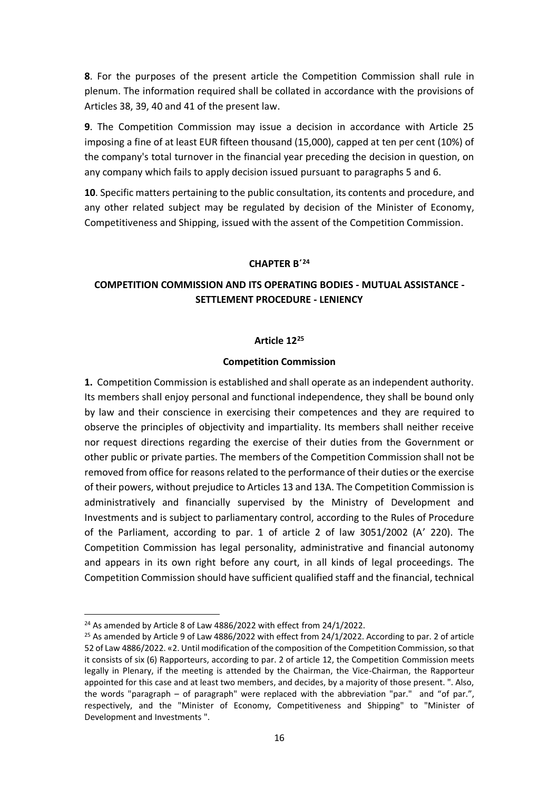**8**. For the purposes of the present article the Competition Commission shall rule in plenum. The information required shall be collated in accordance with the provisions of Articles 38, 39, 40 and 41 of the present law.

**9**. The Competition Commission may issue a decision in accordance with Article 25 imposing a fine of at least EUR fifteen thousand (15,000), capped at ten per cent (10%) of the company's total turnover in the financial year preceding the decision in question, on any company which fails to apply decision issued pursuant to paragraphs 5 and 6.

**10**. Specific matters pertaining to the public consultation, its contents and procedure, and any other related subject may be regulated by decision of the Minister of Economy, Competitiveness and Shipping, issued with the assent of the Competition Commission.

### **CHAPTER Β΄<sup>24</sup>**

# **COMPETITION COMMISSION AND ITS OPERATING BODIES - MUTUAL ASSISTANCE - SETTLEMENT PROCEDURE - LENIENCY**

### **Article 12<sup>25</sup>**

### **Competition Commission**

**1.** Competition Commission is established and shall operate as an independent authority. Its members shall enjoy personal and functional independence, they shall be bound only by law and their conscience in exercising their competences and they are required to observe the principles of objectivity and impartiality. Its members shall neither receive nor request directions regarding the exercise of their duties from the Government or other public or private parties. The members of the Competition Commission shall not be removed from office for reasons related to the performance of their duties or the exercise of their powers, without prejudice to Articles 13 and 13A. The Competition Commission is administratively and financially supervised by the Ministry of Development and Investments and is subject to parliamentary control, according to the Rules of Procedure of the Parliament, according to par. 1 of article 2 of law 3051/2002 (A' 220). The Competition Commission has legal personality, administrative and financial autonomy and appears in its own right before any court, in all kinds of legal proceedings. The Competition Commission should have sufficient qualified staff and the financial, technical

<sup>&</sup>lt;sup>24</sup> As amended by Article 8 of Law 4886/2022 with effect from 24/1/2022.

 $25$  As amended by Article 9 of Law 4886/2022 with effect from 24/1/2022. According to par. 2 of article 52 of Law 4886/2022. «2. Until modification of the composition of the Competition Commission, so that it consists of six (6) Rapporteurs, according to par. 2 of article 12, the Competition Commission meets legally in Plenary, if the meeting is attended by the Chairman, the Vice-Chairman, the Rapporteur appointed for this case and at least two members, and decides, by a majority of those present. ". Also, the words "paragraph – of paragraph" were replaced with the abbreviation "par." and "of par.", respectively, and the "Minister of Economy, Competitiveness and Shipping" to "Minister of Development and Investments ".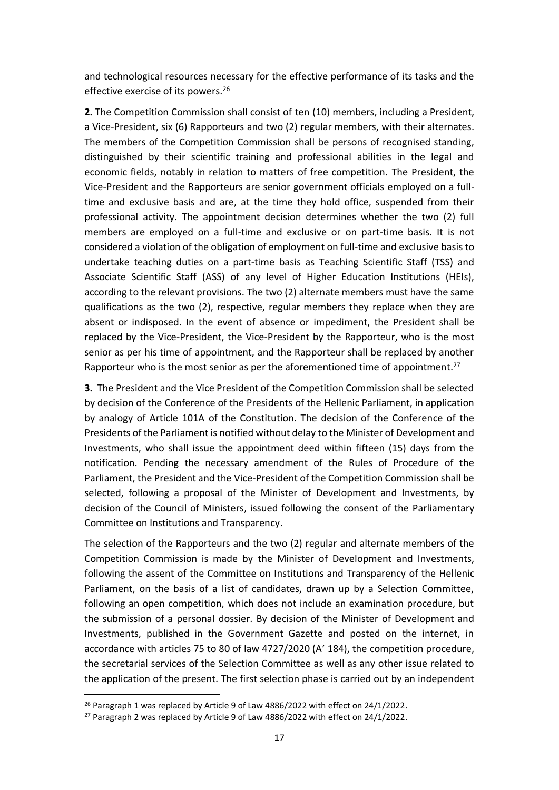and technological resources necessary for the effective performance of its tasks and the effective exercise of its powers.<sup>26</sup>

**2.** The Competition Commission shall consist of ten (10) members, including a President, a Vice-President, six (6) Rapporteurs and two (2) regular members, with their alternates. The members of the Competition Commission shall be persons of recognised standing, distinguished by their scientific training and professional abilities in the legal and economic fields, notably in relation to matters of free competition. The President, the Vice-President and the Rapporteurs are senior government officials employed on a fulltime and exclusive basis and are, at the time they hold office, suspended from their professional activity. The appointment decision determines whether the two (2) full members are employed on a full-time and exclusive or on part-time basis. It is not considered a violation of the obligation of employment on full-time and exclusive basis to undertake teaching duties on a part-time basis as Teaching Scientific Staff (TSS) and Associate Scientific Staff (ASS) of any level of Higher Education Institutions (HEIs), according to the relevant provisions. The two (2) alternate members must have the same qualifications as the two (2), respective, regular members they replace when they are absent or indisposed. In the event of absence or impediment, the President shall be replaced by the Vice-President, the Vice-President by the Rapporteur, who is the most senior as per his time of appointment, and the Rapporteur shall be replaced by another Rapporteur who is the most senior as per the aforementioned time of appointment.<sup>27</sup>

**3.** The President and the Vice President of the Competition Commission shall be selected by decision of the Conference of the Presidents of the Hellenic Parliament, in application by analogy of Article 101A of the Constitution. The decision of the Conference of the Presidents of the Parliament is notified without delay to the Minister of Development and Investments, who shall issue the appointment deed within fifteen (15) days from the notification. Pending the necessary amendment of the Rules of Procedure of the Parliament, the President and the Vice-President of the Competition Commission shall be selected, following a proposal of the Minister of Development and Investments, by decision of the Council of Ministers, issued following the consent of the Parliamentary Committee on Institutions and Transparency.

The selection of the Rapporteurs and the two (2) regular and alternate members of the Competition Commission is made by the Minister of Development and Investments, following the assent of the Committee on Institutions and Transparency of the Hellenic Parliament, on the basis of a list of candidates, drawn up by a Selection Committee, following an open competition, which does not include an examination procedure, but the submission of a personal dossier. By decision of the Minister of Development and Investments, published in the Government Gazette and posted on the internet, in accordance with articles 75 to 80 of law 4727/2020 (A' 184), the competition procedure, the secretarial services of the Selection Committee as well as any other issue related to the application of the present. The first selection phase is carried out by an independent

<sup>&</sup>lt;sup>26</sup> Paragraph 1 was replaced by Article 9 of Law 4886/2022 with effect on 24/1/2022.

<sup>&</sup>lt;sup>27</sup> Paragraph 2 was replaced by Article 9 of Law 4886/2022 with effect on 24/1/2022.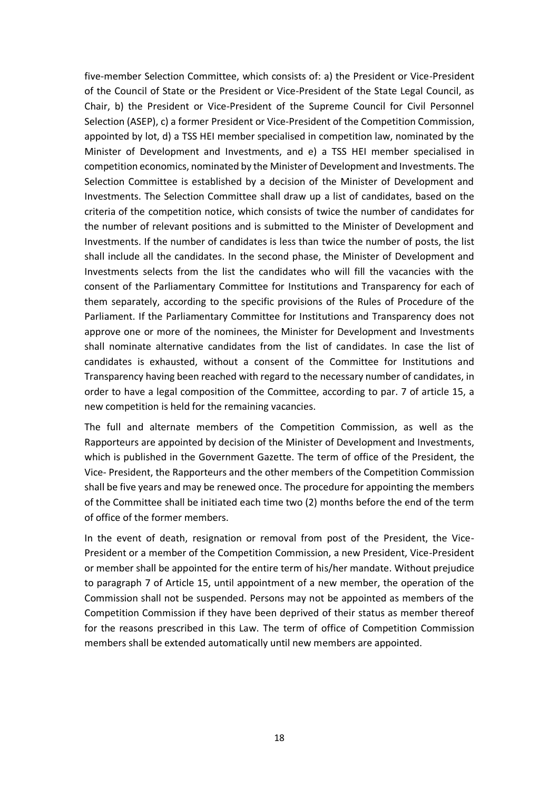five-member Selection Committee, which consists of: a) the President or Vice-President of the Council of State or the President or Vice-President of the State Legal Council, as Chair, b) the President or Vice-President of the Supreme Council for Civil Personnel Selection (ASEP), c) a former President or Vice-President of the Competition Commission, appointed by lot, d) a TSS HEI member specialised in competition law, nominated by the Minister of Development and Investments, and e) a TSS HEI member specialised in competition economics, nominated by the Minister of Development and Investments. The Selection Committee is established by a decision of the Minister of Development and Investments. The Selection Committee shall draw up a list of candidates, based on the criteria of the competition notice, which consists of twice the number of candidates for the number of relevant positions and is submitted to the Minister of Development and Investments. If the number of candidates is less than twice the number of posts, the list shall include all the candidates. In the second phase, the Minister of Development and Investments selects from the list the candidates who will fill the vacancies with the consent of the Parliamentary Committee for Institutions and Transparency for each of them separately, according to the specific provisions of the Rules of Procedure of the Parliament. If the Parliamentary Committee for Institutions and Transparency does not approve one or more of the nominees, the Minister for Development and Investments shall nominate alternative candidates from the list of candidates. In case the list of candidates is exhausted, without a consent of the Committee for Institutions and Transparency having been reached with regard to the necessary number of candidates, in order to have a legal composition of the Committee, according to par. 7 of article 15, a new competition is held for the remaining vacancies.

The full and alternate members of the Competition Commission, as well as the Rapporteurs are appointed by decision of the Minister of Development and Investments, which is published in the Government Gazette. The term of office of the President, the Vice- President, the Rapporteurs and the other members of the Competition Commission shall be five years and may be renewed once. The procedure for appointing the members of the Committee shall be initiated each time two (2) months before the end of the term of office of the former members.

In the event of death, resignation or removal from post of the President, the Vice-President or a member of the Competition Commission, a new President, Vice-President or member shall be appointed for the entire term of his/her mandate. Without prejudice to paragraph 7 of Article 15, until appointment of a new member, the operation of the Commission shall not be suspended. Persons may not be appointed as members of the Competition Commission if they have been deprived of their status as member thereof for the reasons prescribed in this Law. The term of office of Competition Commission members shall be extended automatically until new members are appointed.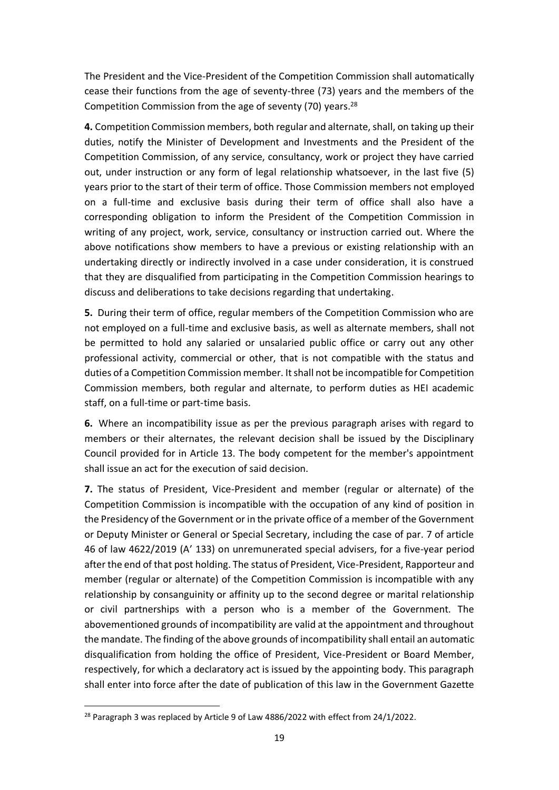The President and the Vice-President of the Competition Commission shall automatically cease their functions from the age of seventy-three (73) years and the members of the Competition Commission from the age of seventy (70) years.<sup>28</sup>

**4.** Competition Commission members, both regular and alternate, shall, on taking up their duties, notify the Minister of Development and Investments and the President of the Competition Commission, of any service, consultancy, work or project they have carried out, under instruction or any form of legal relationship whatsoever, in the last five (5) years prior to the start of their term of office. Those Commission members not employed on a full-time and exclusive basis during their term of office shall also have a corresponding obligation to inform the President of the Competition Commission in writing of any project, work, service, consultancy or instruction carried out. Where the above notifications show members to have a previous or existing relationship with an undertaking directly or indirectly involved in a case under consideration, it is construed that they are disqualified from participating in the Competition Commission hearings to discuss and deliberations to take decisions regarding that undertaking.

**5.** During their term of office, regular members of the Competition Commission who are not employed on a full-time and exclusive basis, as well as alternate members, shall not be permitted to hold any salaried or unsalaried public office or carry out any other professional activity, commercial or other, that is not compatible with the status and duties of a Competition Commission member. It shall not be incompatible for Competition Commission members, both regular and alternate, to perform duties as HEI academic staff, on a full-time or part-time basis.

**6.** Where an incompatibility issue as per the previous paragraph arises with regard to members or their alternates, the relevant decision shall be issued by the Disciplinary Council provided for in Article 13. The body competent for the member's appointment shall issue an act for the execution of said decision.

**7.** The status of President, Vice-President and member (regular or alternate) of the Competition Commission is incompatible with the occupation of any kind of position in the Presidency of the Government or in the private office of a member of the Government or Deputy Minister or General or Special Secretary, including the case of par. 7 of article 46 of law 4622/2019 (A' 133) on unremunerated special advisers, for a five-year period after the end of that post holding. The status of President, Vice-President, Rapporteur and member (regular or alternate) of the Competition Commission is incompatible with any relationship by consanguinity or affinity up to the second degree or marital relationship or civil partnerships with a person who is a member of the Government. The abovementioned grounds of incompatibility are valid at the appointment and throughout the mandate. The finding of the above grounds of incompatibility shall entail an automatic disqualification from holding the office of President, Vice-President or Board Member, respectively, for which a declaratory act is issued by the appointing body. This paragraph shall enter into force after the date of publication of this law in the Government Gazette

<sup>&</sup>lt;sup>28</sup> Paragraph 3 was replaced by Article 9 of Law 4886/2022 with effect from 24/1/2022.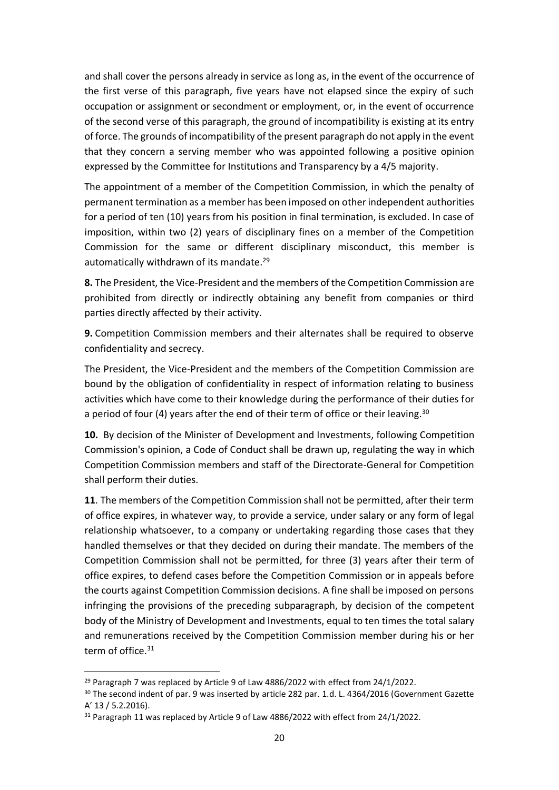and shall cover the persons already in service as long as, in the event of the occurrence of the first verse of this paragraph, five years have not elapsed since the expiry of such occupation or assignment or secondment or employment, or, in the event of occurrence of the second verse of this paragraph, the ground of incompatibility is existing at its entry of force. The grounds of incompatibility of the present paragraph do not apply in the event that they concern a serving member who was appointed following a positive opinion expressed by the Committee for Institutions and Transparency by a 4/5 majority.

The appointment of a member of the Competition Commission, in which the penalty of permanent termination as a member has been imposed on other independent authorities for a period of ten (10) years from his position in final termination, is excluded. In case of imposition, within two (2) years of disciplinary fines on a member of the Competition Commission for the same or different disciplinary misconduct, this member is automatically withdrawn of its mandate.<sup>29</sup>

**8.** The President, the Vice-President and the members of the Competition Commission are prohibited from directly or indirectly obtaining any benefit from companies or third parties directly affected by their activity.

**9.** Competition Commission members and their alternates shall be required to observe confidentiality and secrecy.

The President, the Vice-President and the members of the Competition Commission are bound by the obligation of confidentiality in respect of information relating to business activities which have come to their knowledge during the performance of their duties for a period of four (4) years after the end of their term of office or their leaving.  $30$ 

**10.** By decision of the Minister of Development and Investments, following Competition Commission's opinion, a Code of Conduct shall be drawn up, regulating the way in which Competition Commission members and staff of the Directorate-General for Competition shall perform their duties.

**11**. The members of the Competition Commission shall not be permitted, after their term of office expires, in whatever way, to provide a service, under salary or any form of legal relationship whatsoever, to a company or undertaking regarding those cases that they handled themselves or that they decided on during their mandate. The members of the Competition Commission shall not be permitted, for three (3) years after their term of office expires, to defend cases before the Competition Commission or in appeals before the courts against Competition Commission decisions. A fine shall be imposed on persons infringing the provisions of the preceding subparagraph, by decision of the competent body of the Ministry of Development and Investments, equal to ten times the total salary and remunerations received by the Competition Commission member during his or her term of office.<sup>31</sup>

<sup>&</sup>lt;sup>29</sup> Paragraph 7 was replaced by Article 9 of Law 4886/2022 with effect from 24/1/2022.

<sup>&</sup>lt;sup>30</sup> The second indent of par. 9 was inserted by article 282 par. 1.d. L. 4364/2016 (Government Gazette A' 13 / 5.2.2016).

<sup>&</sup>lt;sup>31</sup> Paragraph 11 was replaced by Article 9 of Law 4886/2022 with effect from 24/1/2022.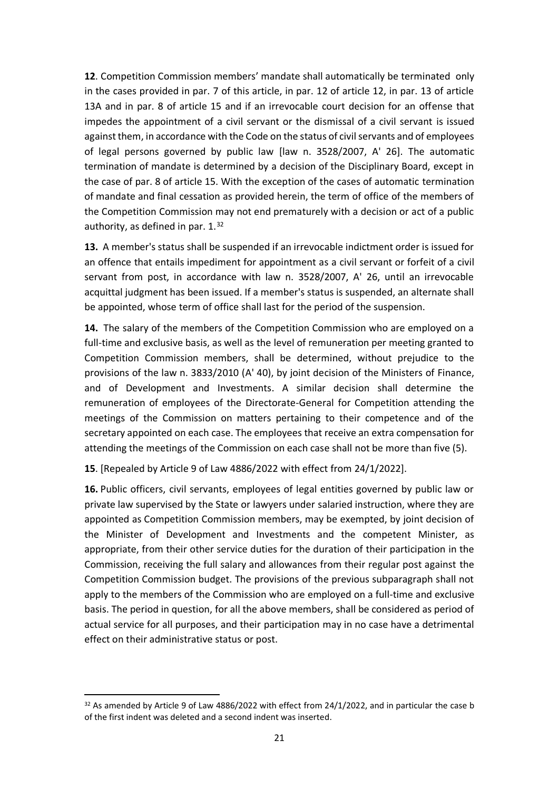**12**. Competition Commission members' mandate shall automatically be terminated only in the cases provided in par. 7 of this article, in par. 12 of article 12, in par. 13 of article 13A and in par. 8 of article 15 and if an irrevocable court decision for an offense that impedes the appointment of a civil servant or the dismissal of a civil servant is issued against them, in accordance with the Code on the status of civil servants and of employees of legal persons governed by public law [law n. 3528/2007, A' 26]. The automatic termination of mandate is determined by a decision of the Disciplinary Board, except in the case of par. 8 of article 15. With the exception of the cases of automatic termination of mandate and final cessation as provided herein, the term of office of the members of the Competition Commission may not end prematurely with a decision or act of a public authority, as defined in par. 1.<sup>32</sup>

**13.** A member's status shall be suspended if an irrevocable indictment order is issued for an offence that entails impediment for appointment as a civil servant or forfeit of a civil servant from post, in accordance with law n. 3528/2007, A' 26, until an irrevocable acquittal judgment has been issued. If a member's status is suspended, an alternate shall be appointed, whose term of office shall last for the period of the suspension.

**14.** The salary of the members of the Competition Commission who are employed on a full-time and exclusive basis, as well as the level of remuneration per meeting granted to Competition Commission members, shall be determined, without prejudice to the provisions of the law n. 3833/2010 (Α' 40), by joint decision of the Ministers of Finance, and of Development and Investments. A similar decision shall determine the remuneration of employees of the Directorate-General for Competition attending the meetings of the Commission on matters pertaining to their competence and of the secretary appointed on each case. The employees that receive an extra compensation for attending the meetings of the Commission on each case shall not be more than five (5).

**15**. [Repealed by Article 9 of Law 4886/2022 with effect from 24/1/2022].

**16.** Public officers, civil servants, employees of legal entities governed by public law or private law supervised by the State or lawyers under salaried instruction, where they are appointed as Competition Commission members, may be exempted, by joint decision of the Minister of Development and Investments and the competent Minister, as appropriate, from their other service duties for the duration of their participation in the Commission, receiving the full salary and allowances from their regular post against the Competition Commission budget. The provisions of the previous subparagraph shall not apply to the members of the Commission who are employed on a full-time and exclusive basis. The period in question, for all the above members, shall be considered as period of actual service for all purposes, and their participation may in no case have a detrimental effect on their administrative status or post.

 $32$  As amended by Article 9 of Law 4886/2022 with effect from 24/1/2022, and in particular the case b of the first indent was deleted and a second indent was inserted.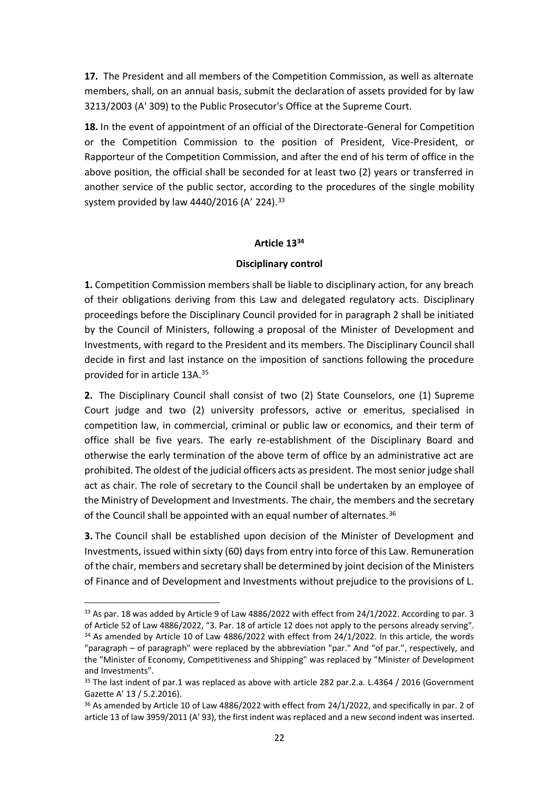**17.** The President and all members of the Competition Commission, as well as alternate members, shall, on an annual basis, submit the declaration of assets provided for by law 3213/2003 (A' 309) to the Public Prosecutor's Office at the Supreme Court.

**18.** In the event of appointment of an official of the Directorate-General for Competition or the Competition Commission to the position of President, Vice-President, or Rapporteur of the Competition Commission, and after the end of his term of office in the above position, the official shall be seconded for at least two (2) years or transferred in another service of the public sector, according to the procedures of the single mobility system provided by law 4440/2016 (A' 224). 33

### **Article 13<sup>34</sup>**

## **Disciplinary control**

**1.** Competition Commission members shall be liable to disciplinary action, for any breach of their obligations deriving from this Law and delegated regulatory acts. Disciplinary proceedings before the Disciplinary Council provided for in paragraph 2 shall be initiated by the Council of Ministers, following a proposal of the Minister of Development and Investments, with regard to the President and its members. The Disciplinary Council shall decide in first and last instance on the imposition of sanctions following the procedure provided for in article 13A.<sup>35</sup>

**2.** The Disciplinary Council shall consist of two (2) State Counselors, one (1) Supreme Court judge and two (2) university professors, active or emeritus, specialised in competition law, in commercial, criminal or public law or economics, and their term of office shall be five years. The early re-establishment of the Disciplinary Board and otherwise the early termination of the above term of office by an administrative act are prohibited. The oldest of the judicial officers acts as president. The most senior judge shall act as chair. The role of secretary to the Council shall be undertaken by an employee of the Ministry of Development and Investments. The chair, the members and the secretary of the Council shall be appointed with an equal number of alternates.<sup>36</sup>

**3.** The Council shall be established upon decision of the Minister of Development and Investments, issued within sixty (60) days from entry into force of this Law. Remuneration of the chair, members and secretary shall be determined by joint decision of the Ministers of Finance and of Development and Investments without prejudice to the provisions of L.

 $33$  As par. 18 was added by Article 9 of Law 4886/2022 with effect from 24/1/2022. According to par. 3 of Article 52 of Law 4886/2022, "3. Par. 18 of article 12 does not apply to the persons already serving".  $34$  As amended by Article 10 of Law 4886/2022 with effect from 24/1/2022. In this article, the words "paragraph – of paragraph" were replaced by the abbreviation "par." And "of par.", respectively, and the "Minister of Economy, Competitiveness and Shipping" was replaced by "Minister of Development and Investments".

<sup>&</sup>lt;sup>35</sup> The last indent of par.1 was replaced as above with article 282 par.2.a. L.4364 / 2016 (Government Gazette A' 13 / 5.2.2016).

<sup>&</sup>lt;sup>36</sup> As amended by Article 10 of Law 4886/2022 with effect from 24/1/2022, and specifically in par. 2 of article 13 of law 3959/2011 (A' 93), the first indent was replaced and a new second indent was inserted.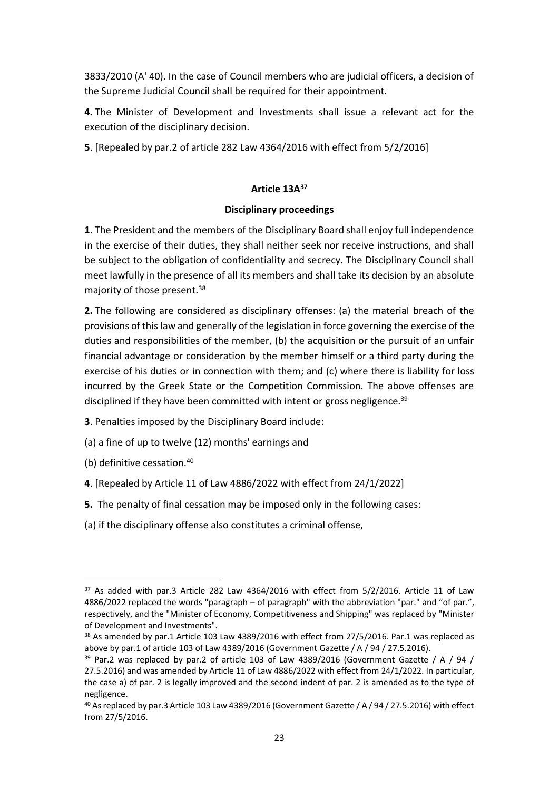3833/2010 (A' 40). In the case of Council members who are judicial officers, a decision of the Supreme Judicial Council shall be required for their appointment.

**4.** The Minister of Development and Investments shall issue a relevant act for the execution of the disciplinary decision.

**5**. [Repealed by par.2 of article 282 Law 4364/2016 with effect from 5/2/2016]

# **Article 13Α 37**

### **Disciplinary proceedings**

**1**. The President and the members of the Disciplinary Board shall enjoy full independence in the exercise of their duties, they shall neither seek nor receive instructions, and shall be subject to the obligation of confidentiality and secrecy. The Disciplinary Council shall meet lawfully in the presence of all its members and shall take its decision by an absolute majority of those present.<sup>38</sup>

**2.** The following are considered as disciplinary offenses: (a) the material breach of the provisions of this law and generally of the legislation in force governing the exercise of the duties and responsibilities of the member, (b) the acquisition or the pursuit of an unfair financial advantage or consideration by the member himself or a third party during the exercise of his duties or in connection with them; and (c) where there is liability for loss incurred by the Greek State or the Competition Commission. The above offenses are disciplined if they have been committed with intent or gross negligence.<sup>39</sup>

- **3**. Penalties imposed by the Disciplinary Board include:
- (a) a fine of up to twelve (12) months' earnings and
- (b) definitive cessation. 40
- **4**. [Repealed by Article 11 of Law 4886/2022 with effect from 24/1/2022]
- **5.** The penalty of final cessation may be imposed only in the following cases:
- (a) if the disciplinary offense also constitutes a criminal offense,

<sup>&</sup>lt;sup>37</sup> As added with par.3 Article 282 Law 4364/2016 with effect from 5/2/2016. Article 11 of Law 4886/2022 replaced the words "paragraph – of paragraph" with the abbreviation "par." and "of par.", respectively, and the "Minister of Economy, Competitiveness and Shipping" was replaced by "Minister of Development and Investments".

<sup>&</sup>lt;sup>38</sup> As amended by par.1 Article 103 Law 4389/2016 with effect from 27/5/2016. Par.1 was replaced as above by par.1 of article 103 of Law 4389/2016 (Government Gazette / A / 94 / 27.5.2016).

 $39$  Par.2 was replaced by par.2 of article 103 of Law 4389/2016 (Government Gazette / A / 94 / 27.5.2016) and was amended by Article 11 of Law 4886/2022 with effect from 24/1/2022. In particular, the case a) of par. 2 is legally improved and the second indent of par. 2 is amended as to the type of negligence.

<sup>40</sup> As replaced by par.3 Article 103 Law 4389/2016 (Government Gazette / A / 94 / 27.5.2016) with effect from 27/5/2016.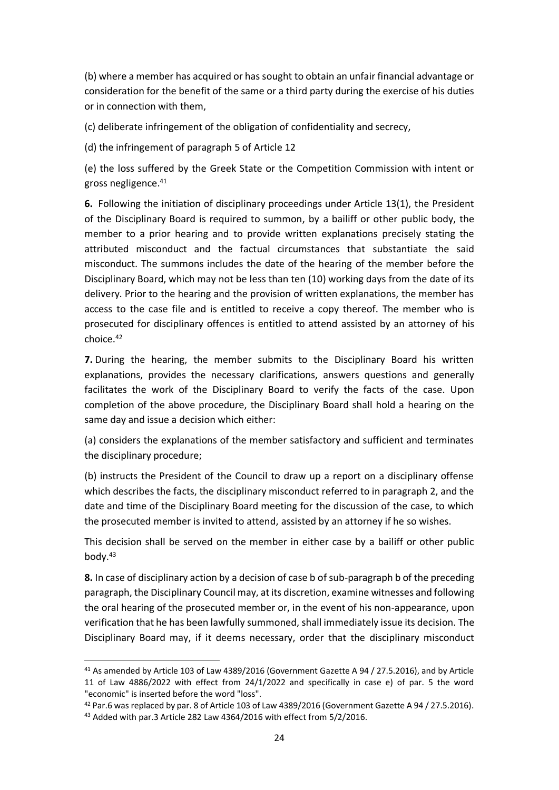(b) where a member has acquired or has sought to obtain an unfair financial advantage or consideration for the benefit of the same or a third party during the exercise of his duties or in connection with them,

(c) deliberate infringement of the obligation of confidentiality and secrecy,

(d) the infringement of paragraph 5 of Article 12

(e) the loss suffered by the Greek State or the Competition Commission with intent or gross negligence. 41

**6.** Following the initiation of disciplinary proceedings under Article 13(1), the President of the Disciplinary Board is required to summon, by a bailiff or other public body, the member to a prior hearing and to provide written explanations precisely stating the attributed misconduct and the factual circumstances that substantiate the said misconduct. The summons includes the date of the hearing of the member before the Disciplinary Board, which may not be less than ten (10) working days from the date of its delivery. Prior to the hearing and the provision of written explanations, the member has access to the case file and is entitled to receive a copy thereof. The member who is prosecuted for disciplinary offences is entitled to attend assisted by an attorney of his choice.<sup>42</sup>

**7.** During the hearing, the member submits to the Disciplinary Board his written explanations, provides the necessary clarifications, answers questions and generally facilitates the work of the Disciplinary Board to verify the facts of the case. Upon completion of the above procedure, the Disciplinary Board shall hold a hearing on the same day and issue a decision which either:

(a) considers the explanations of the member satisfactory and sufficient and terminates the disciplinary procedure;

(b) instructs the President of the Council to draw up a report on a disciplinary offense which describes the facts, the disciplinary misconduct referred to in paragraph 2, and the date and time of the Disciplinary Board meeting for the discussion of the case, to which the prosecuted member is invited to attend, assisted by an attorney if he so wishes.

This decision shall be served on the member in either case by a bailiff or other public body. 43

**8.** In case of disciplinary action by a decision of case b of sub-paragraph b of the preceding paragraph, the Disciplinary Council may, at its discretion, examine witnesses and following the oral hearing of the prosecuted member or, in the event of his non-appearance, upon verification that he has been lawfully summoned, shall immediately issue its decision. The Disciplinary Board may, if it deems necessary, order that the disciplinary misconduct

<sup>41</sup> As amended by Article 103 of Law 4389/2016 (Government Gazette A 94 / 27.5.2016), and by Article 11 of Law 4886/2022 with effect from 24/1/2022 and specifically in case e) of par. 5 the word "economic" is inserted before the word "loss".

<sup>42</sup> Par.6 was replaced by par. 8 of Article 103 of Law 4389/2016 (Government Gazette A 94 / 27.5.2016). <sup>43</sup> Added with par.3 Article 282 Law 4364/2016 with effect from 5/2/2016.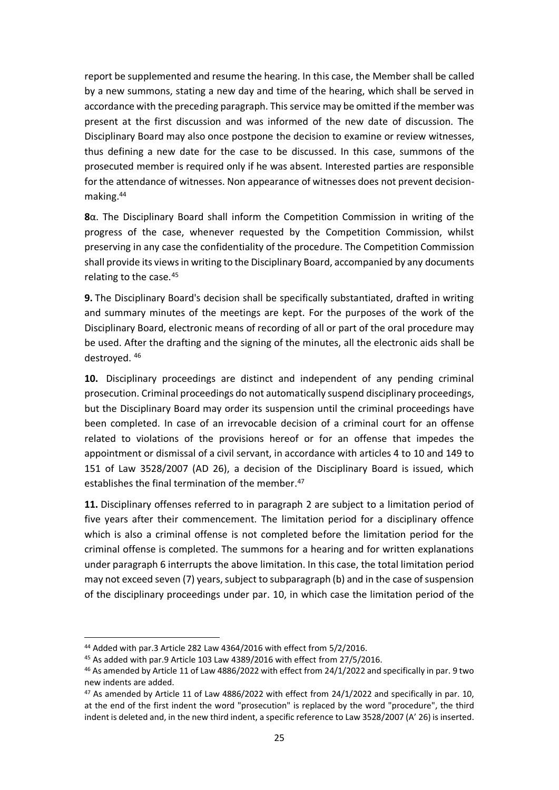report be supplemented and resume the hearing. In this case, the Member shall be called by a new summons, stating a new day and time of the hearing, which shall be served in accordance with the preceding paragraph. This service may be omitted if the member was present at the first discussion and was informed of the new date of discussion. The Disciplinary Board may also once postpone the decision to examine or review witnesses, thus defining a new date for the case to be discussed. In this case, summons of the prosecuted member is required only if he was absent. Interested parties are responsible for the attendance of witnesses. Non appearance of witnesses does not prevent decisionmaking. 44

**8**α. The Disciplinary Board shall inform the Competition Commission in writing of the progress of the case, whenever requested by the Competition Commission, whilst preserving in any case the confidentiality of the procedure. The Competition Commission shall provide its views in writing to the Disciplinary Board, accompanied by any documents relating to the case.<sup>45</sup>

**9.** The Disciplinary Board's decision shall be specifically substantiated, drafted in writing and summary minutes of the meetings are kept. For the purposes of the work of the Disciplinary Board, electronic means of recording of all or part of the oral procedure may be used. After the drafting and the signing of the minutes, all the electronic aids shall be destroyed. <sup>46</sup>

**10.** Disciplinary proceedings are distinct and independent of any pending criminal prosecution. Criminal proceedings do not automatically suspend disciplinary proceedings, but the Disciplinary Board may order its suspension until the criminal proceedings have been completed. In case of an irrevocable decision of a criminal court for an offense related to violations of the provisions hereof or for an offense that impedes the appointment or dismissal of a civil servant, in accordance with articles 4 to 10 and 149 to 151 of Law 3528/2007 (AD 26), a decision of the Disciplinary Board is issued, which establishes the final termination of the member.<sup>47</sup>

**11.** Disciplinary offenses referred to in paragraph 2 are subject to a limitation period of five years after their commencement. The limitation period for a disciplinary offence which is also a criminal offense is not completed before the limitation period for the criminal offense is completed. The summons for a hearing and for written explanations under paragraph 6 interrupts the above limitation. In this case, the total limitation period may not exceed seven (7) years, subject to subparagraph (b) and in the case of suspension of the disciplinary proceedings under par. 10, in which case the limitation period of the

<sup>44</sup> Added with par.3 Article 282 Law 4364/2016 with effect from 5/2/2016.

<sup>45</sup> As added with par.9 Article 103 Law 4389/2016 with effect from 27/5/2016.

<sup>46</sup> As amended by Article 11 of Law 4886/2022 with effect from 24/1/2022 and specifically in par. 9 two new indents are added.

<sup>&</sup>lt;sup>47</sup> As amended by Article 11 of Law 4886/2022 with effect from 24/1/2022 and specifically in par. 10, at the end of the first indent the word "prosecution" is replaced by the word "procedure", the third indent is deleted and, in the new third indent, a specific reference to Law 3528/2007 (A' 26) is inserted.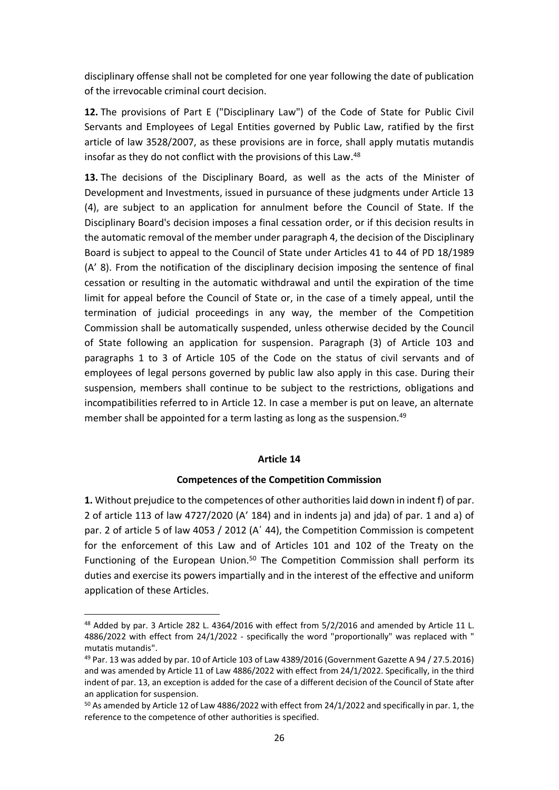disciplinary offense shall not be completed for one year following the date of publication of the irrevocable criminal court decision.

**12.** The provisions of Part E ("Disciplinary Law") of the Code of State for Public Civil Servants and Employees of Legal Entities governed by Public Law, ratified by the first article of law 3528/2007, as these provisions are in force, shall apply mutatis mutandis insofar as they do not conflict with the provisions of this Law. 48

**13.** The decisions of the Disciplinary Board, as well as the acts of the Minister of Development and Investments, issued in pursuance of these judgments under Article 13 (4), are subject to an application for annulment before the Council of State. If the Disciplinary Board's decision imposes a final cessation order, or if this decision results in the automatic removal of the member under paragraph 4, the decision of the Disciplinary Board is subject to appeal to the Council of State under Articles 41 to 44 of PD 18/1989 (A' 8). From the notification of the disciplinary decision imposing the sentence of final cessation or resulting in the automatic withdrawal and until the expiration of the time limit for appeal before the Council of State or, in the case of a timely appeal, until the termination of judicial proceedings in any way, the member of the Competition Commission shall be automatically suspended, unless otherwise decided by the Council of State following an application for suspension. Paragraph (3) of Article 103 and paragraphs 1 to 3 of Article 105 of the Code on the status of civil servants and of employees of legal persons governed by public law also apply in this case. During their suspension, members shall continue to be subject to the restrictions, obligations and incompatibilities referred to in Article 12. In case a member is put on leave, an alternate member shall be appointed for a term lasting as long as the suspension. 49

#### **Article 14**

#### **Competences of the Competition Commission**

**1.** Without prejudice to the competences of other authorities laid down in indent f) of par. 2 of article 113 of law 4727/2020 (A' 184) and in indents ja) and jda) of par. 1 and a) of par. 2 of article 5 of law 4053 / 2012 (A' 44), the Competition Commission is competent for the enforcement of this Law and of Articles 101 and 102 of the Treaty on the Functioning of the European Union.<sup>50</sup> The Competition Commission shall perform its duties and exercise its powers impartially and in the interest of the effective and uniform application of these Articles.

<sup>48</sup> Added by par. 3 Article 282 L. 4364/2016 with effect from 5/2/2016 and amended by Article 11 L. 4886/2022 with effect from 24/1/2022 - specifically the word "proportionally" was replaced with " mutatis mutandis".

<sup>49</sup> Par. 13 was added by par. 10 of Article 103 of Law 4389/2016 (Government Gazette A 94 / 27.5.2016) and was amended by Article 11 of Law 4886/2022 with effect from 24/1/2022. Specifically, in the third indent of par. 13, an exception is added for the case of a different decision of the Council of State after an application for suspension.

<sup>50</sup> As amended by Article 12 of Law 4886/2022 with effect from 24/1/2022 and specifically in par. 1, the reference to the competence of other authorities is specified.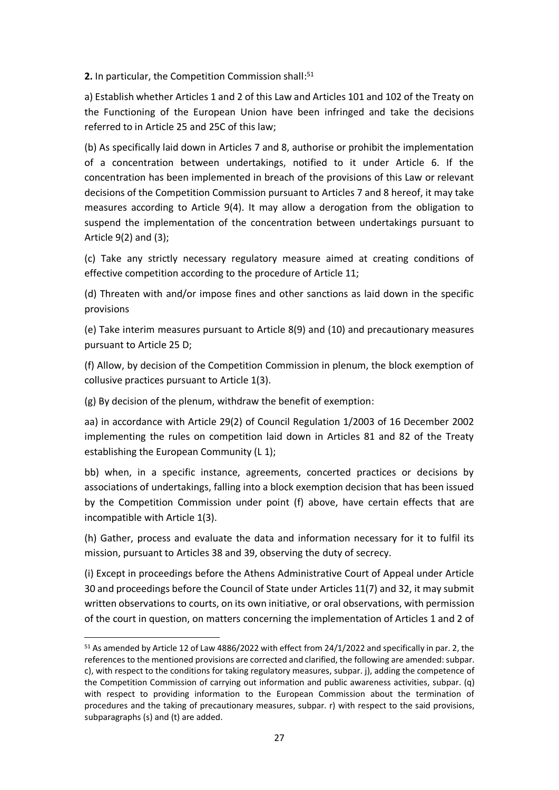**2.** In particular, the Competition Commission shall: 51

a) Establish whether Articles 1 and 2 of this Law and Articles 101 and 102 of the Treaty on the Functioning of the European Union have been infringed and take the decisions referred to in Article 25 and 25C of this law;

(b) As specifically laid down in Articles 7 and 8, authorise or prohibit the implementation of a concentration between undertakings, notified to it under Article 6. If the concentration has been implemented in breach of the provisions of this Law or relevant decisions of the Competition Commission pursuant to Articles 7 and 8 hereof, it may take measures according to Article 9(4). It may allow a derogation from the obligation to suspend the implementation of the concentration between undertakings pursuant to Article 9(2) and (3);

(c) Take any strictly necessary regulatory measure aimed at creating conditions of effective competition according to the procedure of Article 11;

(d) Threaten with and/or impose fines and other sanctions as laid down in the specific provisions

(e) Take interim measures pursuant to Article 8(9) and (10) and precautionary measures pursuant to Article 25 D;

(f) Allow, by decision of the Competition Commission in plenum, the block exemption of collusive practices pursuant to Article 1(3).

(g) By decision of the plenum, withdraw the benefit of exemption:

aa) in accordance with Article 29(2) of Council Regulation 1/2003 of 16 December 2002 implementing the rules on competition laid down in Articles 81 and 82 of the Treaty establishing the European Community (L 1);

bb) when, in a specific instance, agreements, concerted practices or decisions by associations of undertakings, falling into a block exemption decision that has been issued by the Competition Commission under point (f) above, have certain effects that are incompatible with Article 1(3).

(h) Gather, process and evaluate the data and information necessary for it to fulfil its mission, pursuant to Articles 38 and 39, observing the duty of secrecy.

(i) Except in proceedings before the Athens Administrative Court of Appeal under Article 30 and proceedings before the Council of State under Articles 11(7) and 32, it may submit written observations to courts, on its own initiative, or oral observations, with permission of the court in question, on matters concerning the implementation of Articles 1 and 2 of

<sup>51</sup> As amended by Article 12 of Law 4886/2022 with effect from 24/1/2022 and specifically in par. 2, the references to the mentioned provisions are corrected and clarified, the following are amended: subpar. c), with respect to the conditions for taking regulatory measures, subpar. j), adding the competence of the Competition Commission of carrying out information and public awareness activities, subpar. (q) with respect to providing information to the European Commission about the termination of procedures and the taking of precautionary measures, subpar. r) with respect to the said provisions, subparagraphs (s) and (t) are added.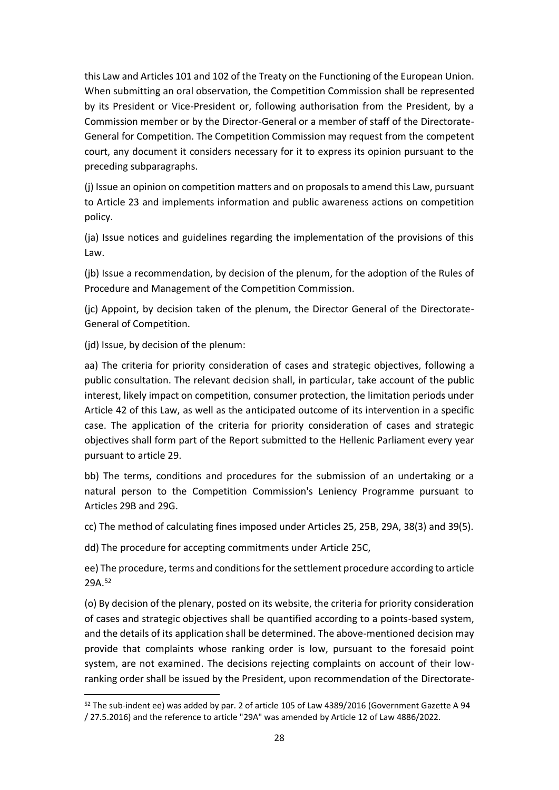this Law and Articles 101 and 102 of the Treaty on the Functioning of the European Union. When submitting an oral observation, the Competition Commission shall be represented by its President or Vice-President or, following authorisation from the President, by a Commission member or by the Director-General or a member of staff of the Directorate-General for Competition. The Competition Commission may request from the competent court, any document it considers necessary for it to express its opinion pursuant to the preceding subparagraphs.

(j) Issue an opinion on competition matters and on proposals to amend this Law, pursuant to Article 23 and implements information and public awareness actions on competition policy.

(ja) Issue notices and guidelines regarding the implementation of the provisions of this Law.

(jb) Issue a recommendation, by decision of the plenum, for the adoption of the Rules of Procedure and Management of the Competition Commission.

(jc) Appoint, by decision taken of the plenum, the Director General of the Directorate-General of Competition.

(jd) Issue, by decision of the plenum:

aa) The criteria for priority consideration of cases and strategic objectives, following a public consultation. The relevant decision shall, in particular, take account of the public interest, likely impact on competition, consumer protection, the limitation periods under Article 42 of this Law, as well as the anticipated outcome of its intervention in a specific case. The application of the criteria for priority consideration of cases and strategic objectives shall form part of the Report submitted to the Hellenic Parliament every year pursuant to article 29.

bb) The terms, conditions and procedures for the submission of an undertaking or a natural person to the Competition Commission's Leniency Programme pursuant to Articles 29B and 29G.

cc) The method of calculating fines imposed under Articles 25, 25B, 29A, 38(3) and 39(5).

dd) The procedure for accepting commitments under Article 25C,

ee) The procedure, terms and conditions for the settlement procedure according to article 29A. 52

(o) By decision of the plenary, posted on its website, the criteria for priority consideration of cases and strategic objectives shall be quantified according to a points-based system, and the details of its application shall be determined. The above-mentioned decision may provide that complaints whose ranking order is low, pursuant to the foresaid point system, are not examined. The decisions rejecting complaints on account of their lowranking order shall be issued by the President, upon recommendation of the Directorate-

<sup>52</sup> The sub-indent ee) was added by par. 2 of article 105 of Law 4389/2016 (Government Gazette A 94 / 27.5.2016) and the reference to article "29A" was amended by Article 12 of Law 4886/2022.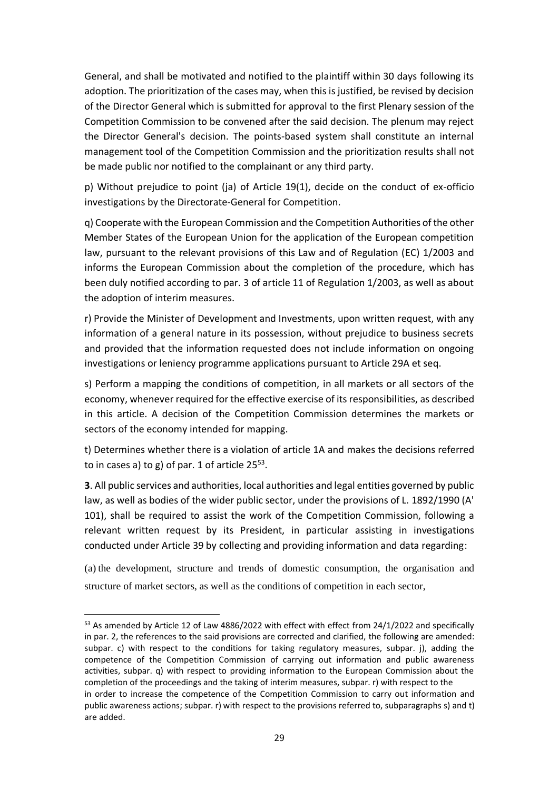General, and shall be motivated and notified to the plaintiff within 30 days following its adoption. The prioritization of the cases may, when this is justified, be revised by decision of the Director General which is submitted for approval to the first Plenary session of the Competition Commission to be convened after the said decision. The plenum may reject the Director General's decision. The points-based system shall constitute an internal management tool of the Competition Commission and the prioritization results shall not be made public nor notified to the complainant or any third party.

p) Without prejudice to point (ja) of Article 19(1), decide on the conduct of ex-officio investigations by the Directorate-General for Competition.

q) Cooperate with the European Commission and the Competition Authorities of the other Member States of the European Union for the application of the European competition law, pursuant to the relevant provisions of this Law and of Regulation (EC) 1/2003 and informs the European Commission about the completion of the procedure, which has been duly notified according to par. 3 of article 11 of Regulation 1/2003, as well as about the adoption of interim measures.

r) Provide the Minister of Development and Investments, upon written request, with any information of a general nature in its possession, without prejudice to business secrets and provided that the information requested does not include information on ongoing investigations or leniency programme applications pursuant to Article 29A et seq.

s) Perform a mapping the conditions of competition, in all markets or all sectors of the economy, whenever required for the effective exercise of its responsibilities, as described in this article. A decision of the Competition Commission determines the markets or sectors of the economy intended for mapping.

t) Determines whether there is a violation of article 1A and makes the decisions referred to in cases a) to g) of par. 1 of article  $25^{53}$ .

**3**. All public services and authorities, local authorities and legal entities governed by public law, as well as bodies of the wider public sector, under the provisions of L. 1892/1990 (A' 101), shall be required to assist the work of the Competition Commission, following a relevant written request by its President, in particular assisting in investigations conducted under Article 39 by collecting and providing information and data regarding:

(a) the development, structure and trends of domestic consumption, the organisation and structure of market sectors, as well as the conditions of competition in each sector,

<sup>53</sup> As amended by Article 12 of Law 4886/2022 with effect with effect from 24/1/2022 and specifically in par. 2, the references to the said provisions are corrected and clarified, the following are amended: subpar. c) with respect to the conditions for taking regulatory measures, subpar. j), adding the competence of the Competition Commission of carrying out information and public awareness activities, subpar. q) with respect to providing information to the European Commission about the completion of the proceedings and the taking of interim measures, subpar. r) with respect to the in order to increase the competence of the Competition Commission to carry out information and public awareness actions; subpar. r) with respect to the provisions referred to, subparagraphs s) and t) are added.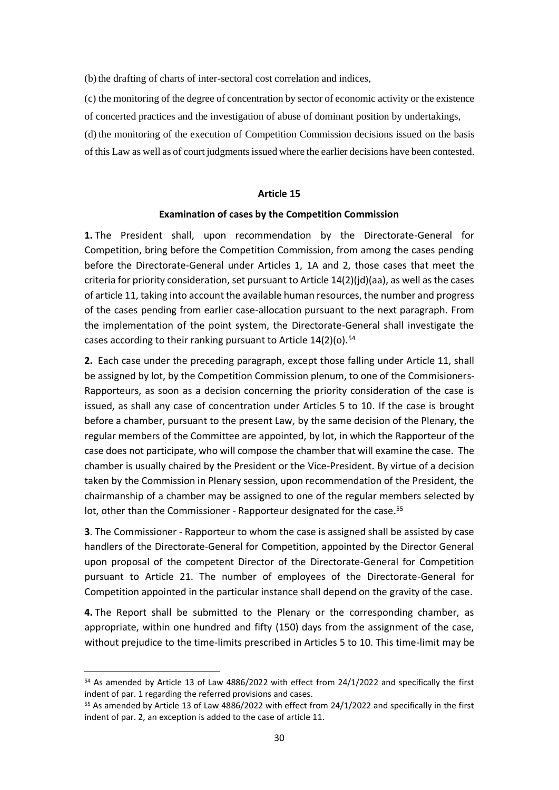(b)the drafting of charts of inter-sectoral cost correlation and indices,

(c) the monitoring of the degree of concentration by sector of economic activity or the existence of concerted practices and the investigation of abuse of dominant position by undertakings,

(d) the monitoring of the execution of Competition Commission decisions issued on the basis of this Law as well as of court judgments issued where the earlier decisions have been contested.

#### **Article 15**

#### **Examination of cases by the Competition Commission**

**1.** The President shall, upon recommendation by the Directorate-General for Competition, bring before the Competition Commission, from among the cases pending before the Directorate-General under Articles 1, 1A and 2, those cases that meet the criteria for priority consideration, set pursuant to Article  $14(2)(id)(aa)$ , as well as the cases of article 11, taking into account the available human resources, the number and progress of the cases pending from earlier case-allocation pursuant to the next paragraph. From the implementation of the point system, the Directorate-General shall investigate the cases according to their ranking pursuant to Article 14(2)(o).<sup>54</sup>

**2.** Each case under the preceding paragraph, except those falling under Article 11, shall be assigned by lot, by the Competition Commission plenum, to one of the Commisioners-Rapporteurs, as soon as a decision concerning the priority consideration of the case is issued, as shall any case of concentration under Articles 5 to 10. If the case is brought before a chamber, pursuant to the present Law, by the same decision of the Plenary, the regular members of the Committee are appointed, by lot, in which the Rapporteur of the case does not participate, who will compose the chamber that will examine the case. The chamber is usually chaired by the President or the Vice-President. By virtue of a decision taken by the Commission in Plenary session, upon recommendation of the President, the chairmanship of a chamber may be assigned to one of the regular members selected by lot, other than the Commissioner - Rapporteur designated for the case.<sup>55</sup>

**3**. The Commissioner - Rapporteur to whom the case is assigned shall be assisted by case handlers of the Directorate-General for Competition, appointed by the Director General upon proposal of the competent Director of the Directorate-General for Competition pursuant to Article 21. The number of employees of the Directorate-General for Competition appointed in the particular instance shall depend on the gravity of the case.

**4.** The Report shall be submitted to the Plenary or the corresponding chamber, as appropriate, within one hundred and fifty (150) days from the assignment of the case, without prejudice to the time-limits prescribed in Articles 5 to 10. This time-limit may be

<sup>&</sup>lt;sup>54</sup> As amended by Article 13 of Law 4886/2022 with effect from 24/1/2022 and specifically the first indent of par. 1 regarding the referred provisions and cases.

<sup>55</sup> As amended by Article 13 of Law 4886/2022 with effect from 24/1/2022 and specifically in the first indent of par. 2, an exception is added to the case of article 11.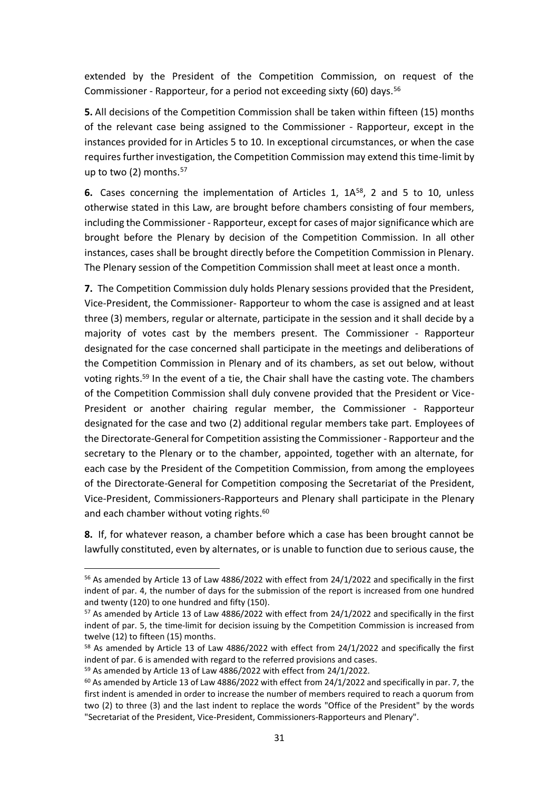extended by the President of the Competition Commission, on request of the Commissioner - Rapporteur, for a period not exceeding sixty (60) days. 56

**5.** All decisions of the Competition Commission shall be taken within fifteen (15) months of the relevant case being assigned to the Commissioner - Rapporteur, except in the instances provided for in Articles 5 to 10. In exceptional circumstances, or when the case requires further investigation, the Competition Commission may extend this time-limit by up to two (2) months. 57

**6.** Cases concerning the implementation of Articles 1, 1A<sup>58</sup>, 2 and 5 to 10, unless otherwise stated in this Law, are brought before chambers consisting of four members, including the Commissioner - Rapporteur, except for cases of major significance which are brought before the Plenary by decision of the Competition Commission. In all other instances, cases shall be brought directly before the Competition Commission in Plenary. The Plenary session of the Competition Commission shall meet at least once a month.

**7.** The Competition Commission duly holds Plenary sessions provided that the President, Vice-President, the Commissioner- Rapporteur to whom the case is assigned and at least three (3) members, regular or alternate, participate in the session and it shall decide by a majority of votes cast by the members present. The Commissioner - Rapporteur designated for the case concerned shall participate in the meetings and deliberations of the Competition Commission in Plenary and of its chambers, as set out below, without voting rights.<sup>59</sup> In the event of a tie, the Chair shall have the casting vote. The chambers of the Competition Commission shall duly convene provided that the President or Vice-President or another chairing regular member, the Commissioner - Rapporteur designated for the case and two (2) additional regular members take part. Employees of the Directorate-General for Competition assisting the Commissioner - Rapporteur and the secretary to the Plenary or to the chamber, appointed, together with an alternate, for each case by the President of the Competition Commission, from among the employees of the Directorate-General for Competition composing the Secretariat of the President, Vice-President, Commissioners-Rapporteurs and Plenary shall participate in the Plenary and each chamber without voting rights.<sup>60</sup>

**8.** If, for whatever reason, a chamber before which a case has been brought cannot be lawfully constituted, even by alternates, or is unable to function due to serious cause, the

<sup>56</sup> As amended by Article 13 of Law 4886/2022 with effect from 24/1/2022 and specifically in the first indent of par. 4, the number of days for the submission of the report is increased from one hundred and twenty (120) to one hundred and fifty (150).

<sup>57</sup> As amended by Article 13 of Law 4886/2022 with effect from 24/1/2022 and specifically in the first indent of par. 5, the time-limit for decision issuing by the Competition Commission is increased from twelve (12) to fifteen (15) months.

<sup>58</sup> As amended by Article 13 of Law 4886/2022 with effect from 24/1/2022 and specifically the first indent of par. 6 is amended with regard to the referred provisions and cases.

<sup>59</sup> As amended by Article 13 of Law 4886/2022 with effect from 24/1/2022.

 $60$  As amended by Article 13 of Law 4886/2022 with effect from 24/1/2022 and specifically in par. 7, the first indent is amended in order to increase the number of members required to reach a quorum from two (2) to three (3) and the last indent to replace the words "Office of the President" by the words "Secretariat of the President, Vice-President, Commissioners-Rapporteurs and Plenary".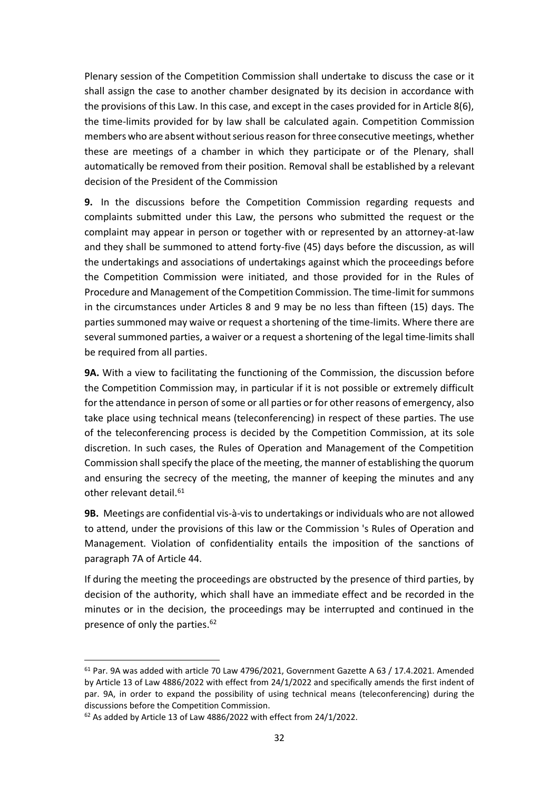Plenary session of the Competition Commission shall undertake to discuss the case or it shall assign the case to another chamber designated by its decision in accordance with the provisions of this Law. In this case, and except in the cases provided for in Article 8(6), the time-limits provided for by law shall be calculated again. Competition Commission members who are absent without serious reason for three consecutive meetings, whether these are meetings of a chamber in which they participate or of the Plenary, shall automatically be removed from their position. Removal shall be established by a relevant decision of the President of the Commission

**9.** In the discussions before the Competition Commission regarding requests and complaints submitted under this Law, the persons who submitted the request or the complaint may appear in person or together with or represented by an attorney-at-law and they shall be summoned to attend forty-five (45) days before the discussion, as will the undertakings and associations of undertakings against which the proceedings before the Competition Commission were initiated, and those provided for in the Rules of Procedure and Management of the Competition Commission. The time-limit for summons in the circumstances under Articles 8 and 9 may be no less than fifteen (15) days. The parties summoned may waive or request a shortening of the time-limits. Where there are several summoned parties, a waiver or a request a shortening of the legal time-limits shall be required from all parties.

**9Α.** With a view to facilitating the functioning of the Commission, the discussion before the Competition Commission may, in particular if it is not possible or extremely difficult for the attendance in person of some or all parties or for other reasons of emergency, also take place using technical means (teleconferencing) in respect of these parties. The use of the teleconferencing process is decided by the Competition Commission, at its sole discretion. In such cases, the Rules of Operation and Management of the Competition Commission shall specify the place of the meeting, the manner of establishing the quorum and ensuring the secrecy of the meeting, the manner of keeping the minutes and any other relevant detail. 61

**9Β.** Meetings are confidential vis-à-vis to undertakings or individuals who are not allowed to attend, under the provisions of this law or the Commission 's Rules of Operation and Management. Violation of confidentiality entails the imposition of the sanctions of paragraph 7A of Article 44.

If during the meeting the proceedings are obstructed by the presence of third parties, by decision of the authority, which shall have an immediate effect and be recorded in the minutes or in the decision, the proceedings may be interrupted and continued in the presence of only the parties. 62

 $61$  Par. 9A was added with article 70 Law 4796/2021, Government Gazette A 63 / 17.4.2021. Amended by Article 13 of Law 4886/2022 with effect from 24/1/2022 and specifically amends the first indent of par. 9A, in order to expand the possibility of using technical means (teleconferencing) during the discussions before the Competition Commission.

 $62$  As added by Article 13 of Law 4886/2022 with effect from 24/1/2022.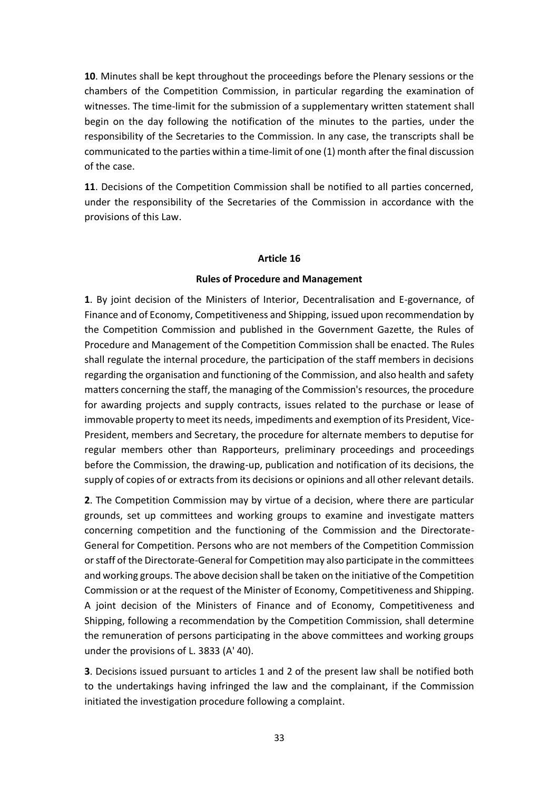**10**. Minutes shall be kept throughout the proceedings before the Plenary sessions or the chambers of the Competition Commission, in particular regarding the examination of witnesses. The time-limit for the submission of a supplementary written statement shall begin on the day following the notification of the minutes to the parties, under the responsibility of the Secretaries to the Commission. In any case, the transcripts shall be communicated to the parties within a time-limit of one (1) month after the final discussion of the case.

**11**. Decisions of the Competition Commission shall be notified to all parties concerned, under the responsibility of the Secretaries of the Commission in accordance with the provisions of this Law.

#### **Article 16**

#### **Rules of Procedure and Management**

**1**. By joint decision of the Ministers of Interior, Decentralisation and E-governance, of Finance and of Economy, Competitiveness and Shipping, issued upon recommendation by the Competition Commission and published in the Government Gazette, the Rules of Procedure and Management of the Competition Commission shall be enacted. The Rules shall regulate the internal procedure, the participation of the staff members in decisions regarding the organisation and functioning of the Commission, and also health and safety matters concerning the staff, the managing of the Commission's resources, the procedure for awarding projects and supply contracts, issues related to the purchase or lease of immovable property to meet its needs, impediments and exemption of its President, Vice-President, members and Secretary, the procedure for alternate members to deputise for regular members other than Rapporteurs, preliminary proceedings and proceedings before the Commission, the drawing-up, publication and notification of its decisions, the supply of copies of or extracts from its decisions or opinions and all other relevant details.

**2**. The Competition Commission may by virtue of a decision, where there are particular grounds, set up committees and working groups to examine and investigate matters concerning competition and the functioning of the Commission and the Directorate-General for Competition. Persons who are not members of the Competition Commission or staff of the Directorate-General for Competition may also participate in the committees and working groups. The above decision shall be taken on the initiative of the Competition Commission or at the request of the Minister of Economy, Competitiveness and Shipping. A joint decision of the Ministers of Finance and of Economy, Competitiveness and Shipping, following a recommendation by the Competition Commission, shall determine the remuneration of persons participating in the above committees and working groups under the provisions of L. 3833 (A' 40).

**3**. Decisions issued pursuant to articles 1 and 2 of the present law shall be notified both to the undertakings having infringed the law and the complainant, if the Commission initiated the investigation procedure following a complaint.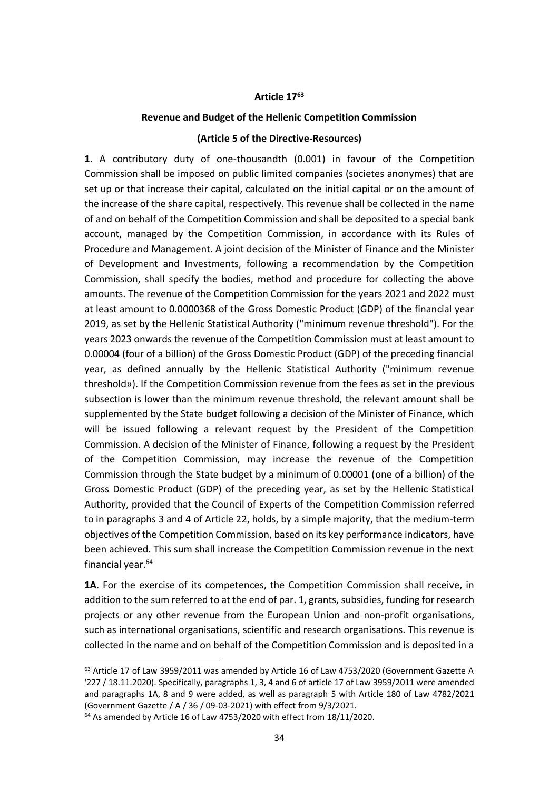#### **Article 17<sup>63</sup>**

### **Revenue and Budget of the Hellenic Competition Commission**

#### **(Article 5 of the Directive-Resources)**

**1**. A contributory duty of one-thousandth (0.001) in favour of the Competition Commission shall be imposed on public limited companies (societes anonymes) that are set up or that increase their capital, calculated on the initial capital or on the amount of the increase of the share capital, respectively. This revenue shall be collected in the name of and on behalf of the Competition Commission and shall be deposited to a special bank account, managed by the Competition Commission, in accordance with its Rules of Procedure and Management. A joint decision of the Minister of Finance and the Minister of Development and Investments, following a recommendation by the Competition Commission, shall specify the bodies, method and procedure for collecting the above amounts. The revenue of the Competition Commission for the years 2021 and 2022 must at least amount to 0.0000368 of the Gross Domestic Product (GDP) of the financial year 2019, as set by the Hellenic Statistical Authority ("minimum revenue threshold"). For the years 2023 onwards the revenue of the Competition Commission must at least amount to 0.00004 (four of a billion) of the Gross Domestic Product (GDP) of the preceding financial year, as defined annually by the Hellenic Statistical Authority ("minimum revenue threshold»). If the Competition Commission revenue from the fees as set in the previous subsection is lower than the minimum revenue threshold, the relevant amount shall be supplemented by the State budget following a decision of the Minister of Finance, which will be issued following a relevant request by the President of the Competition Commission. A decision of the Minister of Finance, following a request by the President of the Competition Commission, may increase the revenue of the Competition Commission through the State budget by a minimum of 0.00001 (one of a billion) of the Gross Domestic Product (GDP) of the preceding year, as set by the Hellenic Statistical Authority, provided that the Council of Experts of the Competition Commission referred to in paragraphs 3 and 4 of Article 22, holds, by a simple majority, that the medium-term objectives of the Competition Commission, based on its key performance indicators, have been achieved. This sum shall increase the Competition Commission revenue in the next financial year.<sup>64</sup>

**1A**. For the exercise of its competences, the Competition Commission shall receive, in addition to the sum referred to at the end of par. 1, grants, subsidies, funding for research projects or any other revenue from the European Union and non-profit organisations, such as international organisations, scientific and research organisations. This revenue is collected in the name and on behalf of the Competition Commission and is deposited in a

<sup>&</sup>lt;sup>63</sup> Article 17 of Law 3959/2011 was amended by Article 16 of Law 4753/2020 (Government Gazette A '227 / 18.11.2020). Specifically, paragraphs 1, 3, 4 and 6 of article 17 of Law 3959/2011 were amended and paragraphs 1A, 8 and 9 were added, as well as paragraph 5 with Article 180 of Law 4782/2021 (Government Gazette / Α / 36 / 09-03-2021) with effect from 9/3/2021.

<sup>64</sup> As amended by Article 16 of Law 4753/2020 with effect from 18/11/2020.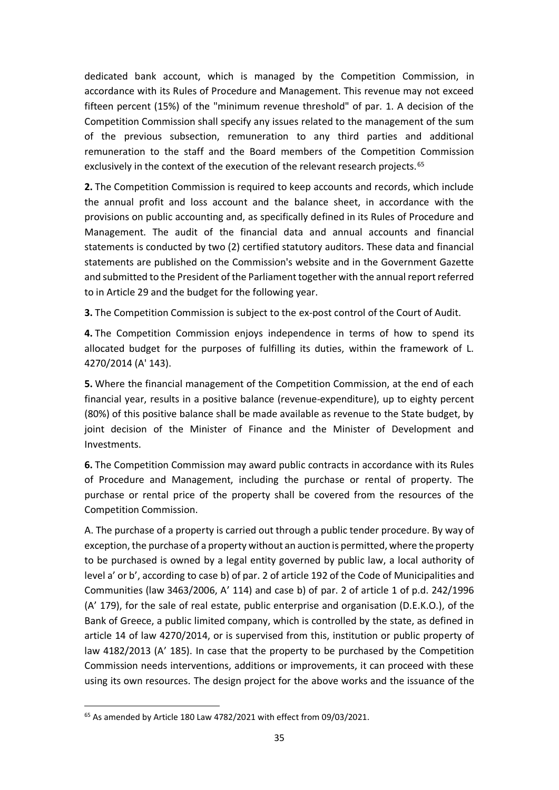dedicated bank account, which is managed by the Competition Commission, in accordance with its Rules of Procedure and Management. This revenue may not exceed fifteen percent (15%) of the "minimum revenue threshold" of par. 1. A decision of the Competition Commission shall specify any issues related to the management of the sum of the previous subsection, remuneration to any third parties and additional remuneration to the staff and the Board members of the Competition Commission exclusively in the context of the execution of the relevant research projects.<sup>65</sup>

**2.** The Competition Commission is required to keep accounts and records, which include the annual profit and loss account and the balance sheet, in accordance with the provisions on public accounting and, as specifically defined in its Rules of Procedure and Management. The audit of the financial data and annual accounts and financial statements is conducted by two (2) certified statutory auditors. These data and financial statements are published on the Commission's website and in the Government Gazette and submitted to the President of the Parliament together with the annual report referred to in Article 29 and the budget for the following year.

**3.** The Competition Commission is subject to the ex-post control of the Court of Audit.

**4.** The Competition Commission enjoys independence in terms of how to spend its allocated budget for the purposes of fulfilling its duties, within the framework of L. 4270/2014 (A' 143).

**5.** Where the financial management of the Competition Commission, at the end of each financial year, results in a positive balance (revenue-expenditure), up to eighty percent (80%) of this positive balance shall be made available as revenue to the State budget, by joint decision of the Minister of Finance and the Minister of Development and Investments.

**6.** The Competition Commission may award public contracts in accordance with its Rules of Procedure and Management, including the purchase or rental of property. The purchase or rental price of the property shall be covered from the resources of the Competition Commission.

Α. The purchase of a property is carried out through a public tender procedure. By way of exception, the purchase of a property without an auction is permitted, where the property to be purchased is owned by a legal entity governed by public law, a local authority of level a' or b', according to case b) of par. 2 of article 192 of the Code of Municipalities and Communities (law 3463/2006, A' 114) and case b) of par. 2 of article 1 of p.d. 242/1996 (A' 179), for the sale of real estate, public enterprise and organisation (D.E.K.O.), of the Bank of Greece, a public limited company, which is controlled by the state, as defined in article 14 of law 4270/2014, or is supervised from this, institution or public property of law 4182/2013 (A' 185). In case that the property to be purchased by the Competition Commission needs interventions, additions or improvements, it can proceed with these using its own resources. The design project for the above works and the issuance of the

<sup>65</sup> As amended by Article 180 Law 4782/2021 with effect from 09/03/2021.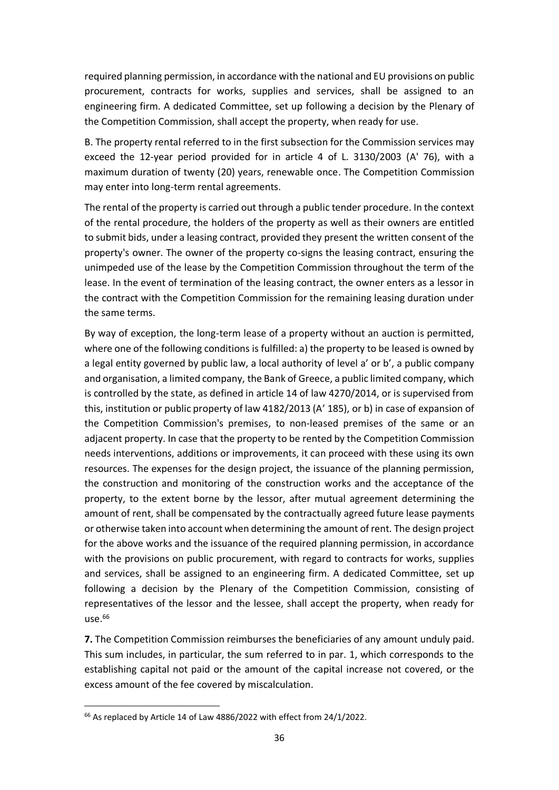required planning permission, in accordance with the national and EU provisions on public procurement, contracts for works, supplies and services, shall be assigned to an engineering firm. A dedicated Committee, set up following a decision by the Plenary of the Competition Commission, shall accept the property, when ready for use.

B. The property rental referred to in the first subsection for the Commission services may exceed the 12-year period provided for in article 4 of L. 3130/2003 (Α' 76), with a maximum duration of twenty (20) years, renewable once. The Competition Commission may enter into long-term rental agreements.

The rental of the property is carried out through a public tender procedure. In the context of the rental procedure, the holders of the property as well as their owners are entitled to submit bids, under a leasing contract, provided they present the written consent of the property's owner. The owner of the property co-signs the leasing contract, ensuring the unimpeded use of the lease by the Competition Commission throughout the term of the lease. In the event of termination of the leasing contract, the owner enters as a lessor in the contract with the Competition Commission for the remaining leasing duration under the same terms.

By way of exception, the long-term lease of a property without an auction is permitted, where one of the following conditions is fulfilled: a) the property to be leased is owned by a legal entity governed by public law, a local authority of level a' or b', a public company and organisation, a limited company, the Bank of Greece, a public limited company, which is controlled by the state, as defined in article 14 of law 4270/2014, or is supervised from this, institution or public property of law 4182/2013 (A' 185), or b) in case of expansion of the Competition Commission's premises, to non-leased premises of the same or an adjacent property. In case that the property to be rented by the Competition Commission needs interventions, additions or improvements, it can proceed with these using its own resources. The expenses for the design project, the issuance of the planning permission, the construction and monitoring of the construction works and the acceptance of the property, to the extent borne by the lessor, after mutual agreement determining the amount of rent, shall be compensated by the contractually agreed future lease payments or otherwise taken into account when determining the amount of rent. The design project for the above works and the issuance of the required planning permission, in accordance with the provisions on public procurement, with regard to contracts for works, supplies and services, shall be assigned to an engineering firm. A dedicated Committee, set up following a decision by the Plenary of the Competition Commission, consisting of representatives of the lessor and the lessee, shall accept the property, when ready for use. 66

**7.** The Competition Commission reimburses the beneficiaries of any amount unduly paid. This sum includes, in particular, the sum referred to in par. 1, which corresponds to the establishing capital not paid or the amount of the capital increase not covered, or the excess amount of the fee covered by miscalculation.

<sup>&</sup>lt;sup>66</sup> As replaced by Article 14 of Law 4886/2022 with effect from 24/1/2022.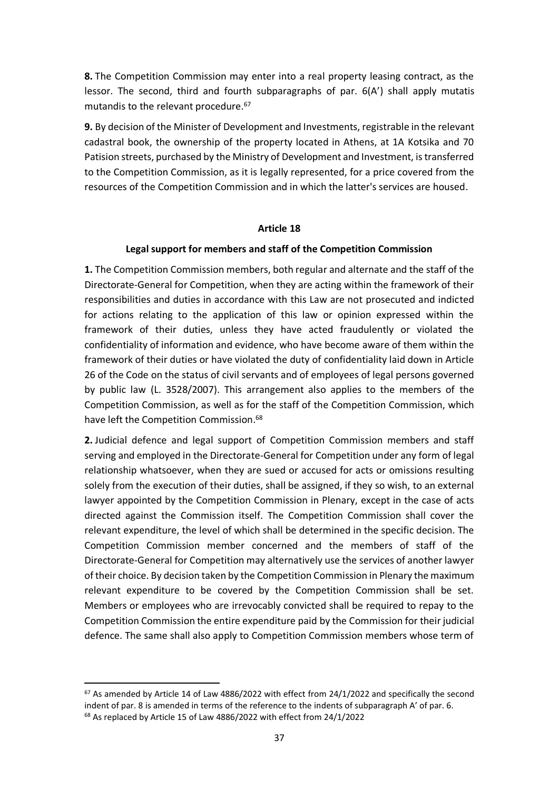**8.** The Competition Commission may enter into a real property leasing contract, as the lessor. The second, third and fourth subparagraphs of par. 6(A') shall apply mutatis mutandis to the relevant procedure. 67

**9.** By decision of the Minister of Development and Investments, registrable in the relevant cadastral book, the ownership of the property located in Athens, at 1A Kotsika and 70 Patision streets, purchased by the Ministry of Development and Investment, is transferred to the Competition Commission, as it is legally represented, for a price covered from the resources of the Competition Commission and in which the latter's services are housed.

### **Article 18**

### **Legal support for members and staff of the Competition Commission**

**1.** The Competition Commission members, both regular and alternate and the staff of the Directorate-General for Competition, when they are acting within the framework of their responsibilities and duties in accordance with this Law are not prosecuted and indicted for actions relating to the application of this law or opinion expressed within the framework of their duties, unless they have acted fraudulently or violated the confidentiality of information and evidence, who have become aware of them within the framework of their duties or have violated the duty of confidentiality laid down in Article 26 of the Code on the status of civil servants and of employees of legal persons governed by public law (L. 3528/2007). This arrangement also applies to the members of the Competition Commission, as well as for the staff of the Competition Commission, which have left the Competition Commission. 68

**2.** Judicial defence and legal support of Competition Commission members and staff serving and employed in the Directorate-General for Competition under any form of legal relationship whatsoever, when they are sued or accused for acts or omissions resulting solely from the execution of their duties, shall be assigned, if they so wish, to an external lawyer appointed by the Competition Commission in Plenary, except in the case of acts directed against the Commission itself. The Competition Commission shall cover the relevant expenditure, the level of which shall be determined in the specific decision. The Competition Commission member concerned and the members of staff of the Directorate-General for Competition may alternatively use the services of another lawyer of their choice. By decision taken by the Competition Commission in Plenary the maximum relevant expenditure to be covered by the Competition Commission shall be set. Members or employees who are irrevocably convicted shall be required to repay to the Competition Commission the entire expenditure paid by the Commission for their judicial defence. The same shall also apply to Competition Commission members whose term of

 $67$  As amended by Article 14 of Law 4886/2022 with effect from 24/1/2022 and specifically the second indent of par. 8 is amended in terms of the reference to the indents of subparagraph A' of par. 6. <sup>68</sup> As replaced by Article 15 of Law 4886/2022 with effect from 24/1/2022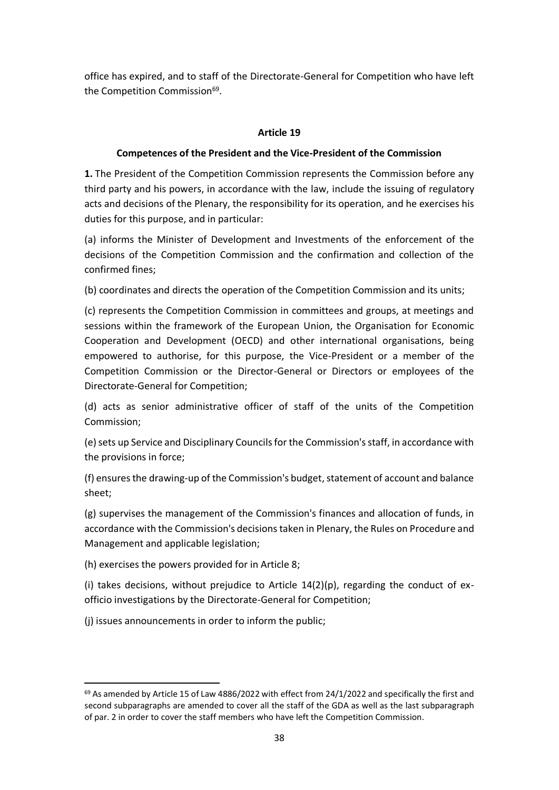office has expired, and to staff of the Directorate-General for Competition who have left the Competition Commission<sup>69</sup>.

# **Article 19**

### **Competences of the President and the Vice-President of the Commission**

**1.** The President of the Competition Commission represents the Commission before any third party and his powers, in accordance with the law, include the issuing of regulatory acts and decisions of the Plenary, the responsibility for its operation, and he exercises his duties for this purpose, and in particular:

(a) informs the Minister of Development and Investments of the enforcement of the decisions of the Competition Commission and the confirmation and collection of the confirmed fines;

(b) coordinates and directs the operation of the Competition Commission and its units;

(c) represents the Competition Commission in committees and groups, at meetings and sessions within the framework of the European Union, the Organisation for Economic Cooperation and Development (OECD) and other international organisations, being empowered to authorise, for this purpose, the Vice-President or a member of the Competition Commission or the Director-General or Directors or employees of the Directorate-General for Competition;

(d) acts as senior administrative officer of staff of the units of the Competition Commission;

(e)sets up Service and Disciplinary Councils for the Commission's staff, in accordance with the provisions in force;

(f) ensures the drawing-up of the Commission's budget, statement of account and balance sheet;

(g) supervises the management of the Commission's finances and allocation of funds, in accordance with the Commission's decisions taken in Plenary, the Rules on Procedure and Management and applicable legislation;

(h) exercises the powers provided for in Article 8;

(i) takes decisions, without prejudice to Article  $14(2)(p)$ , regarding the conduct of exofficio investigations by the Directorate-General for Competition;

(j) issues announcements in order to inform the public;

 $69$  As amended by Article 15 of Law 4886/2022 with effect from 24/1/2022 and specifically the first and second subparagraphs are amended to cover all the staff of the GDA as well as the last subparagraph of par. 2 in order to cover the staff members who have left the Competition Commission.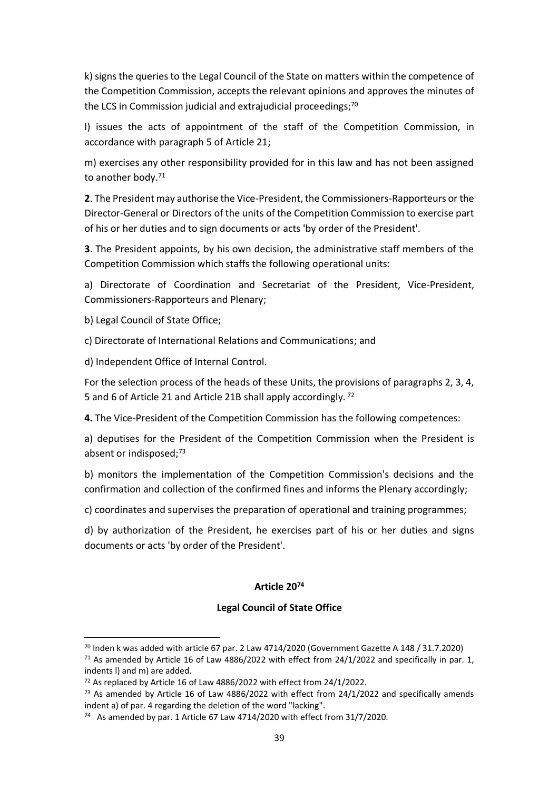k) signs the queries to the Legal Council of the State on matters within the competence of the Competition Commission, accepts the relevant opinions and approves the minutes of the LCS in Commission judicial and extrajudicial proceedings;<sup>70</sup>

l) issues the acts of appointment of the staff of the Competition Commission, in accordance with paragraph 5 of Article 21;

m) exercises any other responsibility provided for in this law and has not been assigned to another body. 71

**2**. The President may authorise the Vice-President, the Commissioners-Rapporteurs or the Director-General or Directors of the units of the Competition Commission to exercise part of his or her duties and to sign documents or acts 'by order of the President'.

**3**. The President appoints, by his own decision, the administrative staff members of the Competition Commission which staffs the following operational units:

a) Directorate of Coordination and Secretariat of the President, Vice-President, Commissioners-Rapporteurs and Plenary;

b) Legal Council of State Office;

c) Directorate of International Relations and Communications; and

d) Independent Office of Internal Control.

For the selection process of the heads of these Units, the provisions of paragraphs 2, 3, 4, 5 and 6 of Article 21 and Article 21B shall apply accordingly. <sup>72</sup>

**4.** The Vice-President of the Competition Commission has the following competences:

a) deputises for the President of the Competition Commission when the President is absent or indisposed;<sup>73</sup>

b) monitors the implementation of the Competition Commission's decisions and the confirmation and collection of the confirmed fines and informs the Plenary accordingly;

c) coordinates and supervises the preparation of operational and training programmes;

d) by authorization of the President, he exercises part of his or her duties and signs documents or acts 'by order of the President'.

# **Article 20<sup>74</sup>**

# **Legal Council of State Office**

 $70$  Inden k was added with article 67 par. 2 Law 4714/2020 (Government Gazette A 148 / 31.7.2020)  $71$  As amended by Article 16 of Law 4886/2022 with effect from 24/1/2022 and specifically in par. 1, indents l) and m) are added.

<sup>72</sup> As replaced by Article 16 of Law 4886/2022 with effect from 24/1/2022.

 $73$  As amended by Article 16 of Law 4886/2022 with effect from 24/1/2022 and specifically amends indent a) of par. 4 regarding the deletion of the word "lacking".

<sup>&</sup>lt;sup>74</sup> As amended by par. 1 Article 67 Law 4714/2020 with effect from 31/7/2020.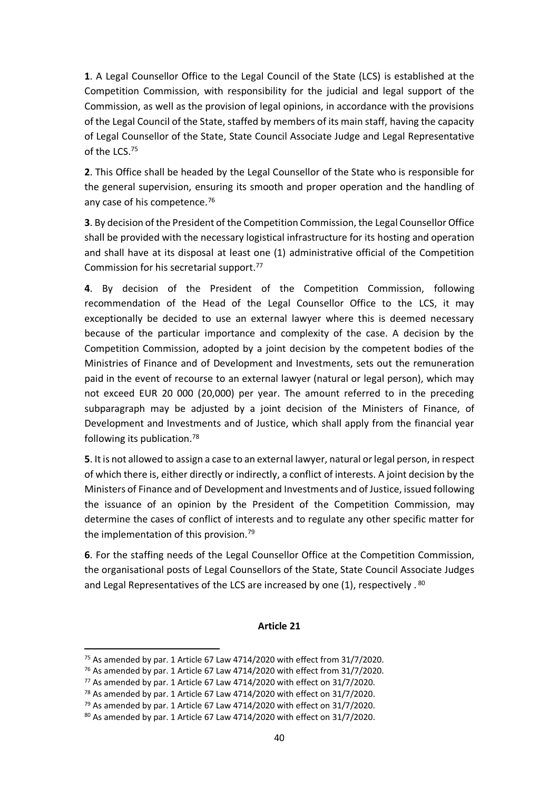**1**. A Legal Counsellor Office to the Legal Council of the State (LCS) is established at the Competition Commission, with responsibility for the judicial and legal support of the Commission, as well as the provision of legal opinions, in accordance with the provisions of the Legal Council of the State, staffed by members of its main staff, having the capacity of Legal Counsellor of the State, State Council Associate Judge and Legal Representative of the LCS. 75

**2**. This Office shall be headed by the Legal Counsellor of the State who is responsible for the general supervision, ensuring its smooth and proper operation and the handling of any case of his competence. 76

**3**. By decision of the President of the Competition Commission, the Legal Counsellor Office shall be provided with the necessary logistical infrastructure for its hosting and operation and shall have at its disposal at least one (1) administrative official of the Competition Commission for his secretarial support. 77

**4**. By decision of the President of the Competition Commission, following recommendation of the Head of the Legal Counsellor Office to the LCS, it may exceptionally be decided to use an external lawyer where this is deemed necessary because of the particular importance and complexity of the case. A decision by the Competition Commission, adopted by a joint decision by the competent bodies of the Ministries of Finance and of Development and Investments, sets out the remuneration paid in the event of recourse to an external lawyer (natural or legal person), which may not exceed EUR 20 000 (20,000) per year. The amount referred to in the preceding subparagraph may be adjusted by a joint decision of the Ministers of Finance, of Development and Investments and of Justice, which shall apply from the financial year following its publication. 78

**5**. Itis not allowed to assign a case to an external lawyer, natural or legal person, in respect of which there is, either directly or indirectly, a conflict of interests. A joint decision by the Ministers of Finance and of Development and Investments and of Justice, issued following the issuance of an opinion by the President of the Competition Commission, may determine the cases of conflict of interests and to regulate any other specific matter for the implementation of this provision. 79

**6**. For the staffing needs of the Legal Counsellor Office at the Competition Commission, the organisational posts of Legal Counsellors of the State, State Council Associate Judges and Legal Representatives of the LCS are increased by one (1), respectively. <sup>80</sup>

#### **Article 21**

<sup>&</sup>lt;sup>75</sup> As amended by par. 1 Article 67 Law 4714/2020 with effect from 31/7/2020.

<sup>76</sup> As amended by par. 1 Article 67 Law 4714/2020 with effect from 31/7/2020.

<sup>77</sup> As amended by par. 1 Article 67 Law 4714/2020 with effect on 31/7/2020.

 $78$  As amended by par. 1 Article 67 Law 4714/2020 with effect on 31/7/2020.

 $79$  As amended by par. 1 Article 67 Law 4714/2020 with effect on 31/7/2020.

 $80$  As amended by par. 1 Article 67 Law 4714/2020 with effect on 31/7/2020.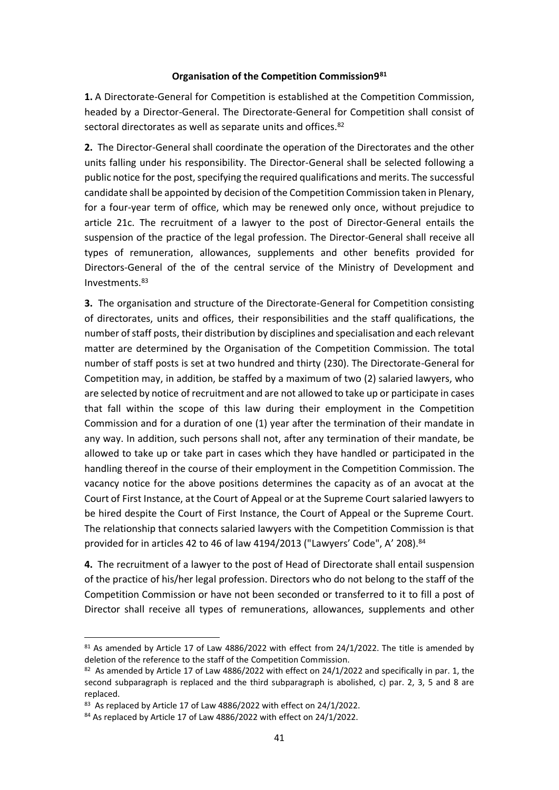#### **Organisation of the Competition Commission9<sup>81</sup>**

**1.** A Directorate-General for Competition is established at the Competition Commission, headed by a Director-General. The Directorate-General for Competition shall consist of sectoral directorates as well as separate units and offices.<sup>82</sup>

**2.** The Director-General shall coordinate the operation of the Directorates and the other units falling under his responsibility. The Director-General shall be selected following a public notice for the post, specifying the required qualifications and merits. The successful candidate shall be appointed by decision of the Competition Commission taken in Plenary, for a four-year term of office, which may be renewed only once, without prejudice to article 21c. The recruitment of a lawyer to the post of Director-General entails the suspension of the practice of the legal profession. The Director-General shall receive all types of remuneration, allowances, supplements and other benefits provided for Directors-General of the of the central service of the Ministry of Development and Investments. 83

**3.** The organisation and structure of the Directorate-General for Competition consisting of directorates, units and offices, their responsibilities and the staff qualifications, the number of staff posts, their distribution by disciplines and specialisation and each relevant matter are determined by the Organisation of the Competition Commission. The total number of staff posts is set at two hundred and thirty (230). The Directorate-General for Competition may, in addition, be staffed by a maximum of two (2) salaried lawyers, who are selected by notice of recruitment and are not allowed to take up or participate in cases that fall within the scope of this law during their employment in the Competition Commission and for a duration of one (1) year after the termination of their mandate in any way. In addition, such persons shall not, after any termination of their mandate, be allowed to take up or take part in cases which they have handled or participated in the handling thereof in the course of their employment in the Competition Commission. The vacancy notice for the above positions determines the capacity as of an avocat at the Court of First Instance, at the Court of Appeal or at the Supreme Court salaried lawyers to be hired despite the Court of First Instance, the Court of Appeal or the Supreme Court. The relationship that connects salaried lawyers with the Competition Commission is that provided for in articles 42 to 46 of law 4194/2013 ("Lawyers' Code", A' 208).<sup>84</sup>

**4.** The recruitment of a lawyer to the post of Head of Directorate shall entail suspension of the practice of his/her legal profession. Directors who do not belong to the staff of the Competition Commission or have not been seconded or transferred to it to fill a post of Director shall receive all types of remunerations, allowances, supplements and other

 $81$  As amended by Article 17 of Law 4886/2022 with effect from 24/1/2022. The title is amended by deletion of the reference to the staff of the Competition Commission.

 $82$  As amended by Article 17 of Law 4886/2022 with effect on 24/1/2022 and specifically in par. 1, the second subparagraph is replaced and the third subparagraph is abolished, c) par. 2, 3, 5 and 8 are replaced.

<sup>&</sup>lt;sup>83</sup> As replaced by Article 17 of Law 4886/2022 with effect on 24/1/2022.

<sup>84</sup> As replaced by Article 17 of Law 4886/2022 with effect on 24/1/2022.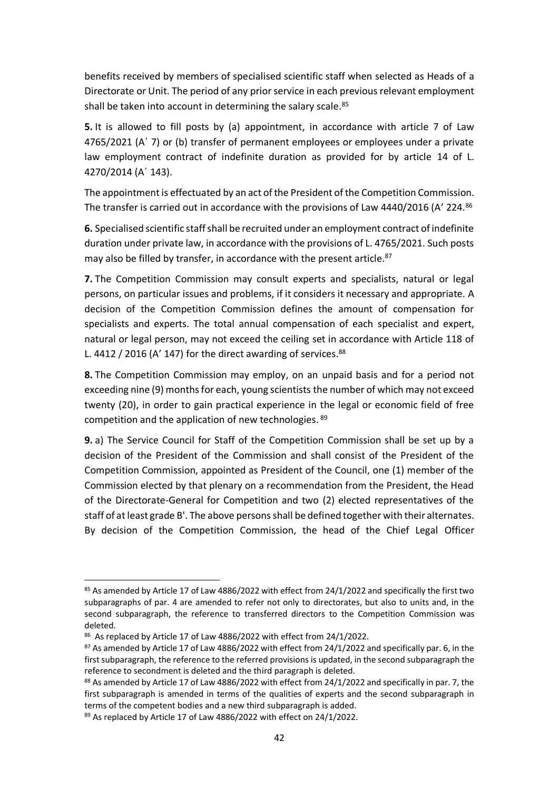benefits received by members of specialised scientific staff when selected as Heads of a Directorate or Unit. The period of any prior service in each previous relevant employment shall be taken into account in determining the salary scale.<sup>85</sup>

**5.** It is allowed to fill posts by (a) appointment, in accordance with article 7 of Law 4765/2021 (Α΄ 7) or (b) transfer of permanent employees or employees under a private law employment contract of indefinite duration as provided for by article 14 of L. 4270/2014 (Α΄ 143).

The appointment is effectuated by an act of the President of the Competition Commission. The transfer is carried out in accordance with the provisions of Law 4440/2016 (A' 224.<sup>86</sup>

**6.** Specialised scientific staff shall be recruited under an employment contract of indefinite duration under private law, in accordance with the provisions of L. 4765/2021. Such posts may also be filled by transfer, in accordance with the present article.<sup>87</sup>

**7.** The Competition Commission may consult experts and specialists, natural or legal persons, on particular issues and problems, if it considers it necessary and appropriate. A decision of the Competition Commission defines the amount of compensation for specialists and experts. The total annual compensation of each specialist and expert, natural or legal person, may not exceed the ceiling set in accordance with Article 118 of L. 4412 / 2016 (A' 147) for the direct awarding of services.  $88$ 

**8.** The Competition Commission may employ, on an unpaid basis and for a period not exceeding nine (9) months for each, young scientists the number of which may not exceed twenty (20), in order to gain practical experience in the legal or economic field of free competition and the application of new technologies. 89

**9.** a) The Service Council for Staff of the Competition Commission shall be set up by a decision of the President of the Commission and shall consist of the President of the Competition Commission, appointed as President of the Council, one (1) member of the Commission elected by that plenary on a recommendation from the President, the Head of the Directorate-General for Competition and two (2) elected representatives of the staff of at least grade B'. The above persons shall be defined together with their alternates. By decision of the Competition Commission, the head of the Chief Legal Officer

<sup>85</sup> As amended by Article 17 of Law 4886/2022 with effect from 24/1/2022 and specifically the first two subparagraphs of par. 4 are amended to refer not only to directorates, but also to units and, in the second subparagraph, the reference to transferred directors to the Competition Commission was deleted.

<sup>86</sup> As replaced by Article 17 of Law 4886/2022 with effect from 24/1/2022.

 $87$  As amended by Article 17 of Law 4886/2022 with effect from 24/1/2022 and specifically par. 6, in the first subparagraph, the reference to the referred provisions is updated, in the second subparagraph the reference to secondment is deleted and the third paragraph is deleted.

<sup>88</sup> As amended by Article 17 of Law 4886/2022 with effect from 24/1/2022 and specifically in par. 7, the first subparagraph is amended in terms of the qualities of experts and the second subparagraph in terms of the competent bodies and a new third subparagraph is added.

<sup>89</sup> As replaced by Article 17 of Law 4886/2022 with effect on 24/1/2022.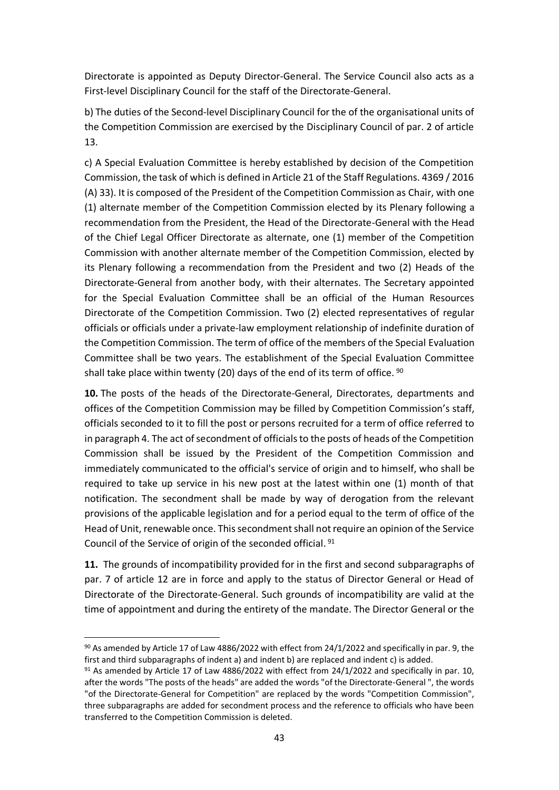Directorate is appointed as Deputy Director-General. The Service Council also acts as a First-level Disciplinary Council for the staff of the Directorate-General.

b) The duties of the Second-level Disciplinary Council for the of the organisational units of the Competition Commission are exercised by the Disciplinary Council of par. 2 of article 13.

c) A Special Evaluation Committee is hereby established by decision of the Competition Commission, the task of which is defined in Article 21 of the Staff Regulations. 4369 / 2016 (A) 33). It is composed of the President of the Competition Commission as Chair, with one (1) alternate member of the Competition Commission elected by its Plenary following a recommendation from the President, the Head of the Directorate-General with the Head of the Chief Legal Officer Directorate as alternate, one (1) member of the Competition Commission with another alternate member of the Competition Commission, elected by its Plenary following a recommendation from the President and two (2) Heads of the Directorate-General from another body, with their alternates. The Secretary appointed for the Special Evaluation Committee shall be an official of the Human Resources Directorate of the Competition Commission. Two (2) elected representatives of regular officials or officials under a private-law employment relationship of indefinite duration of the Competition Commission. The term of office of the members of the Special Evaluation Committee shall be two years. The establishment of the Special Evaluation Committee shall take place within twenty (20) days of the end of its term of office. <sup>90</sup>

**10.** The posts of the heads of the Directorate-General, Directorates, departments and offices of the Competition Commission may be filled by Competition Commission's staff, officials seconded to it to fill the post or persons recruited for a term of office referred to in paragraph 4. The act of secondment of officials to the posts of heads of the Competition Commission shall be issued by the President of the Competition Commission and immediately communicated to the official's service of origin and to himself, who shall be required to take up service in his new post at the latest within one (1) month of that notification. The secondment shall be made by way of derogation from the relevant provisions of the applicable legislation and for a period equal to the term of office of the Head of Unit, renewable once. This secondment shall not require an opinion of the Service Council of the Service of origin of the seconded official. 91

**11.** The grounds of incompatibility provided for in the first and second subparagraphs of par. 7 of article 12 are in force and apply to the status of Director General or Head of Directorate of the Directorate-General. Such grounds of incompatibility are valid at the time of appointment and during the entirety of the mandate. The Director General or the

<sup>90</sup> As amended by Article 17 of Law 4886/2022 with effect from 24/1/2022 and specifically in par. 9, the first and third subparagraphs of indent a) and indent b) are replaced and indent c) is added.

 $91$  As amended by Article 17 of Law 4886/2022 with effect from 24/1/2022 and specifically in par. 10, after the words "The posts of the heads" are added the words "of the Directorate-General ", the words "of the Directorate-General for Competition" are replaced by the words "Competition Commission", three subparagraphs are added for secondment process and the reference to officials who have been transferred to the Competition Commission is deleted.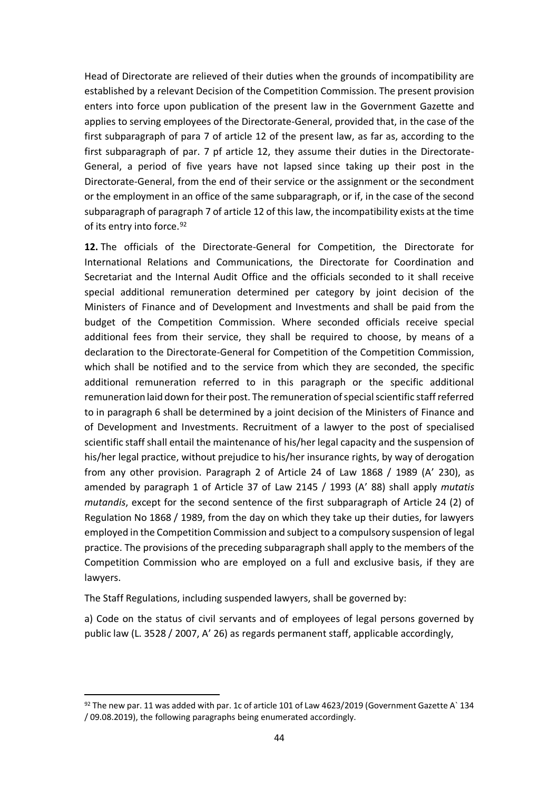Head of Directorate are relieved of their duties when the grounds of incompatibility are established by a relevant Decision of the Competition Commission. The present provision enters into force upon publication of the present law in the Government Gazette and applies to serving employees of the Directorate-General, provided that, in the case of the first subparagraph of para 7 of article 12 of the present law, as far as, according to the first subparagraph of par. 7 pf article 12, they assume their duties in the Directorate-General, a period of five years have not lapsed since taking up their post in the Directorate-General, from the end of their service or the assignment or the secondment or the employment in an office of the same subparagraph, or if, in the case of the second subparagraph of paragraph 7 of article 12 of this law, the incompatibility exists at the time of its entry into force.<sup>92</sup>

**12.** The officials of the Directorate-General for Competition, the Directorate for International Relations and Communications, the Directorate for Coordination and Secretariat and the Internal Audit Office and the officials seconded to it shall receive special additional remuneration determined per category by joint decision of the Ministers of Finance and of Development and Investments and shall be paid from the budget of the Competition Commission. Where seconded officials receive special additional fees from their service, they shall be required to choose, by means of a declaration to the Directorate-General for Competition of the Competition Commission, which shall be notified and to the service from which they are seconded, the specific additional remuneration referred to in this paragraph or the specific additional remuneration laid down for their post. The remuneration of special scientific staff referred to in paragraph 6 shall be determined by a joint decision of the Ministers of Finance and of Development and Investments. Recruitment of a lawyer to the post of specialised scientific staff shall entail the maintenance of his/her legal capacity and the suspension of his/her legal practice, without prejudice to his/her insurance rights, by way of derogation from any other provision. Paragraph 2 of Article 24 of Law 1868 / 1989 (A' 230), as amended by paragraph 1 of Article 37 of Law 2145 / 1993 (A' 88) shall apply *mutatis mutandis*, except for the second sentence of the first subparagraph of Article 24 (2) of Regulation No 1868 / 1989, from the day on which they take up their duties, for lawyers employed in the Competition Commission and subject to a compulsory suspension of legal practice. The provisions of the preceding subparagraph shall apply to the members of the Competition Commission who are employed on a full and exclusive basis, if they are lawyers.

The Staff Regulations, including suspended lawyers, shall be governed by:

a) Code on the status of civil servants and of employees of legal persons governed by public law (L. 3528 / 2007, A' 26) as regards permanent staff, applicable accordingly,

 $92$  The new par. 11 was added with par. 1c of article 101 of Law 4623/2019 (Government Gazette A` 134 / 09.08.2019), the following paragraphs being enumerated accordingly.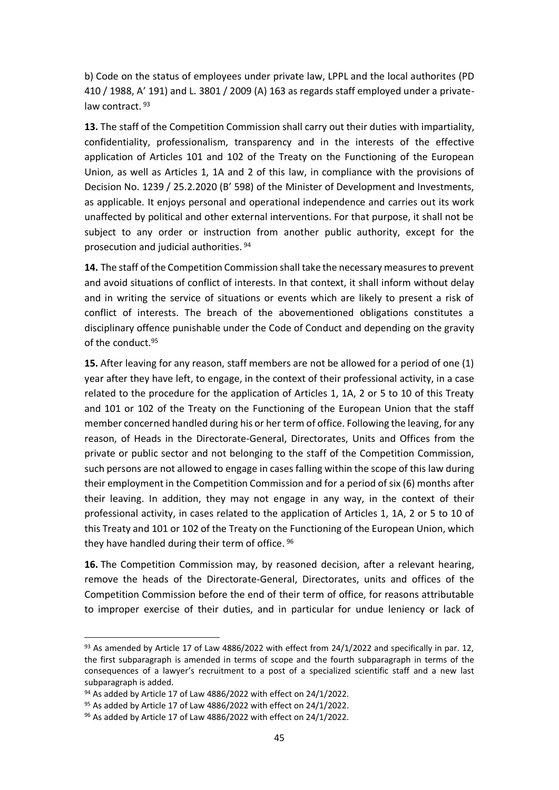b) Code on the status of employees under private law, LPPL and the local authorites (PD 410 / 1988, A' 191) and L. 3801 / 2009 (A) 163 as regards staff employed under a privatelaw contract. 93

**13.** The staff of the Competition Commission shall carry out their duties with impartiality, confidentiality, professionalism, transparency and in the interests of the effective application of Articles 101 and 102 of the Treaty on the Functioning of the European Union, as well as Articles 1, 1A and 2 of this law, in compliance with the provisions of Decision No. 1239 / 25.2.2020 (B' 598) of the Minister of Development and Investments, as applicable. It enjoys personal and operational independence and carries out its work unaffected by political and other external interventions. For that purpose, it shall not be subject to any order or instruction from another public authority, except for the prosecution and judicial authorities. 94

**14.** The staff of the Competition Commission shall take the necessary measures to prevent and avoid situations of conflict of interests. In that context, it shall inform without delay and in writing the service of situations or events which are likely to present a risk of conflict of interests. The breach of the abovementioned obligations constitutes a disciplinary offence punishable under the Code of Conduct and depending on the gravity of the conduct. 95

**15.** After leaving for any reason, staff members are not be allowed for a period of one (1) year after they have left, to engage, in the context of their professional activity, in a case related to the procedure for the application of Articles 1, 1A, 2 or 5 to 10 of this Treaty and 101 or 102 of the Treaty on the Functioning of the European Union that the staff member concerned handled during his or her term of office. Following the leaving, for any reason, of Heads in the Directorate-General, Directorates, Units and Offices from the private or public sector and not belonging to the staff of the Competition Commission, such persons are not allowed to engage in cases falling within the scope of this law during their employment in the Competition Commission and for a period of six (6) months after their leaving. In addition, they may not engage in any way, in the context of their professional activity, in cases related to the application of Articles 1, 1A, 2 or 5 to 10 of this Treaty and 101 or 102 of the Treaty on the Functioning of the European Union, which they have handled during their term of office. <sup>96</sup>

**16.** The Competition Commission may, by reasoned decision, after a relevant hearing, remove the heads of the Directorate-General, Directorates, units and offices of the Competition Commission before the end of their term of office, for reasons attributable to improper exercise of their duties, and in particular for undue leniency or lack of

 $93$  As amended by Article 17 of Law 4886/2022 with effect from 24/1/2022 and specifically in par. 12, the first subparagraph is amended in terms of scope and the fourth subparagraph in terms of the consequences of a lawyer's recruitment to a post of a specialized scientific staff and a new last subparagraph is added.

 $94$  As added by Article 17 of Law 4886/2022 with effect on 24/1/2022.

 $95$  As added by Article 17 of Law 4886/2022 with effect on 24/1/2022.

 $96$  As added by Article 17 of Law 4886/2022 with effect on 24/1/2022.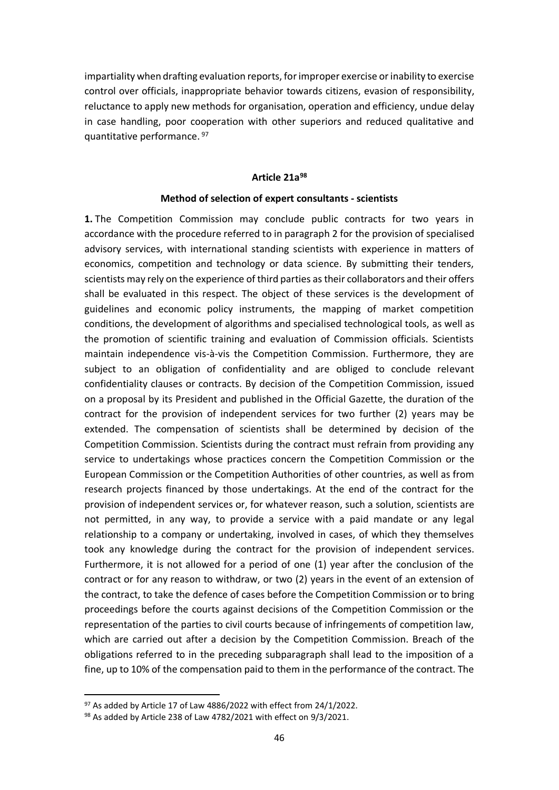impartiality when drafting evaluation reports, for improper exercise or inability to exercise control over officials, inappropriate behavior towards citizens, evasion of responsibility, reluctance to apply new methods for organisation, operation and efficiency, undue delay in case handling, poor cooperation with other superiors and reduced qualitative and quantitative performance. 97

### **Article 21a 98**

#### **Method of selection of expert consultants - scientists**

**1.** The Competition Commission may conclude public contracts for two years in accordance with the procedure referred to in paragraph 2 for the provision of specialised advisory services, with international standing scientists with experience in matters of economics, competition and technology or data science. By submitting their tenders, scientists may rely on the experience of third parties as their collaborators and their offers shall be evaluated in this respect. The object of these services is the development of guidelines and economic policy instruments, the mapping of market competition conditions, the development of algorithms and specialised technological tools, as well as the promotion of scientific training and evaluation of Commission officials. Scientists maintain independence vis-à-vis the Competition Commission. Furthermore, they are subject to an obligation of confidentiality and are obliged to conclude relevant confidentiality clauses or contracts. By decision of the Competition Commission, issued on a proposal by its President and published in the Official Gazette, the duration of the contract for the provision of independent services for two further (2) years may be extended. The compensation of scientists shall be determined by decision of the Competition Commission. Scientists during the contract must refrain from providing any service to undertakings whose practices concern the Competition Commission or the European Commission or the Competition Authorities of other countries, as well as from research projects financed by those undertakings. At the end of the contract for the provision of independent services or, for whatever reason, such a solution, scientists are not permitted, in any way, to provide a service with a paid mandate or any legal relationship to a company or undertaking, involved in cases, of which they themselves took any knowledge during the contract for the provision of independent services. Furthermore, it is not allowed for a period of one (1) year after the conclusion of the contract or for any reason to withdraw, or two (2) years in the event of an extension of the contract, to take the defence of cases before the Competition Commission or to bring proceedings before the courts against decisions of the Competition Commission or the representation of the parties to civil courts because of infringements of competition law, which are carried out after a decision by the Competition Commission. Breach of the obligations referred to in the preceding subparagraph shall lead to the imposition of a fine, up to 10% of the compensation paid to them in the performance of the contract. The

 $97$  As added by Article 17 of Law 4886/2022 with effect from 24/1/2022.

<sup>98</sup> As added by Article 238 of Law 4782/2021 with effect on 9/3/2021.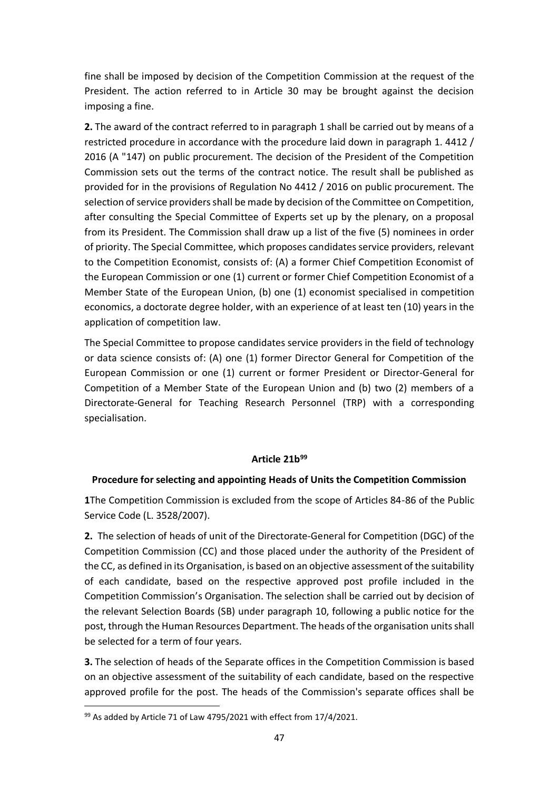fine shall be imposed by decision of the Competition Commission at the request of the President. The action referred to in Article 30 may be brought against the decision imposing a fine.

**2.** The award of the contract referred to in paragraph 1 shall be carried out by means of a restricted procedure in accordance with the procedure laid down in paragraph 1. 4412 / 2016 (A "147) on public procurement. The decision of the President of the Competition Commission sets out the terms of the contract notice. The result shall be published as provided for in the provisions of Regulation No 4412 / 2016 on public procurement. The selection of service providers shall be made by decision of the Committee on Competition, after consulting the Special Committee of Experts set up by the plenary, on a proposal from its President. The Commission shall draw up a list of the five (5) nominees in order of priority. The Special Committee, which proposes candidates service providers, relevant to the Competition Economist, consists of: (A) a former Chief Competition Economist of the European Commission or one (1) current or former Chief Competition Economist of a Member State of the European Union, (b) one (1) economist specialised in competition economics, a doctorate degree holder, with an experience of at least ten (10) years in the application of competition law.

The Special Committee to propose candidates service providers in the field of technology or data science consists of: (A) one (1) former Director General for Competition of the European Commission or one (1) current or former President or Director-General for Competition of a Member State of the European Union and (b) two (2) members of a Directorate-General for Teaching Research Personnel (TRP) with a corresponding specialisation.

# **Article 21b 99**

# **Procedure for selecting and appointing Heads of Units the Competition Commission**

**1**The Competition Commission is excluded from the scope of Articles 84-86 of the Public Service Code (L. 3528/2007).

**2.** The selection of heads of unit of the Directorate-General for Competition (DGC) of the Competition Commission (CC) and those placed under the authority of the President of the CC, as defined in its Organisation, is based on an objective assessment of the suitability of each candidate, based on the respective approved post profile included in the Competition Commission's Organisation. The selection shall be carried out by decision of the relevant Selection Boards (SB) under paragraph 10, following a public notice for the post, through the Human Resources Department. The heads of the organisation units shall be selected for a term of four years.

**3.** The selection of heads of the Separate offices in the Competition Commission is based on an objective assessment of the suitability of each candidate, based on the respective approved profile for the post. The heads of the Commission's separate offices shall be

<sup>99</sup> As added by Article 71 of Law 4795/2021 with effect from 17/4/2021.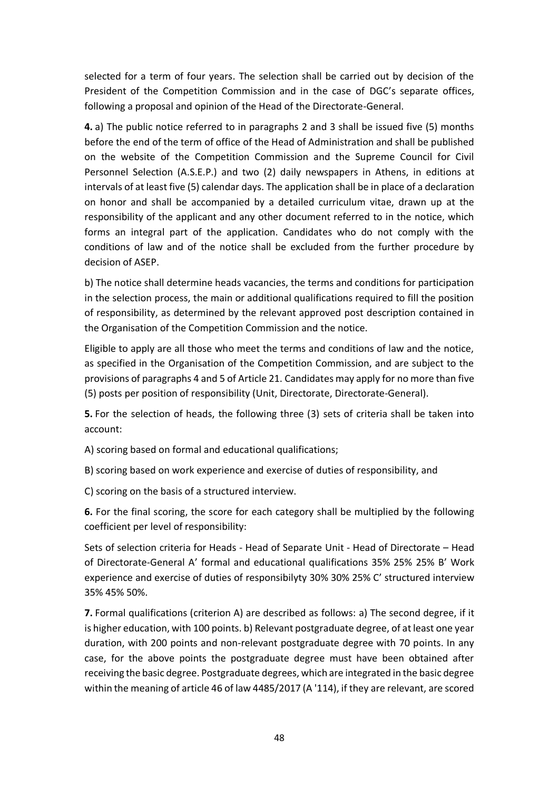selected for a term of four years. The selection shall be carried out by decision of the President of the Competition Commission and in the case of DGC's separate offices, following a proposal and opinion of the Head of the Directorate-General.

**4.** a) The public notice referred to in paragraphs 2 and 3 shall be issued five (5) months before the end of the term of office of the Head of Administration and shall be published on the website of the Competition Commission and the Supreme Council for Civil Personnel Selection (A.S.E.P.) and two (2) daily newspapers in Athens, in editions at intervals of at least five (5) calendar days. The application shall be in place of a declaration on honor and shall be accompanied by a detailed curriculum vitae, drawn up at the responsibility of the applicant and any other document referred to in the notice, which forms an integral part of the application. Candidates who do not comply with the conditions of law and of the notice shall be excluded from the further procedure by decision of ASEP.

b) The notice shall determine heads vacancies, the terms and conditions for participation in the selection process, the main or additional qualifications required to fill the position of responsibility, as determined by the relevant approved post description contained in the Organisation of the Competition Commission and the notice.

Eligible to apply are all those who meet the terms and conditions of law and the notice, as specified in the Organisation of the Competition Commission, and are subject to the provisions of paragraphs 4 and 5 of Article 21. Candidates may apply for no more than five (5) posts per position of responsibility (Unit, Directorate, Directorate-General).

**5.** For the selection of heads, the following three (3) sets of criteria shall be taken into account:

A) scoring based on formal and educational qualifications;

B) scoring based on work experience and exercise of duties of responsibility, and

C) scoring on the basis of a structured interview.

**6.** For the final scoring, the score for each category shall be multiplied by the following coefficient per level of responsibility:

Sets of selection criteria for Heads - Head of Separate Unit - Head of Directorate – Head of Directorate-General A' formal and educational qualifications 35% 25% 25% B' Work experience and exercise of duties of responsibilyty 30% 30% 25% C' structured interview 35% 45% 50%.

**7.** Formal qualifications (criterion A) are described as follows: a) The second degree, if it is higher education, with 100 points. b) Relevant postgraduate degree, of at least one year duration, with 200 points and non-relevant postgraduate degree with 70 points. In any case, for the above points the postgraduate degree must have been obtained after receiving the basic degree. Postgraduate degrees, which are integrated in the basic degree within the meaning of article 46 of law 4485/2017 (A '114), if they are relevant, are scored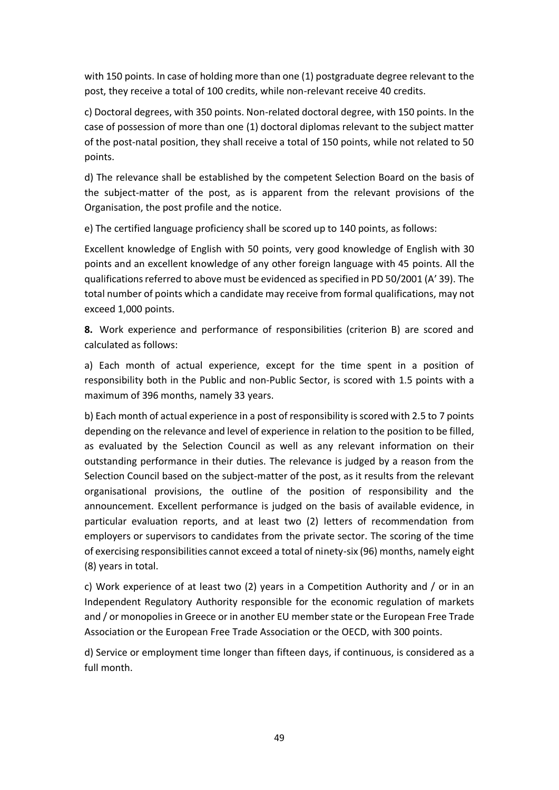with 150 points. In case of holding more than one (1) postgraduate degree relevant to the post, they receive a total of 100 credits, while non-relevant receive 40 credits.

c) Doctoral degrees, with 350 points. Non-related doctoral degree, with 150 points. In the case of possession of more than one (1) doctoral diplomas relevant to the subject matter of the post-natal position, they shall receive a total of 150 points, while not related to 50 points.

d) The relevance shall be established by the competent Selection Board on the basis of the subject-matter of the post, as is apparent from the relevant provisions of the Organisation, the post profile and the notice.

e) The certified language proficiency shall be scored up to 140 points, as follows:

Excellent knowledge of English with 50 points, very good knowledge of English with 30 points and an excellent knowledge of any other foreign language with 45 points. All the qualifications referred to above must be evidenced as specified in PD 50/2001 (A' 39). The total number of points which a candidate may receive from formal qualifications, may not exceed 1,000 points.

**8.** Work experience and performance of responsibilities (criterion B) are scored and calculated as follows:

a) Each month of actual experience, except for the time spent in a position of responsibility both in the Public and non-Public Sector, is scored with 1.5 points with a maximum of 396 months, namely 33 years.

b) Each month of actual experience in a post of responsibility is scored with 2.5 to 7 points depending on the relevance and level of experience in relation to the position to be filled, as evaluated by the Selection Council as well as any relevant information on their outstanding performance in their duties. The relevance is judged by a reason from the Selection Council based on the subject-matter of the post, as it results from the relevant organisational provisions, the outline of the position of responsibility and the announcement. Excellent performance is judged on the basis of available evidence, in particular evaluation reports, and at least two (2) letters of recommendation from employers or supervisors to candidates from the private sector. The scoring of the time of exercising responsibilities cannot exceed a total of ninety-six (96) months, namely eight (8) years in total.

c) Work experience of at least two (2) years in a Competition Authority and / or in an Independent Regulatory Authority responsible for the economic regulation of markets and / or monopolies in Greece or in another EU member state or the European Free Trade Association or the European Free Trade Association or the OECD, with 300 points.

d) Service or employment time longer than fifteen days, if continuous, is considered as a full month.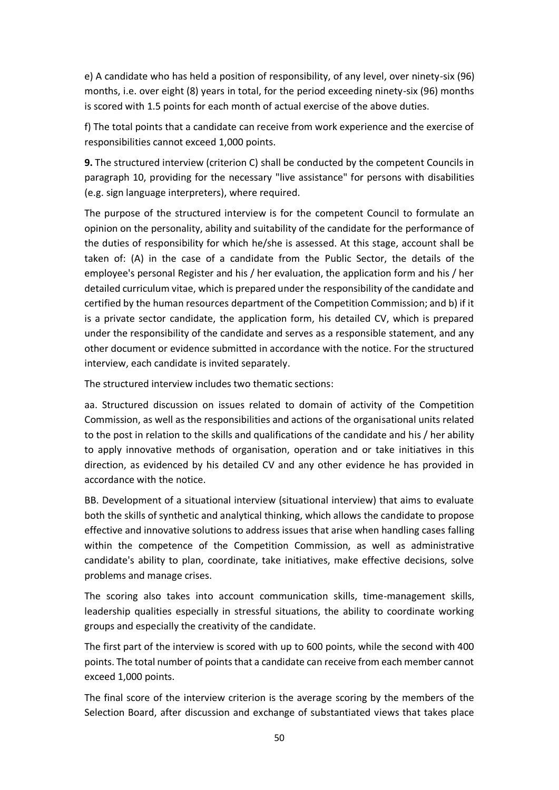e) A candidate who has held a position of responsibility, of any level, over ninety-six (96) months, i.e. over eight (8) years in total, for the period exceeding ninety-six (96) months is scored with 1.5 points for each month of actual exercise of the above duties.

f) The total points that a candidate can receive from work experience and the exercise of responsibilities cannot exceed 1,000 points.

**9.** The structured interview (criterion C) shall be conducted by the competent Councils in paragraph 10, providing for the necessary "live assistance" for persons with disabilities (e.g. sign language interpreters), where required.

The purpose of the structured interview is for the competent Council to formulate an opinion on the personality, ability and suitability of the candidate for the performance of the duties of responsibility for which he/she is assessed. At this stage, account shall be taken of: (A) in the case of a candidate from the Public Sector, the details of the employee's personal Register and his / her evaluation, the application form and his / her detailed curriculum vitae, which is prepared under the responsibility of the candidate and certified by the human resources department of the Competition Commission; and b) if it is a private sector candidate, the application form, his detailed CV, which is prepared under the responsibility of the candidate and serves as a responsible statement, and any other document or evidence submitted in accordance with the notice. For the structured interview, each candidate is invited separately.

The structured interview includes two thematic sections:

aa. Structured discussion on issues related to domain of activity of the Competition Commission, as well as the responsibilities and actions of the organisational units related to the post in relation to the skills and qualifications of the candidate and his / her ability to apply innovative methods of organisation, operation and or take initiatives in this direction, as evidenced by his detailed CV and any other evidence he has provided in accordance with the notice.

BB. Development of a situational interview (situational interview) that aims to evaluate both the skills of synthetic and analytical thinking, which allows the candidate to propose effective and innovative solutions to address issues that arise when handling cases falling within the competence of the Competition Commission, as well as administrative candidate's ability to plan, coordinate, take initiatives, make effective decisions, solve problems and manage crises.

The scoring also takes into account communication skills, time-management skills, leadership qualities especially in stressful situations, the ability to coordinate working groups and especially the creativity of the candidate.

The first part of the interview is scored with up to 600 points, while the second with 400 points. The total number of points that a candidate can receive from each member cannot exceed 1,000 points.

The final score of the interview criterion is the average scoring by the members of the Selection Board, after discussion and exchange of substantiated views that takes place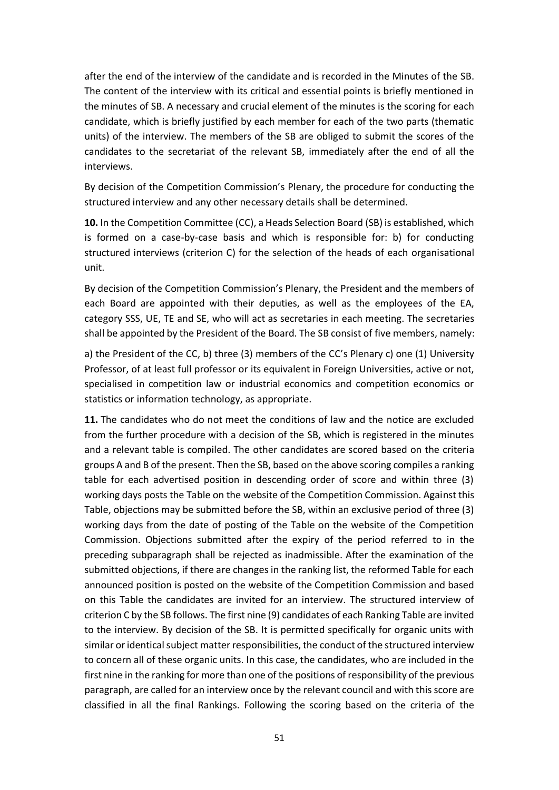after the end of the interview of the candidate and is recorded in the Minutes of the SB. The content of the interview with its critical and essential points is briefly mentioned in the minutes of SB. A necessary and crucial element of the minutes is the scoring for each candidate, which is briefly justified by each member for each of the two parts (thematic units) of the interview. The members of the SB are obliged to submit the scores of the candidates to the secretariat of the relevant SB, immediately after the end of all the interviews.

By decision of the Competition Commission's Plenary, the procedure for conducting the structured interview and any other necessary details shall be determined.

**10.** In the Competition Committee (CC), a Heads Selection Board (SB) is established, which is formed on a case-by-case basis and which is responsible for: b) for conducting structured interviews (criterion C) for the selection of the heads of each organisational unit.

By decision of the Competition Commission's Plenary, the President and the members of each Board are appointed with their deputies, as well as the employees of the EA, category SSS, UE, TE and SE, who will act as secretaries in each meeting. The secretaries shall be appointed by the President of the Board. The SB consist of five members, namely:

a) the President of the CC, b) three (3) members of the CC's Plenary c) one (1) University Professor, of at least full professor or its equivalent in Foreign Universities, active or not, specialised in competition law or industrial economics and competition economics or statistics or information technology, as appropriate.

**11.** The candidates who do not meet the conditions of law and the notice are excluded from the further procedure with a decision of the SB, which is registered in the minutes and a relevant table is compiled. The other candidates are scored based on the criteria groups A and B of the present. Then the SB, based on the above scoring compiles a ranking table for each advertised position in descending order of score and within three (3) working days posts the Table on the website of the Competition Commission. Against this Table, objections may be submitted before the SB, within an exclusive period of three (3) working days from the date of posting of the Table on the website of the Competition Commission. Objections submitted after the expiry of the period referred to in the preceding subparagraph shall be rejected as inadmissible. After the examination of the submitted objections, if there are changes in the ranking list, the reformed Table for each announced position is posted on the website of the Competition Commission and based on this Table the candidates are invited for an interview. The structured interview of criterion C by the SB follows. The first nine (9) candidates of each Ranking Table are invited to the interview. By decision of the SB. It is permitted specifically for organic units with similar or identical subject matter responsibilities, the conduct of the structured interview to concern all of these organic units. In this case, the candidates, who are included in the first nine in the ranking for more than one of the positions of responsibility of the previous paragraph, are called for an interview once by the relevant council and with this score are classified in all the final Rankings. Following the scoring based on the criteria of the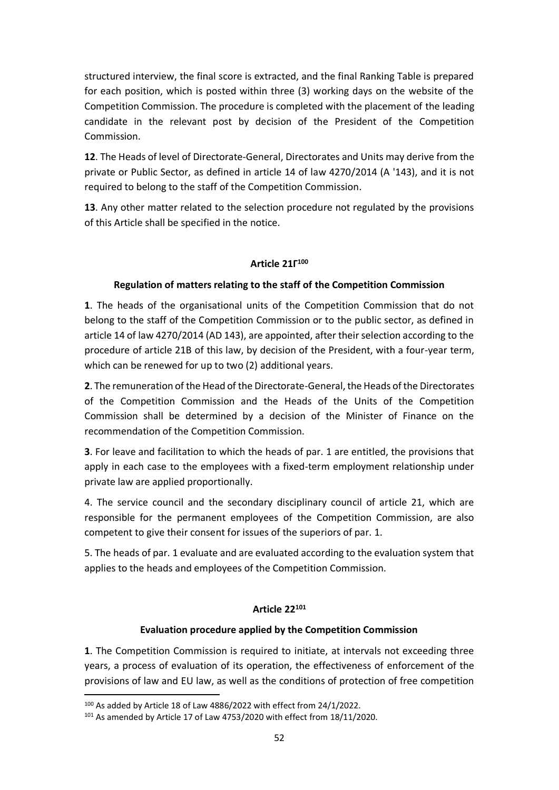structured interview, the final score is extracted, and the final Ranking Table is prepared for each position, which is posted within three (3) working days on the website of the Competition Commission. The procedure is completed with the placement of the leading candidate in the relevant post by decision of the President of the Competition Commission.

**12**. The Heads of level of Directorate-General, Directorates and Units may derive from the private or Public Sector, as defined in article 14 of law 4270/2014 (A '143), and it is not required to belong to the staff of the Competition Commission.

**13**. Any other matter related to the selection procedure not regulated by the provisions of this Article shall be specified in the notice.

# **Article 21Γ 100**

# **Regulation of matters relating to the staff of the Competition Commission**

**1**. The heads of the organisational units of the Competition Commission that do not belong to the staff of the Competition Commission or to the public sector, as defined in article 14 of law 4270/2014 (AD 143), are appointed, after their selection according to the procedure of article 21B of this law, by decision of the President, with a four-year term, which can be renewed for up to two (2) additional years.

**2**. The remuneration of the Head of the Directorate-General, the Heads of the Directorates of the Competition Commission and the Heads of the Units of the Competition Commission shall be determined by a decision of the Minister of Finance on the recommendation of the Competition Commission.

**3**. For leave and facilitation to which the heads of par. 1 are entitled, the provisions that apply in each case to the employees with a fixed-term employment relationship under private law are applied proportionally.

4. The service council and the secondary disciplinary council of article 21, which are responsible for the permanent employees of the Competition Commission, are also competent to give their consent for issues of the superiors of par. 1.

5. The heads of par. 1 evaluate and are evaluated according to the evaluation system that applies to the heads and employees of the Competition Commission.

# **Article 22<sup>101</sup>**

# **Evaluation procedure applied by the Competition Commission**

**1**. The Competition Commission is required to initiate, at intervals not exceeding three years, a process of evaluation of its operation, the effectiveness of enforcement of the provisions of law and EU law, as well as the conditions of protection of free competition

<sup>100</sup> As added by Article 18 of Law 4886/2022 with effect from 24/1/2022.

<sup>101</sup> As amended by Article 17 of Law 4753/2020 with effect from 18/11/2020.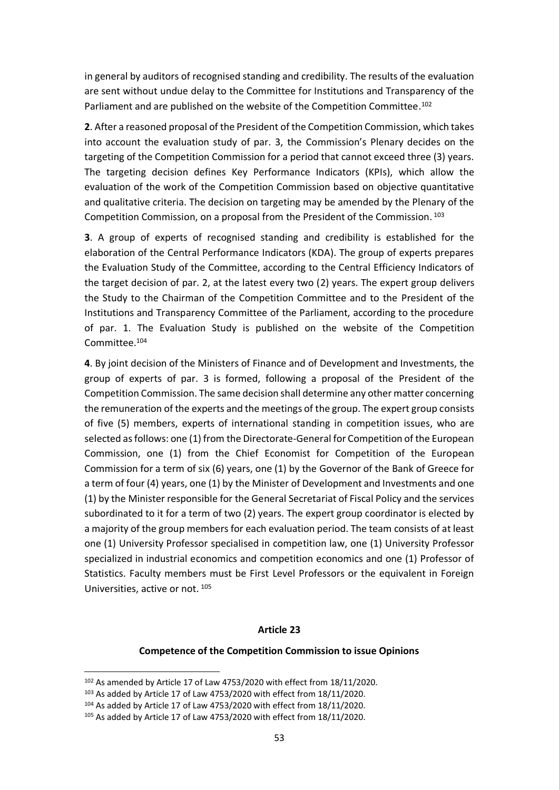in general by auditors of recognised standing and credibility. The results of the evaluation are sent without undue delay to the Committee for Institutions and Transparency of the Parliament and are published on the website of the Competition Committee.<sup>102</sup>

**2**. After a reasoned proposal of the President of the Competition Commission, which takes into account the evaluation study of par. 3, the Commission's Plenary decides on the targeting of the Competition Commission for a period that cannot exceed three (3) years. The targeting decision defines Key Performance Indicators (KPIs), which allow the evaluation of the work of the Competition Commission based on objective quantitative and qualitative criteria. The decision on targeting may be amended by the Plenary of the Competition Commission, on a proposal from the President of the Commission. 103

**3**. A group of experts of recognised standing and credibility is established for the elaboration of the Central Performance Indicators (KDA). The group of experts prepares the Evaluation Study of the Committee, according to the Central Efficiency Indicators of the target decision of par. 2, at the latest every two (2) years. The expert group delivers the Study to the Chairman of the Competition Committee and to the President of the Institutions and Transparency Committee of the Parliament, according to the procedure of par. 1. The Evaluation Study is published on the website of the Competition Committee. 104

**4**. By joint decision of the Ministers of Finance and of Development and Investments, the group of experts of par. 3 is formed, following a proposal of the President of the Competition Commission. The same decision shall determine any other matter concerning the remuneration of the experts and the meetings of the group. The expert group consists of five (5) members, experts of international standing in competition issues, who are selected as follows: one (1) from the Directorate-General for Competition of the European Commission, one (1) from the Chief Economist for Competition of the European Commission for a term of six (6) years, one (1) by the Governor of the Bank of Greece for a term of four (4) years, one (1) by the Minister of Development and Investments and one (1) by the Minister responsible for the General Secretariat of Fiscal Policy and the services subordinated to it for a term of two (2) years. The expert group coordinator is elected by a majority of the group members for each evaluation period. The team consists of at least one (1) University Professor specialised in competition law, one (1) University Professor specialized in industrial economics and competition economics and one (1) Professor of Statistics. Faculty members must be First Level Professors or the equivalent in Foreign Universities, active or not. 105

#### **Article 23**

#### **Competence of the Competition Commission to issue Opinions**

<sup>102</sup> As amended by Article 17 of Law 4753/2020 with effect from 18/11/2020.

<sup>103</sup> As added by Article 17 of Law 4753/2020 with effect from 18/11/2020.

<sup>104</sup> As added by Article 17 of Law 4753/2020 with effect from 18/11/2020.

<sup>105</sup> As added by Article 17 of Law 4753/2020 with effect from 18/11/2020.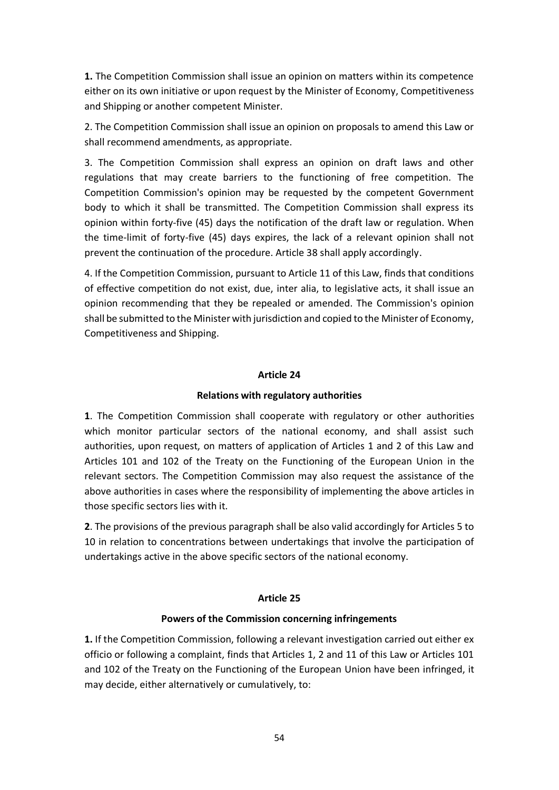**1.** The Competition Commission shall issue an opinion on matters within its competence either on its own initiative or upon request by the Minister of Economy, Competitiveness and Shipping or another competent Minister.

2. The Competition Commission shall issue an opinion on proposals to amend this Law or shall recommend amendments, as appropriate.

3. The Competition Commission shall express an opinion on draft laws and other regulations that may create barriers to the functioning of free competition. The Competition Commission's opinion may be requested by the competent Government body to which it shall be transmitted. The Competition Commission shall express its opinion within forty-five (45) days the notification of the draft law or regulation. When the time-limit of forty-five (45) days expires, the lack of a relevant opinion shall not prevent the continuation of the procedure. Article 38 shall apply accordingly.

4. If the Competition Commission, pursuant to Article 11 of this Law, finds that conditions of effective competition do not exist, due, inter alia, to legislative acts, it shall issue an opinion recommending that they be repealed or amended. The Commission's opinion shall be submitted to the Minister with jurisdiction and copied to the Minister of Economy, Competitiveness and Shipping.

### **Article 24**

# **Relations with regulatory authorities**

**1**. The Competition Commission shall cooperate with regulatory or other authorities which monitor particular sectors of the national economy, and shall assist such authorities, upon request, on matters of application of Articles 1 and 2 of this Law and Articles 101 and 102 of the Treaty on the Functioning of the European Union in the relevant sectors. The Competition Commission may also request the assistance of the above authorities in cases where the responsibility of implementing the above articles in those specific sectors lies with it.

**2**. The provisions of the previous paragraph shall be also valid accordingly for Articles 5 to 10 in relation to concentrations between undertakings that involve the participation of undertakings active in the above specific sectors of the national economy.

#### **Article 25**

#### **Powers of the Commission concerning infringements**

**1.** If the Competition Commission, following a relevant investigation carried out either ex officio or following a complaint, finds that Articles 1, 2 and 11 of this Law or Articles 101 and 102 of the Treaty on the Functioning of the European Union have been infringed, it may decide, either alternatively or cumulatively, to: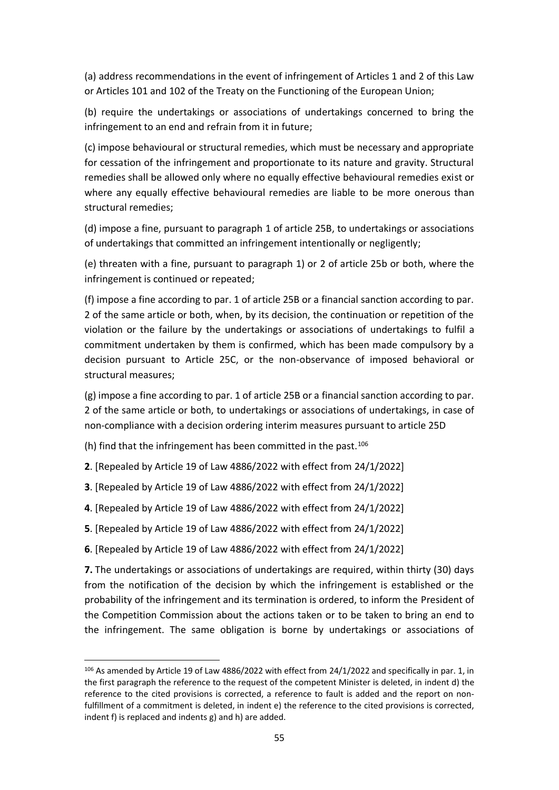(a) address recommendations in the event of infringement of Articles 1 and 2 of this Law or Articles 101 and 102 of the Treaty on the Functioning of the European Union;

(b) require the undertakings or associations of undertakings concerned to bring the infringement to an end and refrain from it in future;

(c) impose behavioural or structural remedies, which must be necessary and appropriate for cessation of the infringement and proportionate to its nature and gravity. Structural remedies shall be allowed only where no equally effective behavioural remedies exist or where any equally effective behavioural remedies are liable to be more onerous than structural remedies;

(d) impose a fine, pursuant to paragraph 1 of article 25B, to undertakings or associations of undertakings that committed an infringement intentionally or negligently;

(e) threaten with a fine, pursuant to paragraph 1) or 2 of article 25b or both, where the infringement is continued or repeated;

(f) impose a fine according to par. 1 of article 25B or a financial sanction according to par. 2 of the same article or both, when, by its decision, the continuation or repetition of the violation or the failure by the undertakings or associations of undertakings to fulfil a commitment undertaken by them is confirmed, which has been made compulsory by a decision pursuant to Article 25C, or the non-observance of imposed behavioral or structural measures;

(g) impose a fine according to par. 1 of article 25B or a financial sanction according to par. 2 of the same article or both, to undertakings or associations of undertakings, in case of non-compliance with a decision ordering interim measures pursuant to article 25D

(h) find that the infringement has been committed in the past. 106

- **2**. [Repealed by Article 19 of Law 4886/2022 with effect from 24/1/2022]
- **3**. [Repealed by Article 19 of Law 4886/2022 with effect from 24/1/2022]
- **4**. [Repealed by Article 19 of Law 4886/2022 with effect from 24/1/2022]
- **5**. [Repealed by Article 19 of Law 4886/2022 with effect from 24/1/2022]

**6**. [Repealed by Article 19 of Law 4886/2022 with effect from 24/1/2022]

**7.** The undertakings or associations of undertakings are required, within thirty (30) days from the notification of the decision by which the infringement is established or the probability of the infringement and its termination is ordered, to inform the President of the Competition Commission about the actions taken or to be taken to bring an end to the infringement. The same obligation is borne by undertakings or associations of

<sup>106</sup> As amended by Article 19 of Law 4886/2022 with effect from 24/1/2022 and specifically in par. 1, in the first paragraph the reference to the request of the competent Minister is deleted, in indent d) the reference to the cited provisions is corrected, a reference to fault is added and the report on nonfulfillment of a commitment is deleted, in indent e) the reference to the cited provisions is corrected, indent f) is replaced and indents g) and h) are added.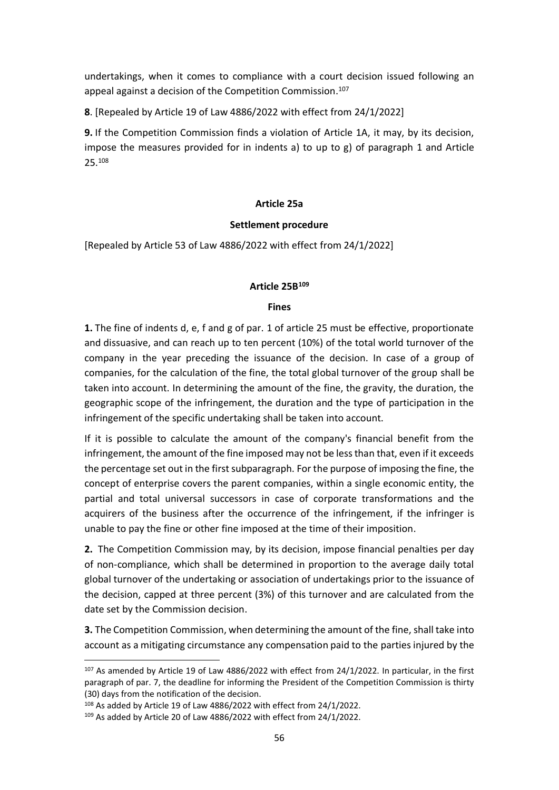undertakings, when it comes to compliance with a court decision issued following an appeal against a decision of the Competition Commission. 107

**8**. [Repealed by Article 19 of Law 4886/2022 with effect from 24/1/2022]

**9.** If the Competition Commission finds a violation of Article 1A, it may, by its decision, impose the measures provided for in indents a) to up to  $g$ ) of paragraph 1 and Article 25. 108

### **Article 25a**

#### **Settlement procedure**

[Repealed by Article 53 of Law 4886/2022 with effect from 24/1/2022]

# **Article 25Β 109**

#### **Fines**

**1.** The fine of indents d, e, f and g of par. 1 of article 25 must be effective, proportionate and dissuasive, and can reach up to ten percent (10%) of the total world turnover of the company in the year preceding the issuance of the decision. In case of a group of companies, for the calculation of the fine, the total global turnover of the group shall be taken into account. In determining the amount of the fine, the gravity, the duration, the geographic scope of the infringement, the duration and the type of participation in the infringement of the specific undertaking shall be taken into account.

If it is possible to calculate the amount of the company's financial benefit from the infringement, the amount of the fine imposed may not be less than that, even if it exceeds the percentage set out in the first subparagraph. For the purpose of imposing the fine, the concept of enterprise covers the parent companies, within a single economic entity, the partial and total universal successors in case of corporate transformations and the acquirers of the business after the occurrence of the infringement, if the infringer is unable to pay the fine or other fine imposed at the time of their imposition.

**2.** The Competition Commission may, by its decision, impose financial penalties per day of non-compliance, which shall be determined in proportion to the average daily total global turnover of the undertaking or association of undertakings prior to the issuance of the decision, capped at three percent (3%) of this turnover and are calculated from the date set by the Commission decision.

**3.** The Competition Commission, when determining the amount of the fine, shall take into account as a mitigating circumstance any compensation paid to the parties injured by the

<sup>107</sup> As amended by Article 19 of Law 4886/2022 with effect from 24/1/2022. In particular, in the first paragraph of par. 7, the deadline for informing the President of the Competition Commission is thirty (30) days from the notification of the decision.

<sup>108</sup> As added by Article 19 of Law 4886/2022 with effect from 24/1/2022.

<sup>109</sup> As added by Article 20 of Law 4886/2022 with effect from 24/1/2022.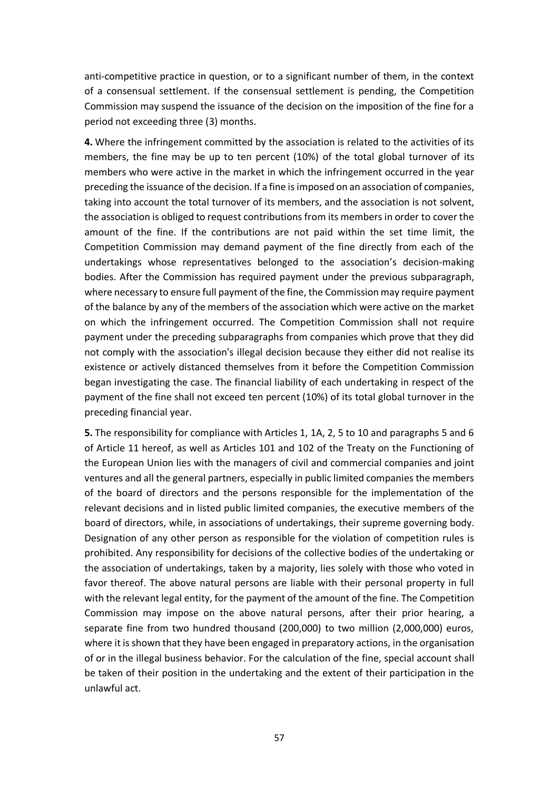anti-competitive practice in question, or to a significant number of them, in the context of a consensual settlement. If the consensual settlement is pending, the Competition Commission may suspend the issuance of the decision on the imposition of the fine for a period not exceeding three (3) months.

**4.** Where the infringement committed by the association is related to the activities of its members, the fine may be up to ten percent (10%) of the total global turnover of its members who were active in the market in which the infringement occurred in the year preceding the issuance of the decision. If a fine is imposed on an association of companies, taking into account the total turnover of its members, and the association is not solvent, the association is obliged to request contributions from its members in order to cover the amount of the fine. If the contributions are not paid within the set time limit, the Competition Commission may demand payment of the fine directly from each of the undertakings whose representatives belonged to the association's decision-making bodies. After the Commission has required payment under the previous subparagraph, where necessary to ensure full payment of the fine, the Commission may require payment of the balance by any of the members of the association which were active on the market on which the infringement occurred. The Competition Commission shall not require payment under the preceding subparagraphs from companies which prove that they did not comply with the association's illegal decision because they either did not realise its existence or actively distanced themselves from it before the Competition Commission began investigating the case. The financial liability of each undertaking in respect of the payment of the fine shall not exceed ten percent (10%) of its total global turnover in the preceding financial year.

**5.** The responsibility for compliance with Articles 1, 1A, 2, 5 to 10 and paragraphs 5 and 6 of Article 11 hereof, as well as Articles 101 and 102 of the Treaty on the Functioning of the European Union lies with the managers of civil and commercial companies and joint ventures and all the general partners, especially in public limited companies the members of the board of directors and the persons responsible for the implementation of the relevant decisions and in listed public limited companies, the executive members of the board of directors, while, in associations of undertakings, their supreme governing body. Designation of any other person as responsible for the violation of competition rules is prohibited. Any responsibility for decisions of the collective bodies of the undertaking or the association of undertakings, taken by a majority, lies solely with those who voted in favor thereof. The above natural persons are liable with their personal property in full with the relevant legal entity, for the payment of the amount of the fine. The Competition Commission may impose on the above natural persons, after their prior hearing, a separate fine from two hundred thousand (200,000) to two million (2,000,000) euros, where it is shown that they have been engaged in preparatory actions, in the organisation of or in the illegal business behavior. For the calculation of the fine, special account shall be taken of their position in the undertaking and the extent of their participation in the unlawful act.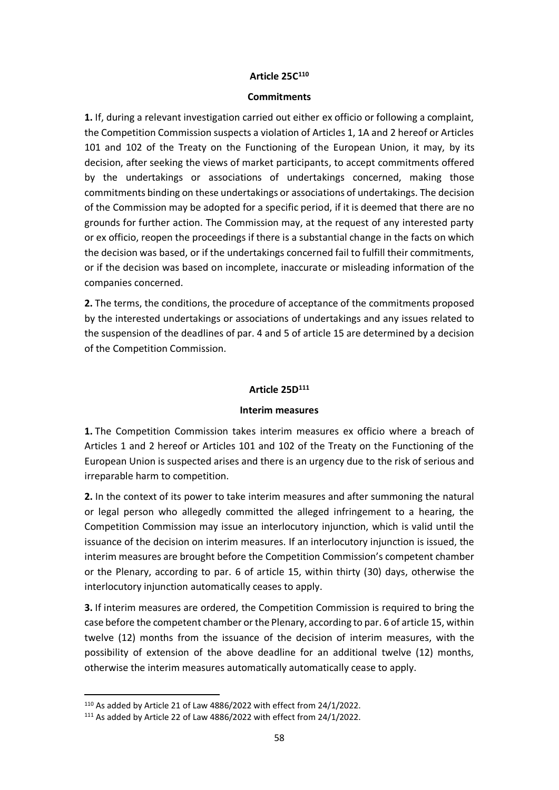# **Article 25C 110**

#### **Commitments**

**1.** If, during a relevant investigation carried out either ex officio or following a complaint, the Competition Commission suspects a violation of Articles 1, 1A and 2 hereof or Articles 101 and 102 of the Treaty on the Functioning of the European Union, it may, by its decision, after seeking the views of market participants, to accept commitments offered by the undertakings or associations of undertakings concerned, making those commitments binding on these undertakings or associations of undertakings. The decision of the Commission may be adopted for a specific period, if it is deemed that there are no grounds for further action. The Commission may, at the request of any interested party or ex officio, reopen the proceedings if there is a substantial change in the facts on which the decision was based, or if the undertakings concerned fail to fulfill their commitments, or if the decision was based on incomplete, inaccurate or misleading information of the companies concerned.

**2.** The terms, the conditions, the procedure of acceptance of the commitments proposed by the interested undertakings or associations of undertakings and any issues related to the suspension of the deadlines of par. 4 and 5 of article 15 are determined by a decision of the Competition Commission.

#### **Article 25D<sup>111</sup>**

#### **Interim measures**

**1.** The Competition Commission takes interim measures ex officio where a breach of Articles 1 and 2 hereof or Articles 101 and 102 of the Treaty on the Functioning of the European Union is suspected arises and there is an urgency due to the risk of serious and irreparable harm to competition.

**2.** In the context of its power to take interim measures and after summoning the natural or legal person who allegedly committed the alleged infringement to a hearing, the Competition Commission may issue an interlocutory injunction, which is valid until the issuance of the decision on interim measures. If an interlocutory injunction is issued, the interim measures are brought before the Competition Commission's competent chamber or the Plenary, according to par. 6 of article 15, within thirty (30) days, otherwise the interlocutory injunction automatically ceases to apply.

**3.** If interim measures are ordered, the Competition Commission is required to bring the case before the competent chamber or the Plenary, according to par. 6 of article 15, within twelve (12) months from the issuance of the decision of interim measures, with the possibility of extension of the above deadline for an additional twelve (12) months, otherwise the interim measures automatically automatically cease to apply.

<sup>110</sup> As added by Article 21 of Law 4886/2022 with effect from 24/1/2022.

<sup>111</sup> As added by Article 22 of Law 4886/2022 with effect from 24/1/2022.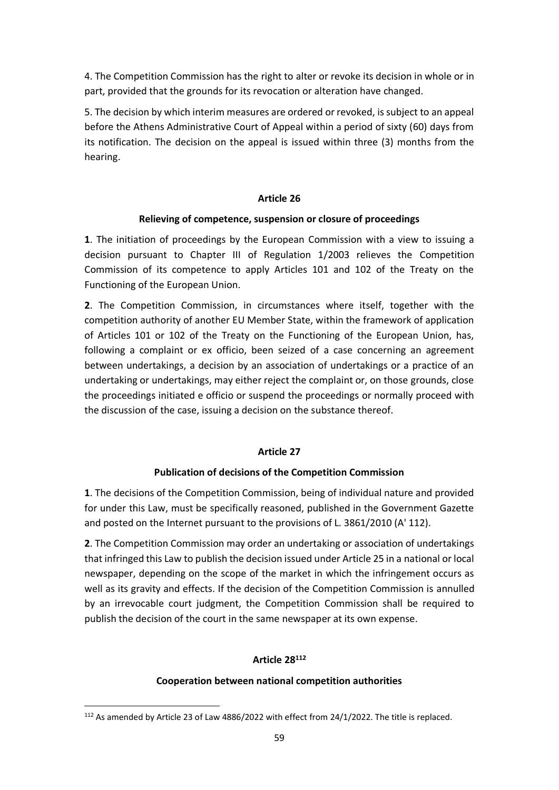4. The Competition Commission has the right to alter or revoke its decision in whole or in part, provided that the grounds for its revocation or alteration have changed.

5. The decision by which interim measures are ordered or revoked, is subject to an appeal before the Athens Administrative Court of Appeal within a period of sixty (60) days from its notification. The decision on the appeal is issued within three (3) months from the hearing.

#### **Article 26**

### **Relieving of competence, suspension or closure of proceedings**

**1**. The initiation of proceedings by the European Commission with a view to issuing a decision pursuant to Chapter III of Regulation 1/2003 relieves the Competition Commission of its competence to apply Articles 101 and 102 of the Treaty on the Functioning of the European Union.

**2**. The Competition Commission, in circumstances where itself, together with the competition authority of another EU Member State, within the framework of application of Articles 101 or 102 of the Treaty on the Functioning of the European Union, has, following a complaint or ex officio, been seized of a case concerning an agreement between undertakings, a decision by an association of undertakings or a practice of an undertaking or undertakings, may either reject the complaint or, on those grounds, close the proceedings initiated e officio or suspend the proceedings or normally proceed with the discussion of the case, issuing a decision on the substance thereof.

# **Article 27**

# **Publication of decisions of the Competition Commission**

**1**. The decisions of the Competition Commission, being of individual nature and provided for under this Law, must be specifically reasoned, published in the Government Gazette and posted on the Internet pursuant to the provisions of L. 3861/2010 (A' 112).

**2**. The Competition Commission may order an undertaking or association of undertakings that infringed this Law to publish the decision issued under Article 25 in a national or local newspaper, depending on the scope of the market in which the infringement occurs as well as its gravity and effects. If the decision of the Competition Commission is annulled by an irrevocable court judgment, the Competition Commission shall be required to publish the decision of the court in the same newspaper at its own expense.

# **Article 28<sup>112</sup>**

# **Cooperation between national competition authorities**

<sup>112</sup> As amended by Article 23 of Law 4886/2022 with effect from 24/1/2022. The title is replaced.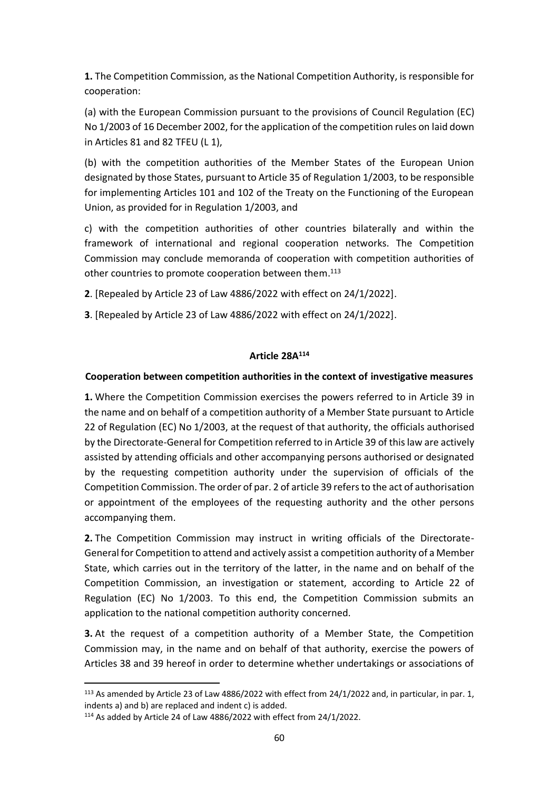**1.** The Competition Commission, as the National Competition Authority, is responsible for cooperation:

(a) with the European Commission pursuant to the provisions of Council Regulation (EC) No 1/2003 of 16 December 2002, for the application of the competition rules on laid down in Articles 81 and 82 TFEU (L 1),

(b) with the competition authorities of the Member States of the European Union designated by those States, pursuant to Article 35 of Regulation 1/2003, to be responsible for implementing Articles 101 and 102 of the Treaty on the Functioning of the European Union, as provided for in Regulation 1/2003, and

c) with the competition authorities of other countries bilaterally and within the framework of international and regional cooperation networks. The Competition Commission may conclude memoranda of cooperation with competition authorities of other countries to promote cooperation between them.<sup>113</sup>

- **2**. [Repealed by Article 23 of Law 4886/2022 with effect on 24/1/2022].
- **3**. [Repealed by Article 23 of Law 4886/2022 with effect on 24/1/2022].

# **Article 28Α 114**

### **Cooperation between competition authorities in the context of investigative measures**

**1.** Where the Competition Commission exercises the powers referred to in Article 39 in the name and on behalf of a competition authority of a Member State pursuant to Article 22 of Regulation (EC) No 1/2003, at the request of that authority, the officials authorised by the Directorate-General for Competition referred to in Article 39 of this law are actively assisted by attending officials and other accompanying persons authorised or designated by the requesting competition authority under the supervision of officials of the Competition Commission. The order of par. 2 of article 39 refers to the act of authorisation or appointment of the employees of the requesting authority and the other persons accompanying them.

**2.** The Competition Commission may instruct in writing officials of the Directorate-General for Competition to attend and actively assist a competition authority of a Member State, which carries out in the territory of the latter, in the name and on behalf of the Competition Commission, an investigation or statement, according to Article 22 of Regulation (EC) No 1/2003. To this end, the Competition Commission submits an application to the national competition authority concerned.

**3.** At the request of a competition authority of a Member State, the Competition Commission may, in the name and on behalf of that authority, exercise the powers of Articles 38 and 39 hereof in order to determine whether undertakings or associations of

<sup>&</sup>lt;sup>113</sup> As amended by Article 23 of Law 4886/2022 with effect from 24/1/2022 and, in particular, in par. 1, indents a) and b) are replaced and indent c) is added.

<sup>114</sup> As added by Article 24 of Law 4886/2022 with effect from 24/1/2022.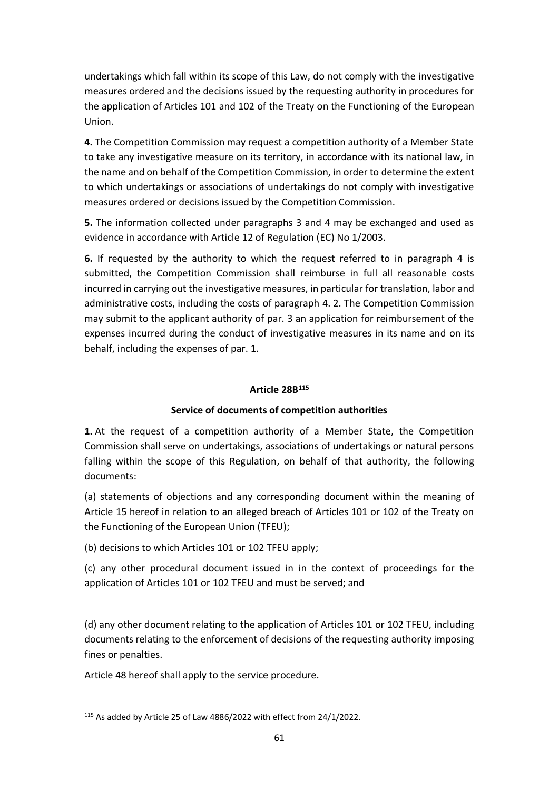undertakings which fall within its scope of this Law, do not comply with the investigative measures ordered and the decisions issued by the requesting authority in procedures for the application of Articles 101 and 102 of the Treaty on the Functioning of the European Union.

**4.** The Competition Commission may request a competition authority of a Member State to take any investigative measure on its territory, in accordance with its national law, in the name and on behalf of the Competition Commission, in order to determine the extent to which undertakings or associations of undertakings do not comply with investigative measures ordered or decisions issued by the Competition Commission.

**5.** The information collected under paragraphs 3 and 4 may be exchanged and used as evidence in accordance with Article 12 of Regulation (EC) No 1/2003.

**6.** If requested by the authority to which the request referred to in paragraph 4 is submitted, the Competition Commission shall reimburse in full all reasonable costs incurred in carrying out the investigative measures, in particular for translation, labor and administrative costs, including the costs of paragraph 4. 2. The Competition Commission may submit to the applicant authority of par. 3 an application for reimbursement of the expenses incurred during the conduct of investigative measures in its name and on its behalf, including the expenses of par. 1.

# **Article 28Β 115**

# **Service of documents of competition authorities**

**1.** At the request of a competition authority of a Member State, the Competition Commission shall serve on undertakings, associations of undertakings or natural persons falling within the scope of this Regulation, on behalf of that authority, the following documents:

(a) statements of objections and any corresponding document within the meaning of Article 15 hereof in relation to an alleged breach of Articles 101 or 102 of the Treaty on the Functioning of the European Union (TFEU);

(b) decisions to which Articles 101 or 102 TFEU apply;

(c) any other procedural document issued in in the context of proceedings for the application of Articles 101 or 102 TFEU and must be served; and

(d) any other document relating to the application of Articles 101 or 102 TFEU, including documents relating to the enforcement of decisions of the requesting authority imposing fines or penalties.

Article 48 hereof shall apply to the service procedure.

<sup>115</sup> As added by Article 25 of Law 4886/2022 with effect from 24/1/2022.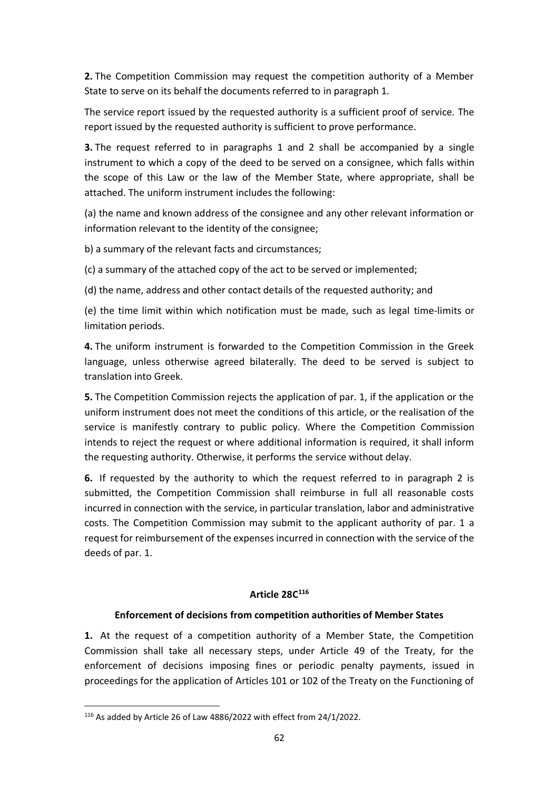**2.** The Competition Commission may request the competition authority of a Member State to serve on its behalf the documents referred to in paragraph 1.

The service report issued by the requested authority is a sufficient proof of service. The report issued by the requested authority is sufficient to prove performance.

**3.** The request referred to in paragraphs 1 and 2 shall be accompanied by a single instrument to which a copy of the deed to be served on a consignee, which falls within the scope of this Law or the law of the Member State, where appropriate, shall be attached. The uniform instrument includes the following:

(a) the name and known address of the consignee and any other relevant information or information relevant to the identity of the consignee;

b) a summary of the relevant facts and circumstances;

(c) a summary of the attached copy of the act to be served or implemented;

(d) the name, address and other contact details of the requested authority; and

(e) the time limit within which notification must be made, such as legal time-limits or limitation periods.

**4.** The uniform instrument is forwarded to the Competition Commission in the Greek language, unless otherwise agreed bilaterally. The deed to be served is subject to translation into Greek.

**5.** The Competition Commission rejects the application of par. 1, if the application or the uniform instrument does not meet the conditions of this article, or the realisation of the service is manifestly contrary to public policy. Where the Competition Commission intends to reject the request or where additional information is required, it shall inform the requesting authority. Otherwise, it performs the service without delay.

**6.** If requested by the authority to which the request referred to in paragraph 2 is submitted, the Competition Commission shall reimburse in full all reasonable costs incurred in connection with the service, in particular translation, labor and administrative costs. The Competition Commission may submit to the applicant authority of par. 1 a request for reimbursement of the expenses incurred in connection with the service of the deeds of par. 1.

# **Article 28C 116**

#### **Enforcement of decisions from competition authorities of Member States**

**1.** At the request of a competition authority of a Member State, the Competition Commission shall take all necessary steps, under Article 49 of the Treaty, for the enforcement of decisions imposing fines or periodic penalty payments, issued in proceedings for the application of Articles 101 or 102 of the Treaty on the Functioning of

<sup>116</sup> As added by Article 26 of Law 4886/2022 with effect from 24/1/2022.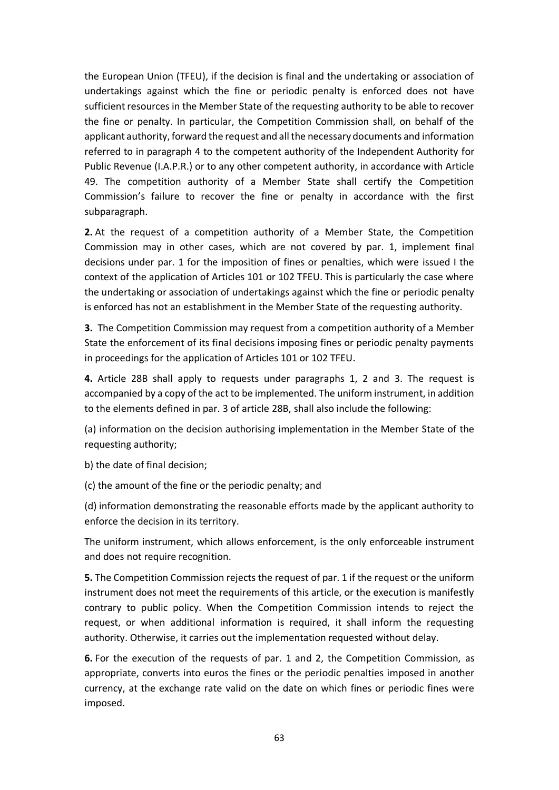the European Union (TFEU), if the decision is final and the undertaking or association of undertakings against which the fine or periodic penalty is enforced does not have sufficient resources in the Member State of the requesting authority to be able to recover the fine or penalty. In particular, the Competition Commission shall, on behalf of the applicant authority, forward the request and all the necessary documents and information referred to in paragraph 4 to the competent authority of the Independent Authority for Public Revenue (I.A.P.R.) or to any other competent authority, in accordance with Article 49. The competition authority of a Member State shall certify the Competition Commission's failure to recover the fine or penalty in accordance with the first subparagraph.

**2.** At the request of a competition authority of a Member State, the Competition Commission may in other cases, which are not covered by par. 1, implement final decisions under par. 1 for the imposition of fines or penalties, which were issued I the context of the application of Articles 101 or 102 TFEU. This is particularly the case where the undertaking or association of undertakings against which the fine or periodic penalty is enforced has not an establishment in the Member State of the requesting authority.

**3.** The Competition Commission may request from a competition authority of a Member State the enforcement of its final decisions imposing fines or periodic penalty payments in proceedings for the application of Articles 101 or 102 TFEU.

**4.** Article 28B shall apply to requests under paragraphs 1, 2 and 3. The request is accompanied by a copy of the act to be implemented. The uniform instrument, in addition to the elements defined in par. 3 of article 28B, shall also include the following:

(a) information on the decision authorising implementation in the Member State of the requesting authority;

b) the date of final decision;

(c) the amount of the fine or the periodic penalty; and

(d) information demonstrating the reasonable efforts made by the applicant authority to enforce the decision in its territory.

The uniform instrument, which allows enforcement, is the only enforceable instrument and does not require recognition.

**5.** The Competition Commission rejects the request of par. 1 if the request or the uniform instrument does not meet the requirements of this article, or the execution is manifestly contrary to public policy. When the Competition Commission intends to reject the request, or when additional information is required, it shall inform the requesting authority. Otherwise, it carries out the implementation requested without delay.

**6.** For the execution of the requests of par. 1 and 2, the Competition Commission, as appropriate, converts into euros the fines or the periodic penalties imposed in another currency, at the exchange rate valid on the date on which fines or periodic fines were imposed.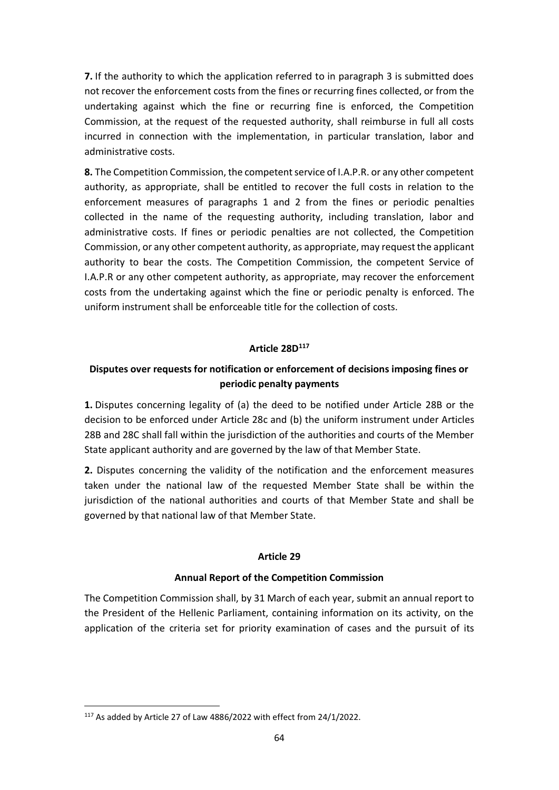**7.** If the authority to which the application referred to in paragraph 3 is submitted does not recover the enforcement costs from the fines or recurring fines collected, or from the undertaking against which the fine or recurring fine is enforced, the Competition Commission, at the request of the requested authority, shall reimburse in full all costs incurred in connection with the implementation, in particular translation, labor and administrative costs.

**8.** The Competition Commission, the competent service of I.A.P.R. or any other competent authority, as appropriate, shall be entitled to recover the full costs in relation to the enforcement measures of paragraphs 1 and 2 from the fines or periodic penalties collected in the name of the requesting authority, including translation, labor and administrative costs. If fines or periodic penalties are not collected, the Competition Commission, or any other competent authority, as appropriate, may request the applicant authority to bear the costs. The Competition Commission, the competent Service of I.A.P.R or any other competent authority, as appropriate, may recover the enforcement costs from the undertaking against which the fine or periodic penalty is enforced. The uniform instrument shall be enforceable title for the collection of costs.

# **Article 28D<sup>117</sup>**

# **Disputes over requests for notification or enforcement of decisions imposing fines or periodic penalty payments**

**1.** Disputes concerning legality of (a) the deed to be notified under Article 28B or the decision to be enforced under Article 28c and (b) the uniform instrument under Articles 28B and 28C shall fall within the jurisdiction of the authorities and courts of the Member State applicant authority and are governed by the law of that Member State.

**2.** Disputes concerning the validity of the notification and the enforcement measures taken under the national law of the requested Member State shall be within the jurisdiction of the national authorities and courts of that Member State and shall be governed by that national law of that Member State.

#### **Article 29**

#### **Annual Report of the Competition Commission**

The Competition Commission shall, by 31 March of each year, submit an annual report to the President of the Hellenic Parliament, containing information on its activity, on the application of the criteria set for priority examination of cases and the pursuit of its

<sup>117</sup> As added by Article 27 of Law 4886/2022 with effect from 24/1/2022.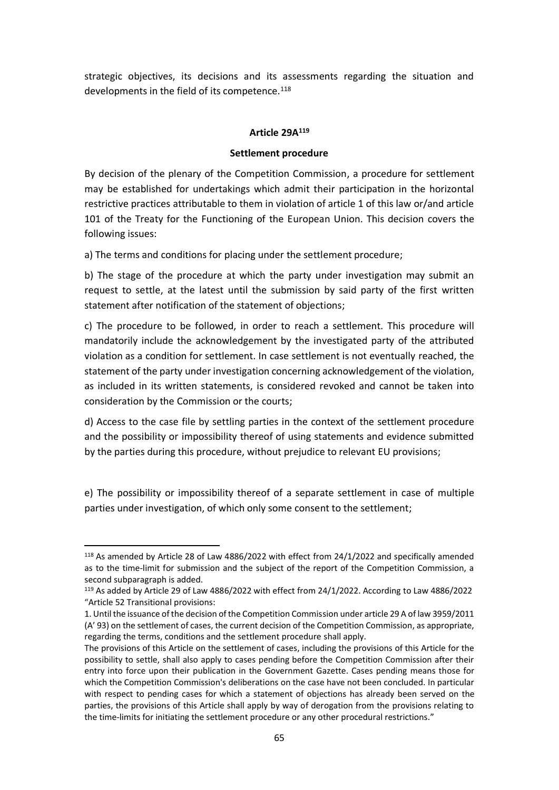strategic objectives, its decisions and its assessments regarding the situation and developments in the field of its competence. 118

# **Article 29Α 119**

#### **Settlement procedure**

By decision of the plenary of the Competition Commission, a procedure for settlement may be established for undertakings which admit their participation in the horizontal restrictive practices attributable to them in violation of article 1 of this law or/and article 101 of the Treaty for the Functioning of the European Union. Τhis decision covers the following issues:

a) The terms and conditions for placing under the settlement procedure;

b) The stage of the procedure at which the party under investigation may submit an request to settle, at the latest until the submission by said party of the first written statement after notification of the statement of objections;

c) The procedure to be followed, in order to reach a settlement. This procedure will mandatorily include the acknowledgement by the investigated party of the attributed violation as a condition for settlement. In case settlement is not eventually reached, the statement of the party under investigation concerning acknowledgement of the violation, as included in its written statements, is considered revoked and cannot be taken into consideration by the Commission or the courts;

d) Access to the case file by settling parties in the context of the settlement procedure and the possibility or impossibility thereof of using statements and evidence submitted by the parties during this procedure, without prejudice to relevant EU provisions;

e) The possibility or impossibility thereof of a separate settlement in case of multiple parties under investigation, of which only some consent to the settlement;

<sup>118</sup> As amended by Article 28 of Law 4886/2022 with effect from 24/1/2022 and specifically amended as to the time-limit for submission and the subject of the report of the Competition Commission, a second subparagraph is added.

<sup>119</sup> As added by Article 29 of Law 4886/2022 with effect from 24/1/2022. According to Law 4886/2022 "Article 52 Transitional provisions:

<sup>1.</sup> Until the issuance of the decision of the Competition Commission under article 29 A of law 3959/2011 (A' 93) on the settlement of cases, the current decision of the Competition Commission, as appropriate, regarding the terms, conditions and the settlement procedure shall apply.

The provisions of this Article on the settlement of cases, including the provisions of this Article for the possibility to settle, shall also apply to cases pending before the Competition Commission after their entry into force upon their publication in the Government Gazette. Cases pending means those for which the Competition Commission's deliberations on the case have not been concluded. In particular with respect to pending cases for which a statement of objections has already been served on the parties, the provisions of this Article shall apply by way of derogation from the provisions relating to the time-limits for initiating the settlement procedure or any other procedural restrictions."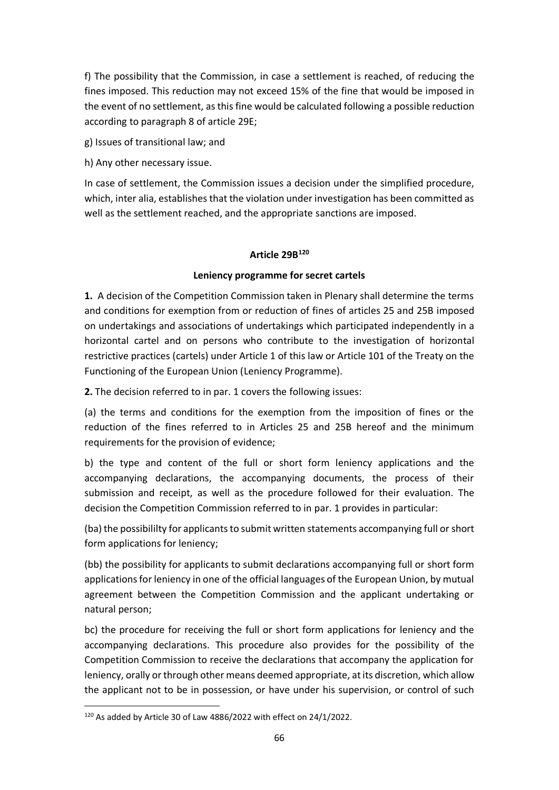f) The possibility that the Commission, in case a settlement is reached, of reducing the fines imposed. This reduction may not exceed 15% of the fine that would be imposed in the event of no settlement, as this fine would be calculated following a possible reduction according to paragraph 8 of article 29E;

g) Issues of transitional law; and

h) Any other necessary issue.

In case of settlement, the Commission issues a decision under the simplified procedure, which, inter alia, establishes that the violation under investigation has been committed as well as the settlement reached, and the appropriate sanctions are imposed.

# **Article 29Β 120**

# **Leniency programme for secret cartels**

**1.** A decision of the Competition Commission taken in Plenary shall determine the terms and conditions for exemption from or reduction of fines of articles 25 and 25B imposed on undertakings and associations of undertakings which participated independently in a horizontal cartel and on persons who contribute to the investigation of horizontal restrictive practices (cartels) under Article 1 of this law or Article 101 of the Treaty on the Functioning of the European Union (Leniency Programme).

**2.** The decision referred to in par. 1 covers the following issues:

(a) the terms and conditions for the exemption from the imposition of fines or the reduction of the fines referred to in Articles 25 and 25B hereof and the minimum requirements for the provision of evidence;

b) the type and content of the full or short form leniency applications and the accompanying declarations, the accompanying documents, the process of their submission and receipt, as well as the procedure followed for their evaluation. The decision the Competition Commission referred to in par. 1 provides in particular:

(ba) the possibililty for applicants to submit written statements accompanying full or short form applications for leniency;

(bb) the possibility for applicants to submit declarations accompanying full or short form applications for leniency in one of the official languages of the European Union, by mutual agreement between the Competition Commission and the applicant undertaking or natural person;

bc) the procedure for receiving the full or short form applications for leniency and the accompanying declarations. This procedure also provides for the possibility of the Competition Commission to receive the declarations that accompany the application for leniency, orally or through other means deemed appropriate, at its discretion, which allow the applicant not to be in possession, or have under his supervision, or control of such

<sup>120</sup> As added by Article 30 of Law 4886/2022 with effect on 24/1/2022.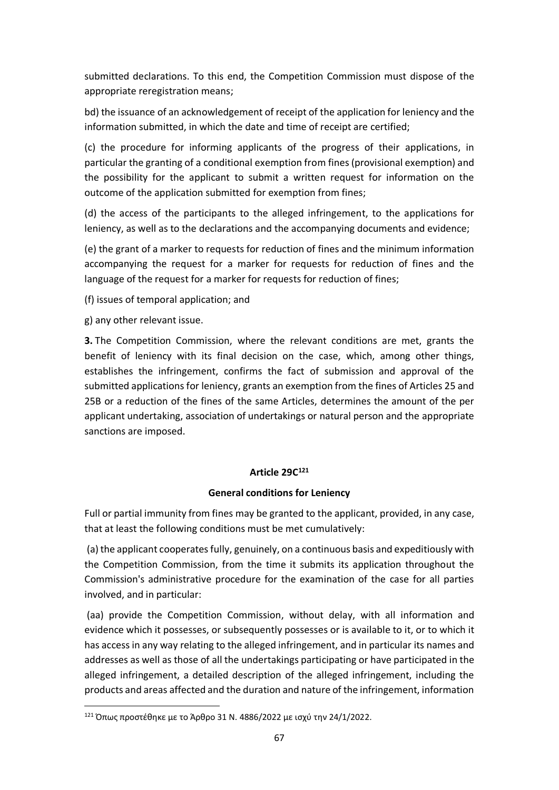submitted declarations. To this end, the Competition Commission must dispose of the appropriate reregistration means;

bd) the issuance of an acknowledgement of receipt of the application for leniency and the information submitted, in which the date and time of receipt are certified;

(c) the procedure for informing applicants of the progress of their applications, in particular the granting of a conditional exemption from fines (provisional exemption) and the possibility for the applicant to submit a written request for information on the outcome of the application submitted for exemption from fines;

(d) the access of the participants to the alleged infringement, to the applications for leniency, as well as to the declarations and the accompanying documents and evidence;

(e) the grant of a marker to requests for reduction of fines and the minimum information accompanying the request for a marker for requests for reduction of fines and the language of the request for a marker for requests for reduction of fines;

(f) issues of temporal application; and

g) any other relevant issue.

**3.** The Competition Commission, where the relevant conditions are met, grants the benefit of leniency with its final decision on the case, which, among other things, establishes the infringement, confirms the fact of submission and approval of the submitted applications for leniency, grants an exemption from the fines of Articles 25 and 25B or a reduction of the fines of the same Articles, determines the amount of the per applicant undertaking, association of undertakings or natural person and the appropriate sanctions are imposed.

# **Article 29C 121**

# **General conditions for Leniency**

Full or partial immunity from fines may be granted to the applicant, provided, in any case, that at least the following conditions must be met cumulatively:

(a) the applicant cooperates fully, genuinely, on a continuous basis and expeditiously with the Competition Commission, from the time it submits its application throughout the Commission's administrative procedure for the examination of the case for all parties involved, and in particular:

(aa) provide the Competition Commission, without delay, with all information and evidence which it possesses, or subsequently possesses or is available to it, or to which it has access in any way relating to the alleged infringement, and in particular its names and addresses as well as those of all the undertakings participating or have participated in the alleged infringement, a detailed description of the alleged infringement, including the products and areas affected and the duration and nature of the infringement, information

<sup>121</sup> Όπως προστέθηκε με το Άρθρο 31 Ν. 4886/2022 με ισχύ την 24/1/2022.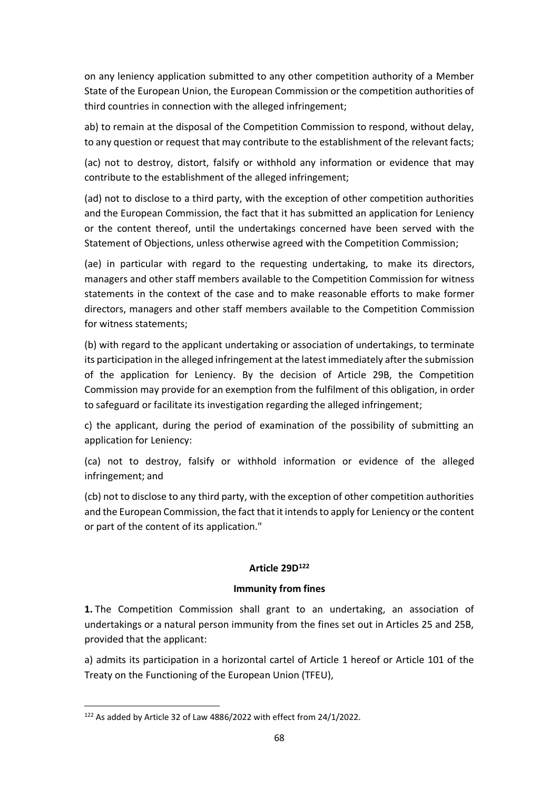on any leniency application submitted to any other competition authority of a Member State of the European Union, the European Commission or the competition authorities of third countries in connection with the alleged infringement;

ab) to remain at the disposal of the Competition Commission to respond, without delay, to any question or request that may contribute to the establishment of the relevant facts;

(ac) not to destroy, distort, falsify or withhold any information or evidence that may contribute to the establishment of the alleged infringement;

(ad) not to disclose to a third party, with the exception of other competition authorities and the European Commission, the fact that it has submitted an application for Leniency or the content thereof, until the undertakings concerned have been served with the Statement of Objections, unless otherwise agreed with the Competition Commission;

(ae) in particular with regard to the requesting undertaking, to make its directors, managers and other staff members available to the Competition Commission for witness statements in the context of the case and to make reasonable efforts to make former directors, managers and other staff members available to the Competition Commission for witness statements;

(b) with regard to the applicant undertaking or association of undertakings, to terminate its participation in the alleged infringement at the latest immediately after the submission of the application for Leniency. By the decision of Article 29B, the Competition Commission may provide for an exemption from the fulfilment of this obligation, in order to safeguard or facilitate its investigation regarding the alleged infringement;

c) the applicant, during the period of examination of the possibility of submitting an application for Leniency:

(ca) not to destroy, falsify or withhold information or evidence of the alleged infringement; and

(cb) not to disclose to any third party, with the exception of other competition authorities and the European Commission, the fact that it intends to apply for Leniency or the content or part of the content of its application."

# **Article 29D<sup>122</sup>**

# **Immunity from fines**

**1.** The Competition Commission shall grant to an undertaking, an association of undertakings or a natural person immunity from the fines set out in Articles 25 and 25B, provided that the applicant:

a) admits its participation in a horizontal cartel of Article 1 hereof or Article 101 of the Treaty on the Functioning of the European Union (TFEU),

<sup>&</sup>lt;sup>122</sup> As added by Article 32 of Law 4886/2022 with effect from 24/1/2022.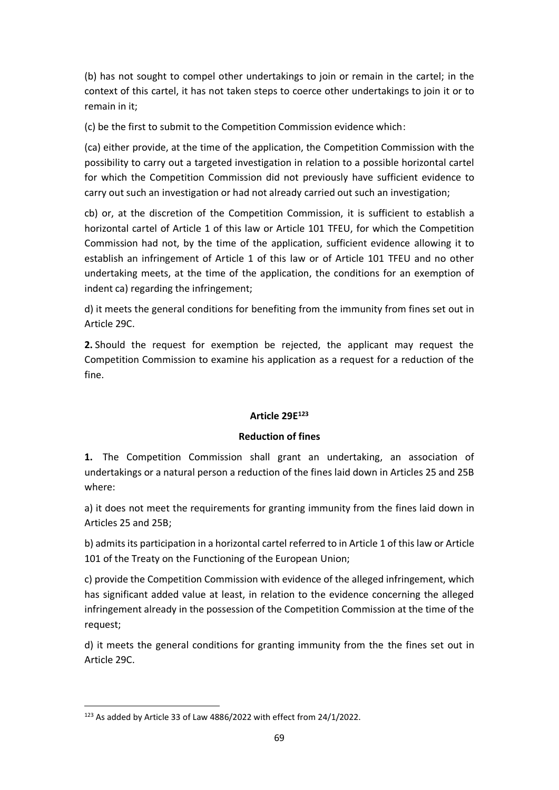(b) has not sought to compel other undertakings to join or remain in the cartel; in the context of this cartel, it has not taken steps to coerce other undertakings to join it or to remain in it;

(c) be the first to submit to the Competition Commission evidence which:

(ca) either provide, at the time of the application, the Competition Commission with the possibility to carry out a targeted investigation in relation to a possible horizontal cartel for which the Competition Commission did not previously have sufficient evidence to carry out such an investigation or had not already carried out such an investigation;

cb) or, at the discretion of the Competition Commission, it is sufficient to establish a horizontal cartel of Article 1 of this law or Article 101 TFEU, for which the Competition Commission had not, by the time of the application, sufficient evidence allowing it to establish an infringement of Article 1 of this law or of Article 101 TFEU and no other undertaking meets, at the time of the application, the conditions for an exemption of indent ca) regarding the infringement;

d) it meets the general conditions for benefiting from the immunity from fines set out in Article 29C.

**2.** Should the request for exemption be rejected, the applicant may request the Competition Commission to examine his application as a request for a reduction of the fine.

# **Article 29E 123**

# **Reduction of fines**

**1.** The Competition Commission shall grant an undertaking, an association of undertakings or a natural person a reduction of the fines laid down in Articles 25 and 25B where:

a) it does not meet the requirements for granting immunity from the fines laid down in Articles 25 and 25B;

b) admits its participation in a horizontal cartel referred to in Article 1 of this law or Article 101 of the Treaty on the Functioning of the European Union;

c) provide the Competition Commission with evidence of the alleged infringement, which has significant added value at least, in relation to the evidence concerning the alleged infringement already in the possession of the Competition Commission at the time of the request;

d) it meets the general conditions for granting immunity from the the fines set out in Article 29C.

<sup>123</sup> As added by Article 33 of Law 4886/2022 with effect from 24/1/2022.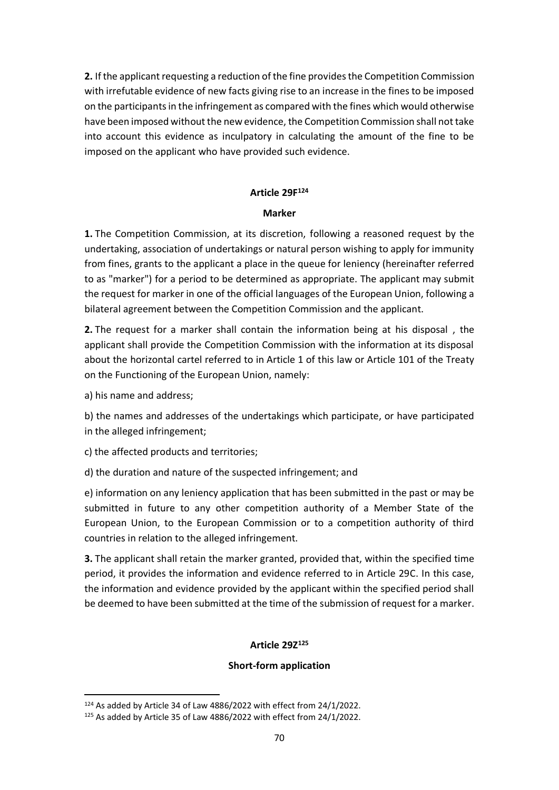**2.** If the applicant requesting a reduction of the fine provides the Competition Commission with irrefutable evidence of new facts giving rise to an increase in the fines to be imposed on the participants in the infringement as compared with the fines which would otherwise have been imposed without the new evidence, the Competition Commission shall not take into account this evidence as inculpatory in calculating the amount of the fine to be imposed on the applicant who have provided such evidence.

# **Article 29F 124**

### **Marker**

**1.** The Competition Commission, at its discretion, following a reasoned request by the undertaking, association of undertakings or natural person wishing to apply for immunity from fines, grants to the applicant a place in the queue for leniency (hereinafter referred to as "marker") for a period to be determined as appropriate. The applicant may submit the request for marker in one of the official languages of the European Union, following a bilateral agreement between the Competition Commission and the applicant.

**2.** The request for a marker shall contain the information being at his disposal , the applicant shall provide the Competition Commission with the information at its disposal about the horizontal cartel referred to in Article 1 of this law or Article 101 of the Treaty on the Functioning of the European Union, namely:

a) his name and address;

b) the names and addresses of the undertakings which participate, or have participated in the alleged infringement;

c) the affected products and territories;

d) the duration and nature of the suspected infringement; and

e) information on any leniency application that has been submitted in the past or may be submitted in future to any other competition authority of a Member State of the European Union, to the European Commission or to a competition authority of third countries in relation to the alleged infringement.

**3.** The applicant shall retain the marker granted, provided that, within the specified time period, it provides the information and evidence referred to in Article 29C. In this case, the information and evidence provided by the applicant within the specified period shall be deemed to have been submitted at the time of the submission of request for a marker.

# **Article 29Ζ 125**

# **Short-form application**

<sup>124</sup> As added by Article 34 of Law 4886/2022 with effect from 24/1/2022.

<sup>125</sup> As added by Article 35 of Law 4886/2022 with effect from 24/1/2022.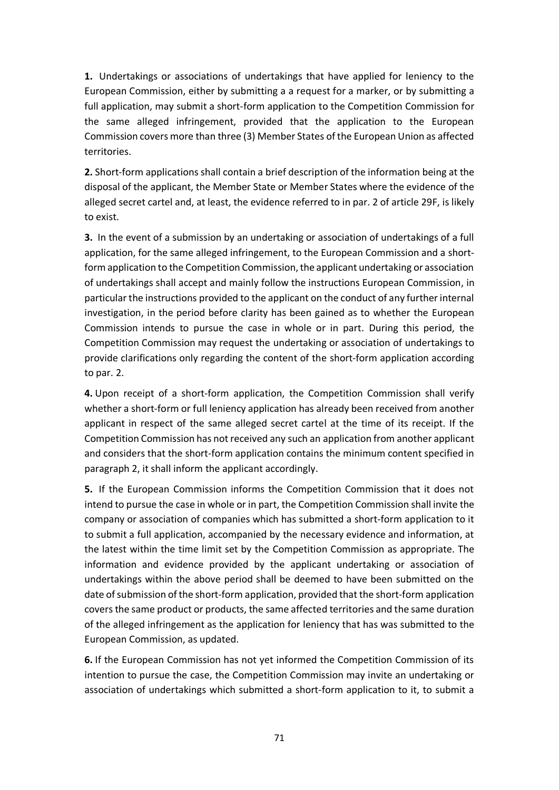**1.** Undertakings or associations of undertakings that have applied for leniency to the European Commission, either by submitting a a request for a marker, or by submitting a full application, may submit a short-form application to the Competition Commission for the same alleged infringement, provided that the application to the European Commission covers more than three (3) Member States of the European Union as affected territories.

**2.** Short-form applications shall contain a brief description of the information being at the disposal of the applicant, the Member State or Member States where the evidence of the alleged secret cartel and, at least, the evidence referred to in par. 2 of article 29F, is likely to exist.

**3.** In the event of a submission by an undertaking or association of undertakings of a full application, for the same alleged infringement, to the European Commission and a shortformapplication to the Competition Commission, the applicant undertaking or association of undertakings shall accept and mainly follow the instructions European Commission, in particular the instructions provided to the applicant on the conduct of any further internal investigation, in the period before clarity has been gained as to whether the European Commission intends to pursue the case in whole or in part. During this period, the Competition Commission may request the undertaking or association of undertakings to provide clarifications only regarding the content of the short-form application according to par. 2.

**4.** Upon receipt of a short-form application, the Competition Commission shall verify whether a short-form or full leniency application has already been received from another applicant in respect of the same alleged secret cartel at the time of its receipt. If the Competition Commission has not received any such an application from another applicant and considers that the short-form application contains the minimum content specified in paragraph 2, it shall inform the applicant accordingly.

**5.** If the European Commission informs the Competition Commission that it does not intend to pursue the case in whole or in part, the Competition Commission shall invite the company or association of companies which has submitted a short-form application to it to submit a full application, accompanied by the necessary evidence and information, at the latest within the time limit set by the Competition Commission as appropriate. The information and evidence provided by the applicant undertaking or association of undertakings within the above period shall be deemed to have been submitted on the date of submission of the short-form application, provided that the short-form application covers the same product or products, the same affected territories and the same duration of the alleged infringement as the application for leniency that has was submitted to the European Commission, as updated.

**6.** If the European Commission has not yet informed the Competition Commission of its intention to pursue the case, the Competition Commission may invite an undertaking or association of undertakings which submitted a short-form application to it, to submit a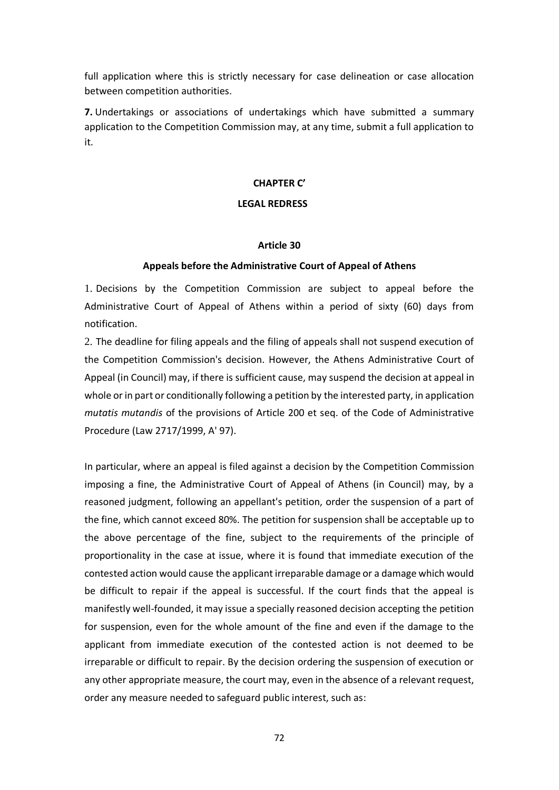full application where this is strictly necessary for case delineation or case allocation between competition authorities.

**7.** Undertakings or associations of undertakings which have submitted a summary application to the Competition Commission may, at any time, submit a full application to it.

#### **CHAPTER C'**

### **LEGAL REDRESS**

#### **Article 30**

#### **Appeals before the Administrative Court of Appeal of Athens**

1. Decisions by the Competition Commission are subject to appeal before the Administrative Court of Appeal of Athens within a period of sixty (60) days from notification.

2. The deadline for filing appeals and the filing of appeals shall not suspend execution of the Competition Commission's decision. However, the Athens Administrative Court of Appeal (in Council) may, if there is sufficient cause, may suspend the decision at appeal in whole or in part or conditionally following a petition by the interested party, in application *mutatis mutandis* of the provisions of Article 200 et seq. of the Code of Administrative Procedure (Law 2717/1999, A' 97).

In particular, where an appeal is filed against a decision by the Competition Commission imposing a fine, the Administrative Court of Appeal of Athens (in Council) may, by a reasoned judgment, following an appellant's petition, order the suspension of a part of the fine, which cannot exceed 80%. The petition for suspension shall be acceptable up to the above percentage of the fine, subject to the requirements of the principle of proportionality in the case at issue, where it is found that immediate execution of the contested action would cause the applicant irreparable damage or a damage which would be difficult to repair if the appeal is successful. If the court finds that the appeal is manifestly well-founded, it may issue a specially reasoned decision accepting the petition for suspension, even for the whole amount of the fine and even if the damage to the applicant from immediate execution of the contested action is not deemed to be irreparable or difficult to repair. By the decision ordering the suspension of execution or any other appropriate measure, the court may, even in the absence of a relevant request, order any measure needed to safeguard public interest, such as: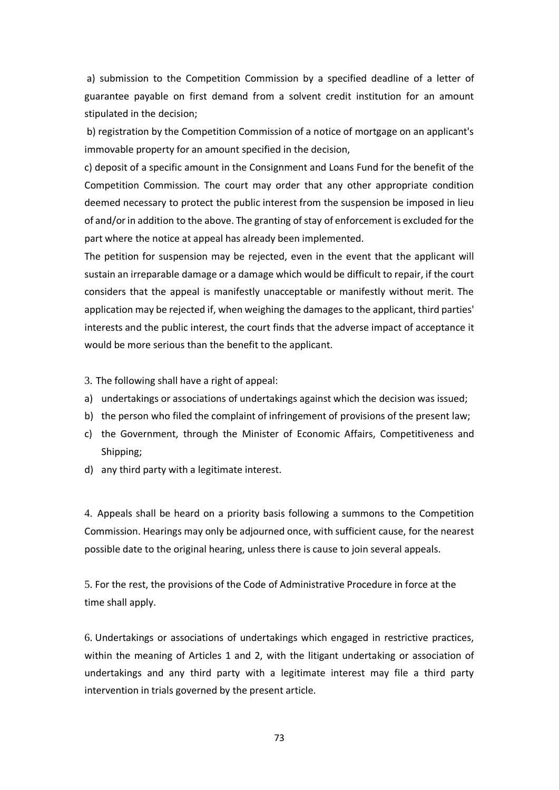a) submission to the Competition Commission by a specified deadline of a letter of guarantee payable on first demand from a solvent credit institution for an amount stipulated in the decision;

b) registration by the Competition Commission of a notice of mortgage on an applicant's immovable property for an amount specified in the decision,

c) deposit of a specific amount in the Consignment and Loans Fund for the benefit of the Competition Commission. The court may order that any other appropriate condition deemed necessary to protect the public interest from the suspension be imposed in lieu of and/or in addition to the above. The granting of stay of enforcement is excluded for the part where the notice at appeal has already been implemented.

The petition for suspension may be rejected, even in the event that the applicant will sustain an irreparable damage or a damage which would be difficult to repair, if the court considers that the appeal is manifestly unacceptable or manifestly without merit. The application may be rejected if, when weighing the damages to the applicant, third parties' interests and the public interest, the court finds that the adverse impact of acceptance it would be more serious than the benefit to the applicant.

3. The following shall have a right of appeal:

- a) undertakings or associations of undertakings against which the decision was issued;
- b) the person who filed the complaint of infringement of provisions of the present law;
- c) the Government, through the Minister of Economic Affairs, Competitiveness and Shipping;
- d) any third party with a legitimate interest.

4. Appeals shall be heard on a priority basis following a summons to the Competition Commission. Hearings may only be adjourned once, with sufficient cause, for the nearest possible date to the original hearing, unless there is cause to join several appeals.

5. For the rest, the provisions of the Code of Administrative Procedure in force at the time shall apply.

6. Undertakings or associations of undertakings which engaged in restrictive practices, within the meaning of Articles 1 and 2, with the litigant undertaking or association of undertakings and any third party with a legitimate interest may file a third party intervention in trials governed by the present article.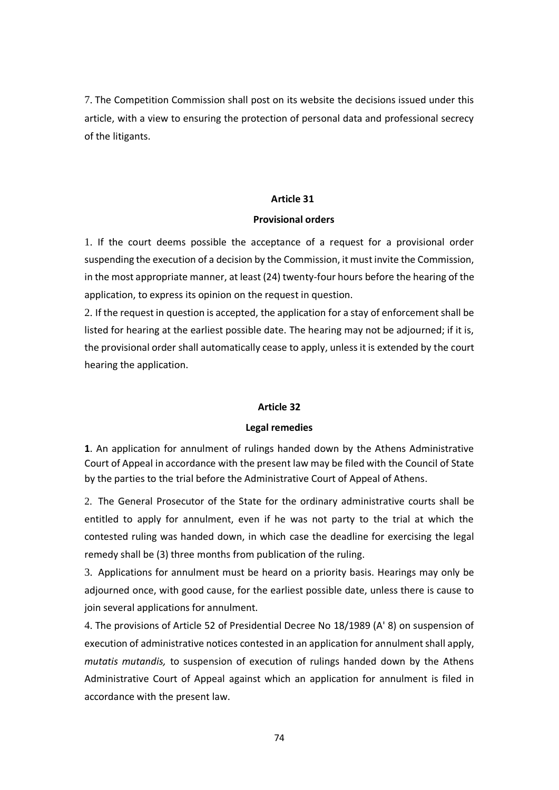7. The Competition Commission shall post on its website the decisions issued under this article, with a view to ensuring the protection of personal data and professional secrecy of the litigants.

#### **Article 31**

#### **Provisional orders**

1. If the court deems possible the acceptance of a request for a provisional order suspending the execution of a decision by the Commission, it must invite the Commission, in the most appropriate manner, at least (24) twenty-four hours before the hearing of the application, to express its opinion on the request in question.

2. If the request in question is accepted, the application for a stay of enforcement shall be listed for hearing at the earliest possible date. The hearing may not be adjourned; if it is, the provisional order shall automatically cease to apply, unless it is extended by the court hearing the application.

#### **Article 32**

#### **Legal remedies**

**1**. An application for annulment of rulings handed down by the Athens Administrative Court of Appeal in accordance with the present law may be filed with the Council of State by the parties to the trial before the Administrative Court of Appeal of Athens.

2. The General Prosecutor of the State for the ordinary administrative courts shall be entitled to apply for annulment, even if he was not party to the trial at which the contested ruling was handed down, in which case the deadline for exercising the legal remedy shall be (3) three months from publication of the ruling.

3. Applications for annulment must be heard on a priority basis. Hearings may only be adjourned once, with good cause, for the earliest possible date, unless there is cause to join several applications for annulment.

4. The provisions of Article 52 of Presidential Decree No 18/1989 (A' 8) on suspension of execution of administrative notices contested in an application for annulment shall apply, *mutatis mutandis,* to suspension of execution of rulings handed down by the Athens Administrative Court of Appeal against which an application for annulment is filed in accordance with the present law.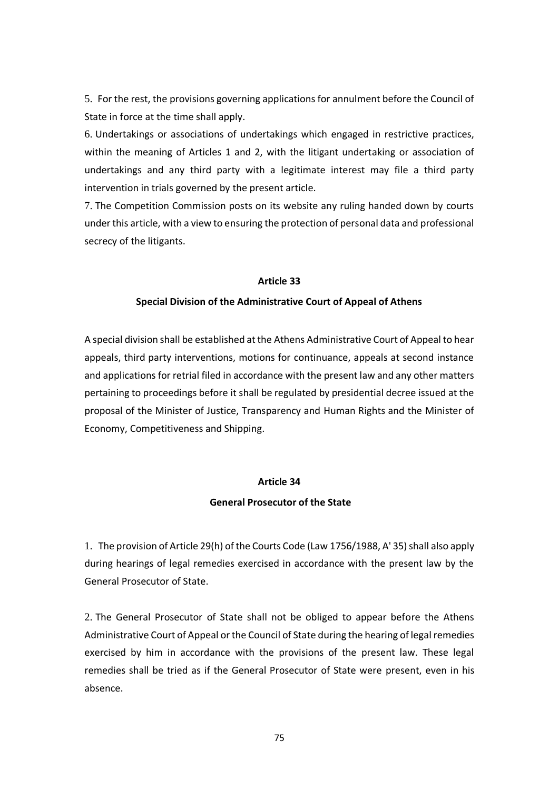5. For the rest, the provisions governing applications for annulment before the Council of State in force at the time shall apply.

6. Undertakings or associations of undertakings which engaged in restrictive practices, within the meaning of Articles 1 and 2, with the litigant undertaking or association of undertakings and any third party with a legitimate interest may file a third party intervention in trials governed by the present article.

7. The Competition Commission posts on its website any ruling handed down by courts under this article, with a view to ensuring the protection of personal data and professional secrecy of the litigants.

#### **Article 33**

#### **Special Division of the Administrative Court of Appeal of Athens**

A special division shall be established at the Athens Administrative Court of Appeal to hear appeals, third party interventions, motions for continuance, appeals at second instance and applications for retrial filed in accordance with the present law and any other matters pertaining to proceedings before it shall be regulated by presidential decree issued at the proposal of the Minister of Justice, Transparency and Human Rights and the Minister of Economy, Competitiveness and Shipping.

#### **Article 34**

#### **General Prosecutor of the State**

1. The provision of Article 29(h) of the Courts Code (Law 1756/1988, A' 35) shall also apply during hearings of legal remedies exercised in accordance with the present law by the General Prosecutor of State.

2. The General Prosecutor of State shall not be obliged to appear before the Athens Administrative Court of Appeal or the Council of State during the hearing of legal remedies exercised by him in accordance with the provisions of the present law. These legal remedies shall be tried as if the General Prosecutor of State were present, even in his absence.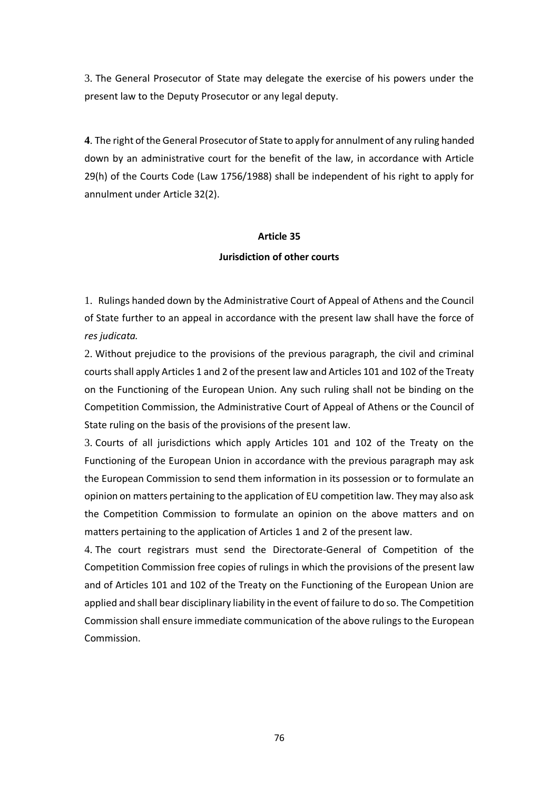3. The General Prosecutor of State may delegate the exercise of his powers under the present law to the Deputy Prosecutor or any legal deputy.

**4**. The right of the General Prosecutor of State to apply for annulment of any ruling handed down by an administrative court for the benefit of the law, in accordance with Article 29(h) of the Courts Code (Law 1756/1988) shall be independent of his right to apply for annulment under Article 32(2).

#### **Article 35**

#### **Jurisdiction of other courts**

1. Rulings handed down by the Administrative Court of Appeal of Athens and the Council of State further to an appeal in accordance with the present law shall have the force of *res judicata.*

2. Without prejudice to the provisions of the previous paragraph, the civil and criminal courts shall apply Articles 1 and 2 of the present law and Articles 101 and 102 of the Treaty on the Functioning of the European Union. Any such ruling shall not be binding on the Competition Commission, the Administrative Court of Appeal of Athens or the Council of State ruling on the basis of the provisions of the present law.

3. Courts of all jurisdictions which apply Articles 101 and 102 of the Treaty on the Functioning of the European Union in accordance with the previous paragraph may ask the European Commission to send them information in its possession or to formulate an opinion on matters pertaining to the application of EU competition law. They may also ask the Competition Commission to formulate an opinion on the above matters and on matters pertaining to the application of Articles 1 and 2 of the present law.

4. The court registrars must send the Directorate-General of Competition of the Competition Commission free copies of rulings in which the provisions of the present law and of Articles 101 and 102 of the Treaty on the Functioning of the European Union are applied and shall bear disciplinary liability in the event of failure to do so. The Competition Commission shall ensure immediate communication of the above rulings to the European Commission.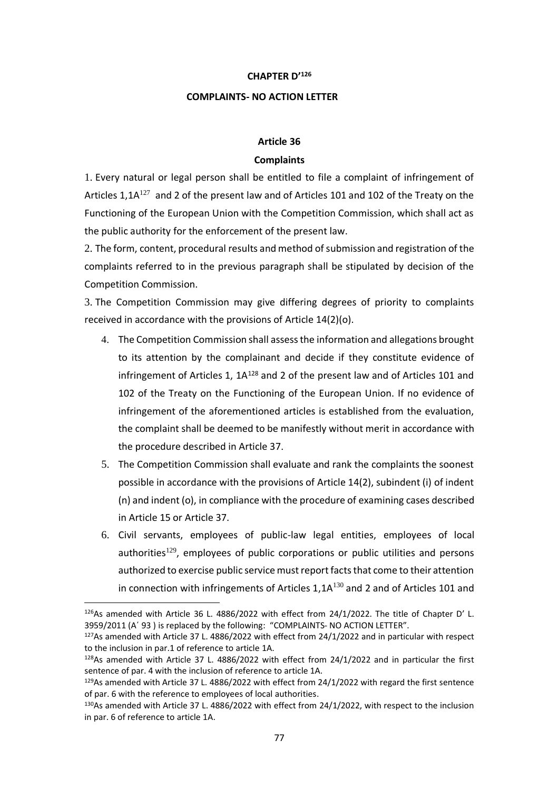#### **CHAPTER D'<sup>126</sup>**

#### **COMPLAINTS- NO ACTION LETTER**

## **Article 36**

#### **Complaints**

1. Every natural or legal person shall be entitled to file a complaint of infringement of Articles 1,1 $A^{127}$  and 2 of the present law and of Articles 101 and 102 of the Treaty on the Functioning of the European Union with the Competition Commission, which shall act as the public authority for the enforcement of the present law.

2. The form, content, procedural results and method of submission and registration of the complaints referred to in the previous paragraph shall be stipulated by decision of the Competition Commission.

3. The Competition Commission may give differing degrees of priority to complaints received in accordance with the provisions of Article 14(2)(o).

- 4. The Competition Commission shall assess the information and allegations brought to its attention by the complainant and decide if they constitute evidence of infringement of Articles 1, 1A<sup>128</sup> and 2 of the present law and of Articles 101 and 102 of the Treaty on the Functioning of the European Union. If no evidence of infringement of the aforementioned articles is established from the evaluation, the complaint shall be deemed to be manifestly without merit in accordance with the procedure described in Article 37.
- 5. The Competition Commission shall evaluate and rank the complaints the soonest possible in accordance with the provisions of Article 14(2), subindent (i) of indent (n) and indent (o), in compliance with the procedure of examining cases described in Article 15 or Article 37.
- 6. Civil servants, employees of public-law legal entities, employees of local authorities<sup>129</sup>, employees of public corporations or public utilities and persons authorized to exercise public service must report facts that come to their attention in connection with infringements of Articles  $1,1A^{130}$  and 2 and of Articles 101 and

<sup>127</sup>As amended with Article 37 L. 4886/2022 with effect from 24/1/2022 and in particular with respect to the inclusion in par.1 of reference to article 1A.

<sup>126</sup>As amended with Article 36 L. 4886/2022 with effect from 24/1/2022. The title of Chapter D' L. 3959/2011 (A' 93) is replaced by the following: "COMPLAINTS- NO ACTION LETTER".

 $128$ As amended with Article 37 L. 4886/2022 with effect from 24/1/2022 and in particular the first sentence of par. 4 with the inclusion of reference to article 1A.

<sup>&</sup>lt;sup>129</sup>As amended with Article 37 L. 4886/2022 with effect from 24/1/2022 with regard the first sentence of par. 6 with the reference to employees of local authorities.

<sup>130</sup>As amended with Article 37 L. 4886/2022 with effect from 24/1/2022, with respect to the inclusion in par. 6 of reference to article 1A.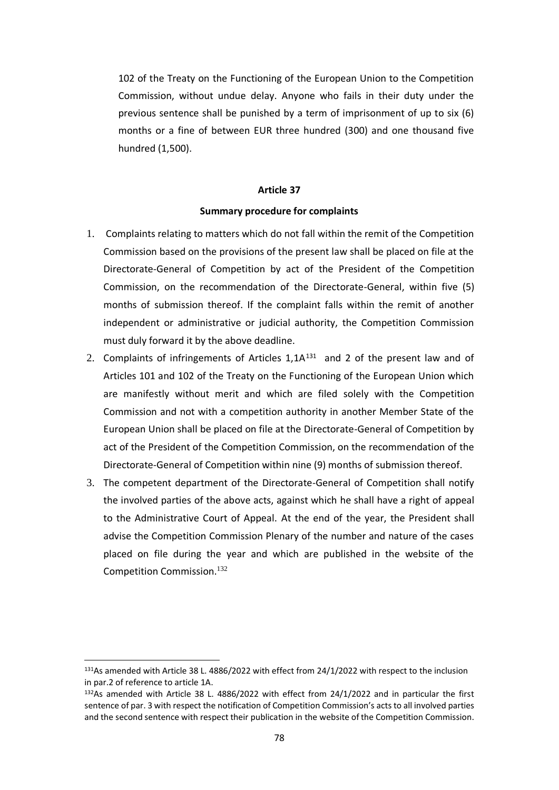102 of the Treaty on the Functioning of the European Union to the Competition Commission, without undue delay. Anyone who fails in their duty under the previous sentence shall be punished by a term of imprisonment of up to six (6) months or a fine of between EUR three hundred (300) and one thousand five hundred (1,500).

#### **Article 37**

#### **Summary procedure for complaints**

- 1. Complaints relating to matters which do not fall within the remit of the Competition Commission based on the provisions of the present law shall be placed on file at the Directorate-General of Competition by act of the President of the Competition Commission, on the recommendation of the Directorate-General, within five (5) months of submission thereof. If the complaint falls within the remit of another independent or administrative or judicial authority, the Competition Commission must duly forward it by the above deadline.
- 2. Complaints of infringements of Articles  $1,1A^{131}$  and 2 of the present law and of Articles 101 and 102 of the Treaty on the Functioning of the European Union which are manifestly without merit and which are filed solely with the Competition Commission and not with a competition authority in another Member State of the European Union shall be placed on file at the Directorate-General of Competition by act of the President of the Competition Commission, on the recommendation of the Directorate-General of Competition within nine (9) months of submission thereof.
- 3. The competent department of the Directorate-General of Competition shall notify the involved parties of the above acts, against which he shall have a right of appeal to the Administrative Court of Appeal. At the end of the year, the President shall advise the Competition Commission Plenary of the number and nature of the cases placed on file during the year and which are published in the website of the Competition Commission.<sup>132</sup>

<sup>131</sup>As amended with Article 38 L. 4886/2022 with effect from 24/1/2022 with respect to the inclusion in par.2 of reference to article 1A.

<sup>132</sup>As amended with Article 38 L. 4886/2022 with effect from 24/1/2022 and in particular the first sentence of par. 3 with respect the notification of Competition Commission's acts to all involved parties and the second sentence with respect their publication in the website of the Competition Commission.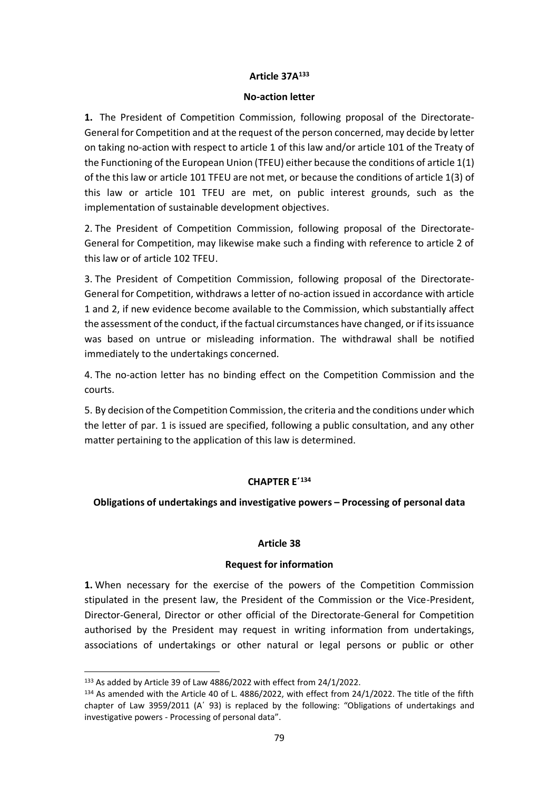# **Article 37Α 133**

#### **No-action letter**

**1.** The President of Competition Commission, following proposal of the Directorate-General for Competition and at the request of the person concerned, may decide by letter on taking no-action with respect to article 1 of this law and/or article 101 of the Treaty of the Functioning of the European Union (TFEU) either because the conditions of article 1(1) of the this law or article 101 TFEU are not met, or because the conditions of article 1(3) of this law or article 101 TFEU are met, on public interest grounds, such as the implementation of sustainable development objectives.

2. The President of Competition Commission, following proposal of the Directorate-General for Competition, may likewise make such a finding with reference to article 2 of this law or of article 102 TFEU.

3. The President of Competition Commission, following proposal of the Directorate-General for Competition, withdraws a letter of no-action issued in accordance with article 1 and 2, if new evidence become available to the Commission, which substantially affect the assessment of the conduct, if the factual circumstances have changed, or if its issuance was based on untrue or misleading information. The withdrawal shall be notified immediately to the undertakings concerned.

4. The no-action letter has no binding effect on the Competition Commission and the courts.

5. By decision of the Competition Commission, the criteria and the conditions under which the letter of par. 1 is issued are specified, following a public consultation, and any other matter pertaining to the application of this law is determined.

# **CHAPTER Ε΄<sup>134</sup>**

# **Obligations of undertakings and investigative powers – Processing of personal data**

## **Article 38**

## **Request for information**

**1.** When necessary for the exercise of the powers of the Competition Commission stipulated in the present law, the President of the Commission or the Vice-President, Director-General, Director or other official of the Directorate-General for Competition authorised by the President may request in writing information from undertakings, associations of undertakings or other natural or legal persons or public or other

<sup>133</sup> As added by Article 39 of Law 4886/2022 with effect from 24/1/2022.

<sup>134</sup> As amended with the Article 40 of L. 4886/2022, with effect from 24/1/2022. The title of the fifth chapter of Law 3959/2011 (Α΄ 93) is replaced by the following: "Obligations of undertakings and investigative powers - Processing of personal data".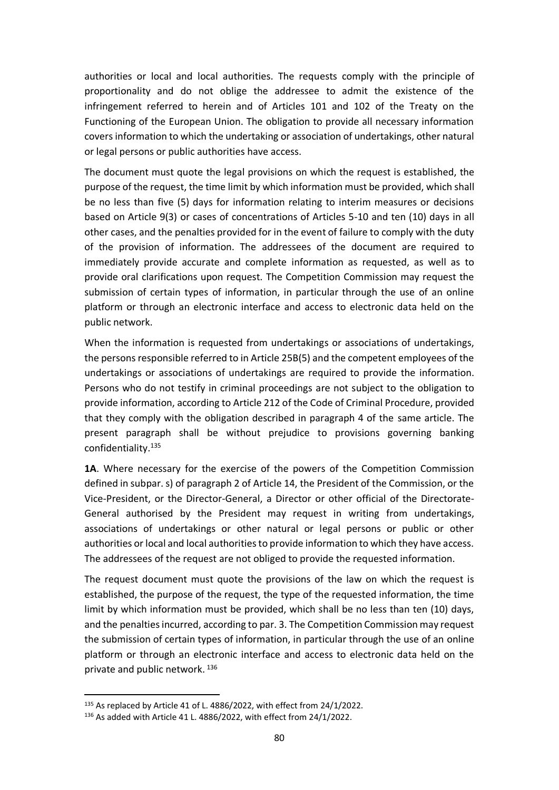authorities or local and local authorities. The requests comply with the principle of proportionality and do not oblige the addressee to admit the existence of the infringement referred to herein and of Articles 101 and 102 of the Treaty on the Functioning of the European Union. The obligation to provide all necessary information covers information to which the undertaking or association of undertakings, other natural or legal persons or public authorities have access.

The document must quote the legal provisions on which the request is established, the purpose of the request, the time limit by which information must be provided, which shall be no less than five (5) days for information relating to interim measures or decisions based on Article 9(3) or cases of concentrations of Articles 5-10 and ten (10) days in all other cases, and the penalties provided for in the event of failure to comply with the duty of the provision of information. The addressees of the document are required to immediately provide accurate and complete information as requested, as well as to provide oral clarifications upon request. The Competition Commission may request the submission of certain types of information, in particular through the use of an online platform or through an electronic interface and access to electronic data held on the public network.

When the information is requested from undertakings or associations of undertakings, the persons responsible referred to in Article 25B(5) and the competent employees of the undertakings or associations of undertakings are required to provide the information. Persons who do not testify in criminal proceedings are not subject to the obligation to provide information, according to Article 212 of the Code of Criminal Procedure, provided that they comply with the obligation described in paragraph 4 of the same article. The present paragraph shall be without prejudice to provisions governing banking confidentiality. 135

**1Α**. Where necessary for the exercise of the powers of the Competition Commission defined in subpar. s) of paragraph 2 of Article 14, the President of the Commission, or the Vice-President, or the Director-General, a Director or other official of the Directorate-General authorised by the President may request in writing from undertakings, associations of undertakings or other natural or legal persons or public or other authorities or local and local authorities to provide information to which they have access. The addressees of the request are not obliged to provide the requested information.

The request document must quote the provisions of the law on which the request is established, the purpose of the request, the type of the requested information, the time limit by which information must be provided, which shall be no less than ten (10) days, and the penalties incurred, according to par. 3. The Competition Commission may request the submission of certain types of information, in particular through the use of an online platform or through an electronic interface and access to electronic data held on the private and public network. 136

<sup>&</sup>lt;sup>135</sup> As replaced by Article 41 of L. 4886/2022, with effect from 24/1/2022.

<sup>136</sup> As added with Article 41 L. 4886/2022, with effect from 24/1/2022.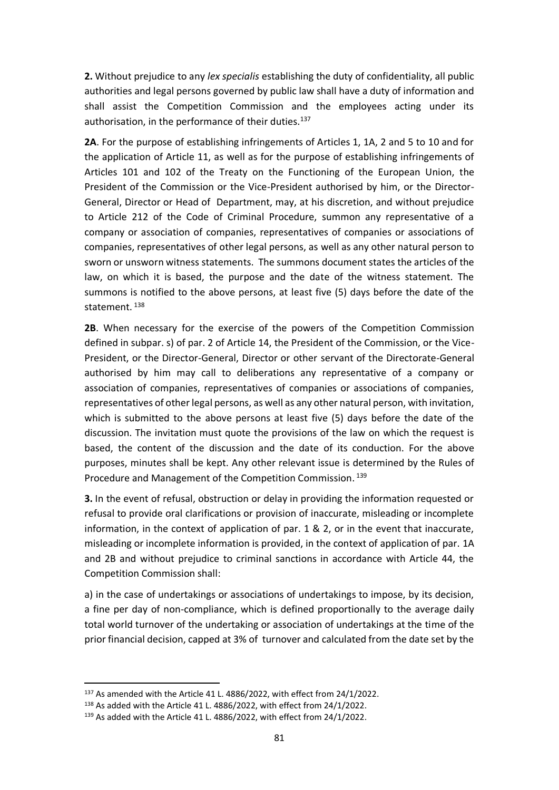**2.** Without prejudice to any *lex specialis* establishing the duty of confidentiality, all public authorities and legal persons governed by public law shall have a duty of information and shall assist the Competition Commission and the employees acting under its authorisation, in the performance of their duties.<sup>137</sup>

**2Α**. For the purpose of establishing infringements of Articles 1, 1A, 2 and 5 to 10 and for the application of Article 11, as well as for the purpose of establishing infringements of Articles 101 and 102 of the Treaty on the Functioning of the European Union, the President of the Commission or the Vice-President authorised by him, or the Director-General, Director or Head of Department, may, at his discretion, and without prejudice to Article 212 of the Code of Criminal Procedure, summon any representative of a company or association of companies, representatives of companies or associations of companies, representatives of other legal persons, as well as any other natural person to sworn or unsworn witness statements. The summons document states the articles of the law, on which it is based, the purpose and the date of the witness statement. The summons is notified to the above persons, at least five (5) days before the date of the statement. 138

**2Β**. When necessary for the exercise of the powers of the Competition Commission defined in subpar. s) of par. 2 of Article 14, the President of the Commission, or the Vice-President, or the Director-General, Director or other servant of the Directorate-General authorised by him may call to deliberations any representative of a company or association of companies, representatives of companies or associations of companies, representatives of other legal persons, as well as any other natural person, with invitation, which is submitted to the above persons at least five (5) days before the date of the discussion. The invitation must quote the provisions of the law on which the request is based, the content of the discussion and the date of its conduction. For the above purposes, minutes shall be kept. Any other relevant issue is determined by the Rules of Procedure and Management of the Competition Commission. 139

**3.** In the event of refusal, obstruction or delay in providing the information requested or refusal to provide oral clarifications or provision of inaccurate, misleading or incomplete information, in the context of application of par. 1 & 2, or in the event that inaccurate, misleading or incomplete information is provided, in the context of application of par. 1A and 2B and without prejudice to criminal sanctions in accordance with Article 44, the Competition Commission shall:

a) in the case of undertakings or associations of undertakings to impose, by its decision, a fine per day of non-compliance, which is defined proportionally to the average daily total world turnover of the undertaking or association of undertakings at the time of the prior financial decision, capped at 3% of turnover and calculated from the date set by the

<sup>&</sup>lt;sup>137</sup> As amended with the Article 41 L. 4886/2022, with effect from 24/1/2022.

<sup>138</sup> As added with the Article 41 L. 4886/2022, with effect from 24/1/2022.

<sup>&</sup>lt;sup>139</sup> As added with the Article 41 L. 4886/2022, with effect from 24/1/2022.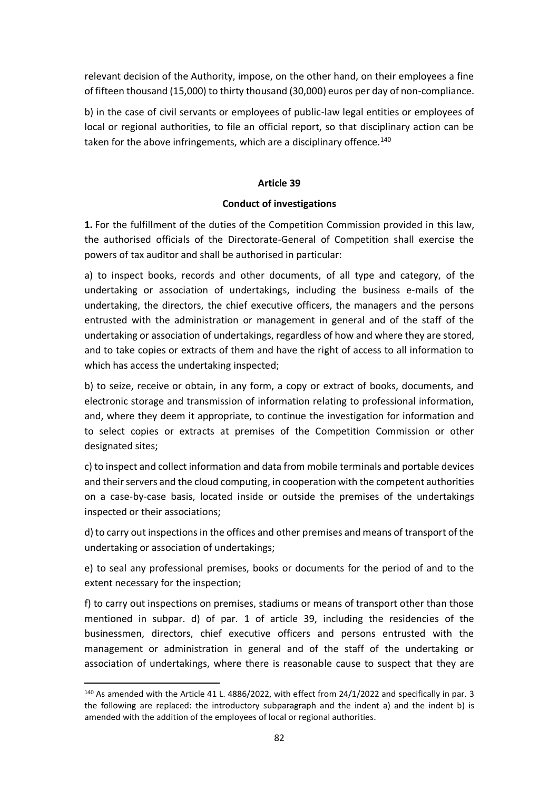relevant decision of the Authority, impose, on the other hand, on their employees a fine of fifteen thousand (15,000) to thirty thousand (30,000) euros per day of non-compliance.

b) in the case of civil servants or employees of public-law legal entities or employees of local or regional authorities, to file an official report, so that disciplinary action can be taken for the above infringements, which are a disciplinary offence.<sup>140</sup>

## **Article 39**

# **Conduct of investigations**

**1.** For the fulfillment of the duties of the Competition Commission provided in this law, the authorised officials of the Directorate-General of Competition shall exercise the powers of tax auditor and shall be authorised in particular:

a) to inspect books, records and other documents, of all type and category, of the undertaking or association of undertakings, including the business e-mails of the undertaking, the directors, the chief executive officers, the managers and the persons entrusted with the administration or management in general and of the staff of the undertaking or association of undertakings, regardless of how and where they are stored, and to take copies or extracts of them and have the right of access to all information to which has access the undertaking inspected;

b) to seize, receive or obtain, in any form, a copy or extract of books, documents, and electronic storage and transmission of information relating to professional information, and, where they deem it appropriate, to continue the investigation for information and to select copies or extracts at premises of the Competition Commission or other designated sites;

c) to inspect and collect information and data from mobile terminals and portable devices and their servers and the cloud computing, in cooperation with the competent authorities on a case-by-case basis, located inside or outside the premises of the undertakings inspected or their associations;

d) to carry out inspections in the offices and other premises and means of transport of the undertaking or association of undertakings;

e) to seal any professional premises, books or documents for the period of and to the extent necessary for the inspection;

f) to carry out inspections on premises, stadiums or means of transport other than those mentioned in subpar. d) of par. 1 of article 39, including the residencies of the businessmen, directors, chief executive officers and persons entrusted with the management or administration in general and of the staff of the undertaking or association of undertakings, where there is reasonable cause to suspect that they are

<sup>&</sup>lt;sup>140</sup> As amended with the Article 41 L. 4886/2022, with effect from 24/1/2022 and specifically in par. 3 the following are replaced: the introductory subparagraph and the indent a) and the indent b) is amended with the addition of the employees of local or regional authorities.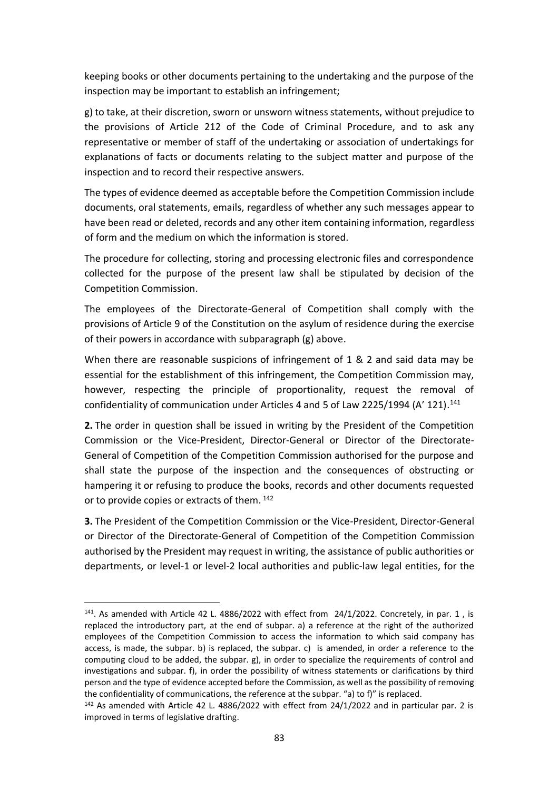keeping books or other documents pertaining to the undertaking and the purpose of the inspection may be important to establish an infringement;

g) to take, at their discretion, sworn or unsworn witness statements, without prejudice to the provisions of Article 212 of the Code of Criminal Procedure, and to ask any representative or member of staff of the undertaking or association of undertakings for explanations of facts or documents relating to the subject matter and purpose of the inspection and to record their respective answers.

The types of evidence deemed as acceptable before the Competition Commission include documents, oral statements, emails, regardless of whether any such messages appear to have been read or deleted, records and any other item containing information, regardless of form and the medium on which the information is stored.

The procedure for collecting, storing and processing electronic files and correspondence collected for the purpose of the present law shall be stipulated by decision of the Competition Commission.

The employees of the Directorate-General of Competition shall comply with the provisions of Article 9 of the Constitution on the asylum of residence during the exercise of their powers in accordance with subparagraph (g) above.

When there are reasonable suspicions of infringement of 1 & 2 and said data may be essential for the establishment of this infringement, the Competition Commission may, however, respecting the principle of proportionality, request the removal of confidentiality of communication under Articles 4 and 5 of Law 2225/1994 (A' 121). 141

**2.** The order in question shall be issued in writing by the President of the Competition Commission or the Vice-President, Director-General or Director of the Directorate-General of Competition of the Competition Commission authorised for the purpose and shall state the purpose of the inspection and the consequences of obstructing or hampering it or refusing to produce the books, records and other documents requested or to provide copies or extracts of them. <sup>142</sup>

**3.** The President of the Competition Commission or the Vice-President, Director-General or Director of the Directorate-General of Competition of the Competition Commission authorised by the President may request in writing, the assistance of public authorities or departments, or level-1 or level-2 local authorities and public-law legal entities, for the

 $141$ . As amended with Article 42 L. 4886/2022 with effect from  $24/1/2022$ . Concretely, in par. 1, is replaced the introductory part, at the end of subpar. a) a reference at the right of the authorized employees of the Competition Commission to access the information to which said company has access, is made, the subpar. b) is replaced, the subpar. c) is amended, in order a reference to the computing cloud to be added, the subpar. g), in order to specialize the requirements of control and investigations and subpar. f), in order the possibility of witness statements or clarifications by third person and the type of evidence accepted before the Commission, as well as the possibility of removing the confidentiality of communications, the reference at the subpar. "a) to f)" is replaced.

<sup>&</sup>lt;sup>142</sup> As amended with Article 42 L. 4886/2022 with effect from 24/1/2022 and in particular par. 2 is improved in terms of legislative drafting.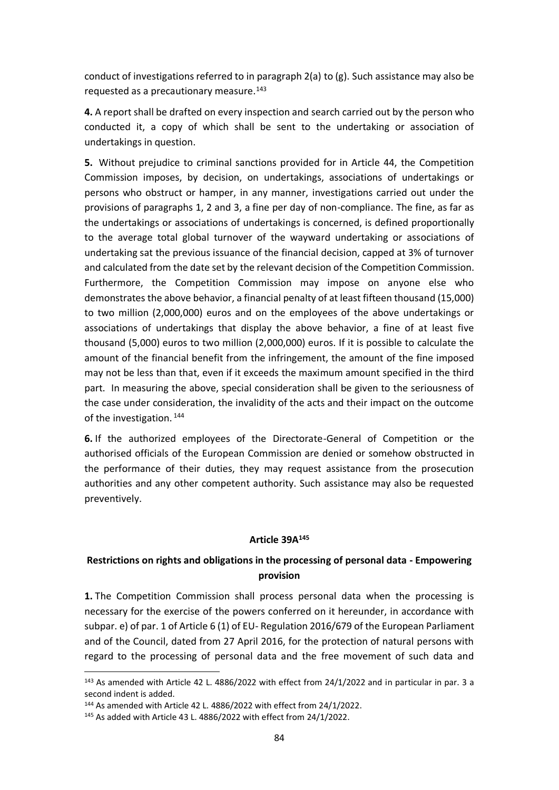conduct of investigations referred to in paragraph 2(a) to (g). Such assistance may also be requested as a precautionary measure. 143

**4.** A report shall be drafted on every inspection and search carried out by the person who conducted it, a copy of which shall be sent to the undertaking or association of undertakings in question.

**5.** Without prejudice to criminal sanctions provided for in Article 44, the Competition Commission imposes, by decision, on undertakings, associations of undertakings or persons who obstruct or hamper, in any manner, investigations carried out under the provisions of paragraphs 1, 2 and 3, a fine per day of non-compliance. The fine, as far as the undertakings or associations of undertakings is concerned, is defined proportionally to the average total global turnover of the wayward undertaking or associations of undertaking sat the previous issuance of the financial decision, capped at 3% of turnover and calculated from the date set by the relevant decision of the Competition Commission. Furthermore, the Competition Commission may impose on anyone else who demonstrates the above behavior, a financial penalty of at least fifteen thousand (15,000) to two million (2,000,000) euros and on the employees of the above undertakings or associations of undertakings that display the above behavior, a fine of at least five thousand (5,000) euros to two million (2,000,000) euros. If it is possible to calculate the amount of the financial benefit from the infringement, the amount of the fine imposed may not be less than that, even if it exceeds the maximum amount specified in the third part. In measuring the above, special consideration shall be given to the seriousness of the case under consideration, the invalidity of the acts and their impact on the outcome of the investigation.<sup>144</sup>

**6.** If the authorized employees of the Directorate-General of Competition or the authorised officials of the European Commission are denied or somehow obstructed in the performance of their duties, they may request assistance from the prosecution authorities and any other competent authority. Such assistance may also be requested preventively.

# **Article 39Α 145**

# **Restrictions on rights and obligations in the processing of personal data - Empowering provision**

**1.** The Competition Commission shall process personal data when the processing is necessary for the exercise of the powers conferred on it hereunder, in accordance with subpar. e) of par. 1 of Article 6 (1) of EU- Regulation 2016/679 of the European Parliament and of the Council, dated from 27 April 2016, for the protection of natural persons with regard to the processing of personal data and the free movement of such data and

<sup>&</sup>lt;sup>143</sup> As amended with Article 42 L. 4886/2022 with effect from 24/1/2022 and in particular in par. 3 a second indent is added.

<sup>144</sup> As amended with Article 42 L. 4886/2022 with effect from 24/1/2022.

<sup>145</sup> As added with Article 43 L. 4886/2022 with effect from 24/1/2022.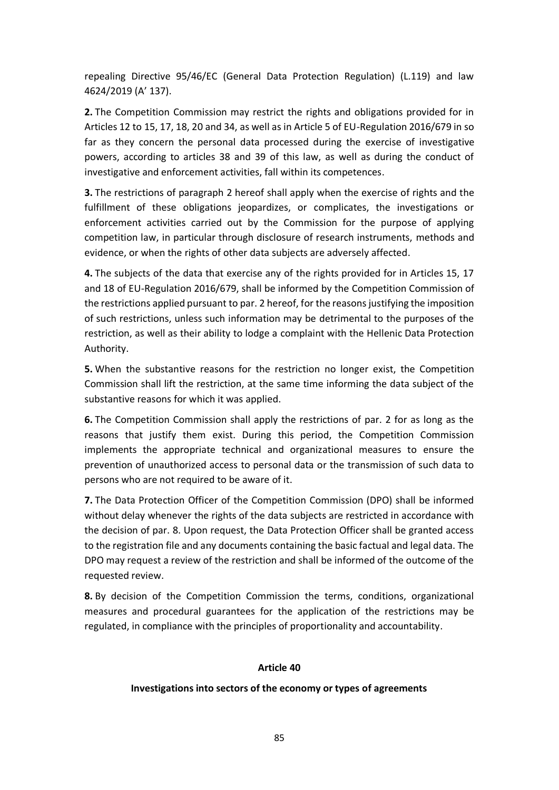repealing Directive 95/46/EC (General Data Protection Regulation) (L.119) and law 4624/2019 (A' 137).

**2.** The Competition Commission may restrict the rights and obligations provided for in Articles 12 to 15, 17, 18, 20 and 34, as well as in Article 5 of EU-Regulation 2016/679 in so far as they concern the personal data processed during the exercise of investigative powers, according to articles 38 and 39 of this law, as well as during the conduct of investigative and enforcement activities, fall within its competences.

**3.** The restrictions of paragraph 2 hereof shall apply when the exercise of rights and the fulfillment of these obligations jeopardizes, or complicates, the investigations or enforcement activities carried out by the Commission for the purpose of applying competition law, in particular through disclosure of research instruments, methods and evidence, or when the rights of other data subjects are adversely affected.

**4.** The subjects of the data that exercise any of the rights provided for in Articles 15, 17 and 18 of EU-Regulation 2016/679, shall be informed by the Competition Commission of the restrictions applied pursuant to par. 2 hereof, for the reasons justifying the imposition of such restrictions, unless such information may be detrimental to the purposes of the restriction, as well as their ability to lodge a complaint with the Hellenic Data Protection Authority.

**5.** When the substantive reasons for the restriction no longer exist, the Competition Commission shall lift the restriction, at the same time informing the data subject of the substantive reasons for which it was applied.

**6.** The Competition Commission shall apply the restrictions of par. 2 for as long as the reasons that justify them exist. During this period, the Competition Commission implements the appropriate technical and organizational measures to ensure the prevention of unauthorized access to personal data or the transmission of such data to persons who are not required to be aware of it.

**7.** The Data Protection Officer of the Competition Commission (DPO) shall be informed without delay whenever the rights of the data subjects are restricted in accordance with the decision of par. 8. Upon request, the Data Protection Officer shall be granted access to the registration file and any documents containing the basic factual and legal data. The DPO may request a review of the restriction and shall be informed of the outcome of the requested review.

**8.** By decision of the Competition Commission the terms, conditions, organizational measures and procedural guarantees for the application of the restrictions may be regulated, in compliance with the principles of proportionality and accountability.

## **Article 40**

#### **Investigations into sectors of the economy or types of agreements**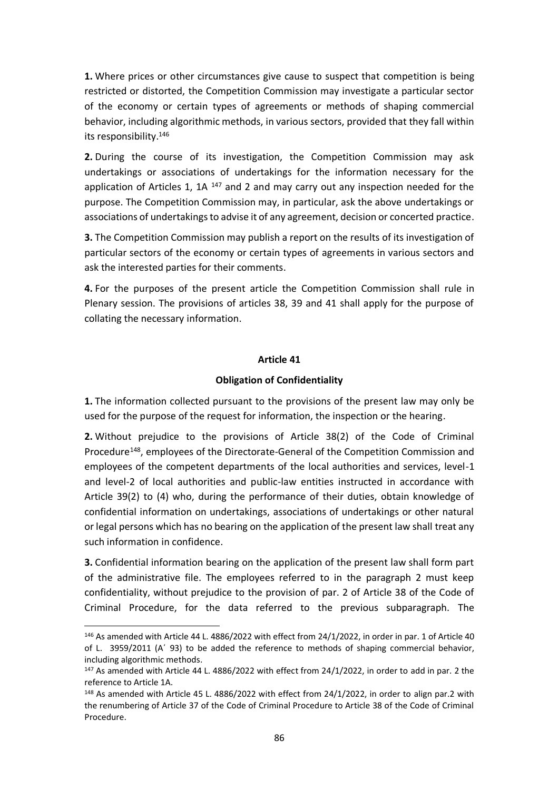**1.** Where prices or other circumstances give cause to suspect that competition is being restricted or distorted, the Competition Commission may investigate a particular sector of the economy or certain types of agreements or methods of shaping commercial behavior, including algorithmic methods, in various sectors, provided that they fall within its responsibility.<sup>146</sup>

**2.** During the course of its investigation, the Competition Commission may ask undertakings or associations of undertakings for the information necessary for the application of Articles 1, 1A  $147$  and 2 and may carry out any inspection needed for the purpose. The Competition Commission may, in particular, ask the above undertakings or associations of undertakings to advise it of any agreement, decision or concerted practice.

**3.** The Competition Commission may publish a report on the results of its investigation of particular sectors of the economy or certain types of agreements in various sectors and ask the interested parties for their comments.

**4.** For the purposes of the present article the Competition Commission shall rule in Plenary session. The provisions of articles 38, 39 and 41 shall apply for the purpose of collating the necessary information.

## **Article 41**

## **Obligation of Confidentiality**

**1.** The information collected pursuant to the provisions of the present law may only be used for the purpose of the request for information, the inspection or the hearing.

**2.** Without prejudice to the provisions of Article 38(2) of the Code of Criminal Procedure<sup>148</sup>, employees of the Directorate-General of the Competition Commission and employees of the competent departments of the local authorities and services, level-1 and level-2 of local authorities and public-law entities instructed in accordance with Article 39(2) to (4) who, during the performance of their duties, obtain knowledge of confidential information on undertakings, associations of undertakings or other natural or legal persons which has no bearing on the application of the present law shall treat any such information in confidence.

**3.** Confidential information bearing on the application of the present law shall form part of the administrative file. The employees referred to in the paragraph 2 must keep confidentiality, without prejudice to the provision of par. 2 of Article 38 of the Code of Criminal Procedure, for the data referred to the previous subparagraph. The

<sup>146</sup> As amended with Article 44 L. 4886/2022 with effect from 24/1/2022, in order in par. 1 of Article 40 of L. 3959/2011 (Α΄ 93) to be added the reference to methods of shaping commercial behavior, including algorithmic methods.

 $147$  As amended with Article 44 L. 4886/2022 with effect from 24/1/2022, in order to add in par. 2 the reference to Article 1A.

<sup>&</sup>lt;sup>148</sup> As amended with Article 45 L. 4886/2022 with effect from 24/1/2022, in order to align par.2 with the renumbering of Article 37 of the Code of Criminal Procedure to Article 38 of the Code of Criminal Procedure.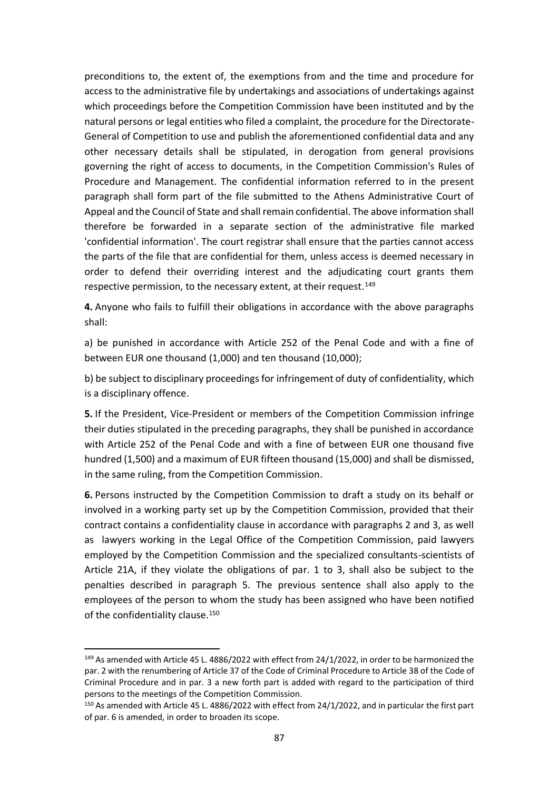preconditions to, the extent of, the exemptions from and the time and procedure for access to the administrative file by undertakings and associations of undertakings against which proceedings before the Competition Commission have been instituted and by the natural persons or legal entities who filed a complaint, the procedure for the Directorate-General of Competition to use and publish the aforementioned confidential data and any other necessary details shall be stipulated, in derogation from general provisions governing the right of access to documents, in the Competition Commission's Rules of Procedure and Management. The confidential information referred to in the present paragraph shall form part of the file submitted to the Athens Administrative Court of Appeal and the Council of State and shall remain confidential. The above information shall therefore be forwarded in a separate section of the administrative file marked 'confidential information'. The court registrar shall ensure that the parties cannot access the parts of the file that are confidential for them, unless access is deemed necessary in order to defend their overriding interest and the adjudicating court grants them respective permission, to the necessary extent, at their request.<sup>149</sup>

**4.** Anyone who fails to fulfill their obligations in accordance with the above paragraphs shall:

a) be punished in accordance with Article 252 of the Penal Code and with a fine of between EUR one thousand (1,000) and ten thousand (10,000);

b) be subject to disciplinary proceedings for infringement of duty of confidentiality, which is a disciplinary offence.

**5.** If the President, Vice-President or members of the Competition Commission infringe their duties stipulated in the preceding paragraphs, they shall be punished in accordance with Article 252 of the Penal Code and with a fine of between EUR one thousand five hundred (1,500) and a maximum of EUR fifteen thousand (15,000) and shall be dismissed, in the same ruling, from the Competition Commission.

**6.** Persons instructed by the Competition Commission to draft a study on its behalf or involved in a working party set up by the Competition Commission, provided that their contract contains a confidentiality clause in accordance with paragraphs 2 and 3, as well as lawyers working in the Legal Office of the Competition Commission, paid lawyers employed by the Competition Commission and the specialized consultants-scientists of Article 21A, if they violate the obligations of par. 1 to 3, shall also be subject to the penalties described in paragraph 5. The previous sentence shall also apply to the employees of the person to whom the study has been assigned who have been notified of the confidentiality clause. 150

<sup>&</sup>lt;sup>149</sup> As amended with Article 45 L. 4886/2022 with effect from 24/1/2022, in order to be harmonized the par. 2 with the renumbering of Article 37 of the Code of Criminal Procedure to Article 38 of the Code of Criminal Procedure and in par. 3 a new forth part is added with regard to the participation of third persons to the meetings of the Competition Commission.

<sup>150</sup> As amended with Article 45 L. 4886/2022 with effect from 24/1/2022, and in particular the first part of par. 6 is amended, in order to broaden its scope.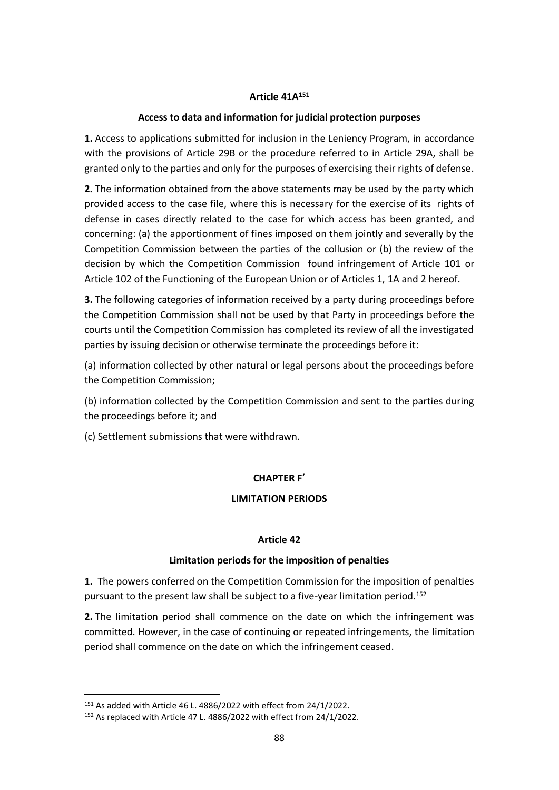## **Article 41Α 151**

## **Access to data and information for judicial protection purposes**

**1.** Access to applications submitted for inclusion in the Leniency Program, in accordance with the provisions of Article 29B or the procedure referred to in Article 29A, shall be granted only to the parties and only for the purposes of exercising their rights of defense.

**2.** The information obtained from the above statements may be used by the party which provided access to the case file, where this is necessary for the exercise of its rights of defense in cases directly related to the case for which access has been granted, and concerning: (a) the apportionment of fines imposed on them jointly and severally by the Competition Commission between the parties of the collusion or (b) the review of the decision by which the Competition Commission found infringement of Article 101 or Article 102 of the Functioning of the European Union or of Articles 1, 1A and 2 hereof.

**3.** The following categories of information received by a party during proceedings before the Competition Commission shall not be used by that Party in proceedings before the courts until the Competition Commission has completed its review of all the investigated parties by issuing decision or otherwise terminate the proceedings before it:

(a) information collected by other natural or legal persons about the proceedings before the Competition Commission;

(b) information collected by the Competition Commission and sent to the parties during the proceedings before it; and

(c) Settlement submissions that were withdrawn.

# **CHAPTER F΄**

## **LIMITATION PERIODS**

## **Article 42**

## **Limitation periods for the imposition of penalties**

**1.** The powers conferred on the Competition Commission for the imposition of penalties pursuant to the present law shall be subject to a five-year limitation period. 152

**2.** The limitation period shall commence on the date on which the infringement was committed. However, in the case of continuing or repeated infringements, the limitation period shall commence on the date on which the infringement ceased.

<sup>151</sup> As added with Article 46 L. 4886/2022 with effect from 24/1/2022.

<sup>152</sup> As replaced with Article 47 L. 4886/2022 with effect from 24/1/2022.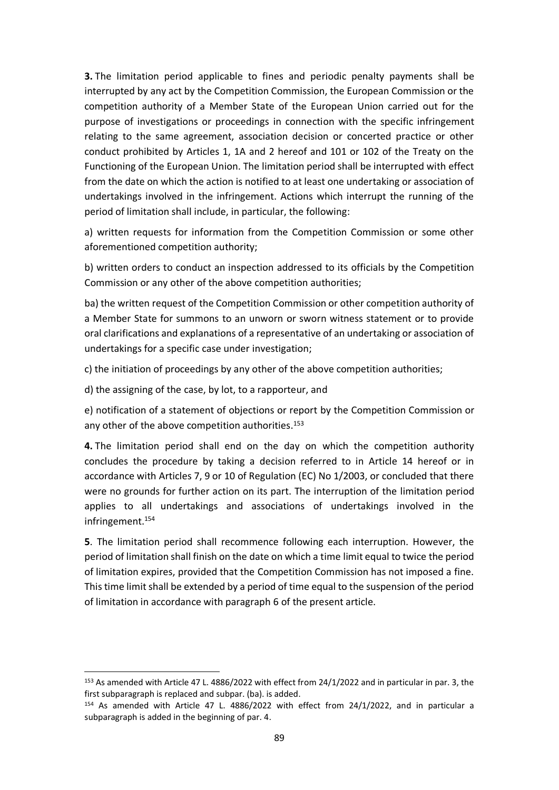**3.** The limitation period applicable to fines and periodic penalty payments shall be interrupted by any act by the Competition Commission, the European Commission or the competition authority of a Member State of the European Union carried out for the purpose of investigations or proceedings in connection with the specific infringement relating to the same agreement, association decision or concerted practice or other conduct prohibited by Articles 1, 1A and 2 hereof and 101 or 102 of the Treaty on the Functioning of the European Union. The limitation period shall be interrupted with effect from the date on which the action is notified to at least one undertaking or association of undertakings involved in the infringement. Actions which interrupt the running of the period of limitation shall include, in particular, the following:

a) written requests for information from the Competition Commission or some other aforementioned competition authority;

b) written orders to conduct an inspection addressed to its officials by the Competition Commission or any other of the above competition authorities;

ba) the written request of the Competition Commission or other competition authority of a Member State for summons to an unworn or sworn witness statement or to provide oral clarifications and explanations of a representative of an undertaking or association of undertakings for a specific case under investigation;

c) the initiation of proceedings by any other of the above competition authorities;

d) the assigning of the case, by lot, to a rapporteur, and

e) notification of a statement of objections or report by the Competition Commission or any other of the above competition authorities. 153

**4.** The limitation period shall end on the day on which the competition authority concludes the procedure by taking a decision referred to in Article 14 hereof or in accordance with Articles 7, 9 or 10 of Regulation (EC) No 1/2003, or concluded that there were no grounds for further action on its part. The interruption of the limitation period applies to all undertakings and associations of undertakings involved in the infringement. 154

**5**. The limitation period shall recommence following each interruption. However, the period of limitation shall finish on the date on which a time limit equal to twice the period of limitation expires, provided that the Competition Commission has not imposed a fine. This time limit shall be extended by a period of time equal to the suspension of the period of limitation in accordance with paragraph 6 of the present article.

<sup>153</sup> As amended with Article 47 L. 4886/2022 with effect from 24/1/2022 and in particular in par. 3, the first subparagraph is replaced and subpar. (ba). is added.

<sup>154</sup> As amended with Article 47 L. 4886/2022 with effect from 24/1/2022, and in particular a subparagraph is added in the beginning of par. 4.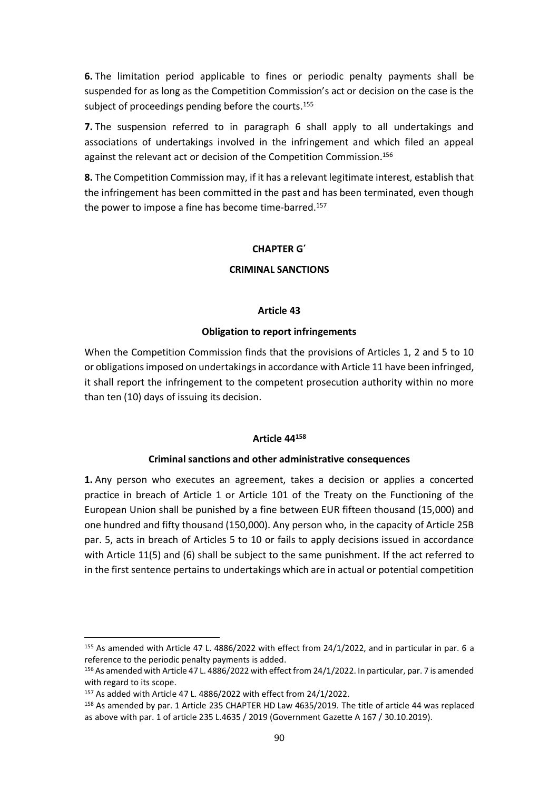**6.** The limitation period applicable to fines or periodic penalty payments shall be suspended for as long as the Competition Commission's act or decision on the case is the subject of proceedings pending before the courts.<sup>155</sup>

**7.** The suspension referred to in paragraph 6 shall apply to all undertakings and associations of undertakings involved in the infringement and which filed an appeal against the relevant act or decision of the Competition Commission. 156

**8.** The Competition Commission may, if it has a relevant legitimate interest, establish that the infringement has been committed in the past and has been terminated, even though the power to impose a fine has become time-barred. 157

## **CHAPTER G΄**

## **CRIMINAL SANCTIONS**

## **Article 43**

# **Obligation to report infringements**

When the Competition Commission finds that the provisions of Articles 1, 2 and 5 to 10 or obligations imposed on undertakings in accordance with Article 11 have been infringed, it shall report the infringement to the competent prosecution authority within no more than ten (10) days of issuing its decision.

## **Article 44<sup>158</sup>**

## **Criminal sanctions and other administrative consequences**

**1.** Any person who executes an agreement, takes a decision or applies a concerted practice in breach of Article 1 or Article 101 of the Treaty on the Functioning of the European Union shall be punished by a fine between EUR fifteen thousand (15,000) and one hundred and fifty thousand (150,000). Any person who, in the capacity of Article 25B par. 5, acts in breach of Articles 5 to 10 or fails to apply decisions issued in accordance with Article 11(5) and (6) shall be subject to the same punishment. If the act referred to in the first sentence pertains to undertakings which are in actual or potential competition

<sup>155</sup> As amended with Article 47 L. 4886/2022 with effect from 24/1/2022, and in particular in par. 6 a reference to the periodic penalty payments is added.

<sup>156</sup> As amended with Article 47 L. 4886/2022 with effect from 24/1/2022. In particular, par. 7 is amended with regard to its scope.

<sup>157</sup> As added with Article 47 L. 4886/2022 with effect from 24/1/2022.

<sup>158</sup> As amended by par. 1 Article 235 CHAPTER HD Law 4635/2019. The title of article 44 was replaced as above with par. 1 of article 235 L.4635 / 2019 (Government Gazette A 167 / 30.10.2019).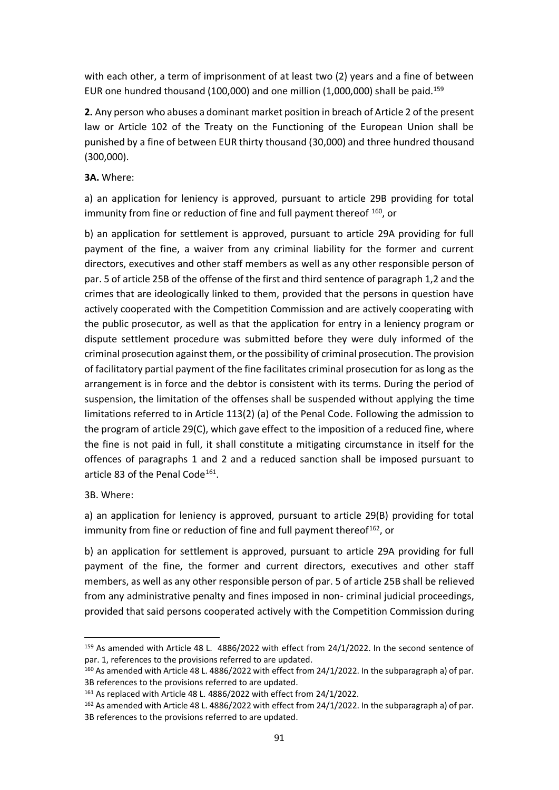with each other, a term of imprisonment of at least two (2) years and a fine of between EUR one hundred thousand (100,000) and one million (1,000,000) shall be paid.<sup>159</sup>

**2.** Any person who abuses a dominant market position in breach of Article 2 of the present law or Article 102 of the Treaty on the Functioning of the European Union shall be punished by a fine of between EUR thirty thousand (30,000) and three hundred thousand (300,000).

# **3Α.** Where:

a) an application for leniency is approved, pursuant to article 29B providing for total immunity from fine or reduction of fine and full payment thereof <sup>160</sup>, or

b) an application for settlement is approved, pursuant to article 29A providing for full payment of the fine, a waiver from any criminal liability for the former and current directors, executives and other staff members as well as any other responsible person of par. 5 of article 25B of the offense of the first and third sentence of paragraph 1,2 and the crimes that are ideologically linked to them, provided that the persons in question have actively cooperated with the Competition Commission and are actively cooperating with the public prosecutor, as well as that the application for entry in a leniency program or dispute settlement procedure was submitted before they were duly informed of the criminal prosecution against them, or the possibility of criminal prosecution. The provision of facilitatory partial payment of the fine facilitates criminal prosecution for as long as the arrangement is in force and the debtor is consistent with its terms. During the period of suspension, the limitation of the offenses shall be suspended without applying the time limitations referred to in Article 113(2) (a) of the Penal Code. Following the admission to the program of article 29(C), which gave effect to the imposition of a reduced fine, where the fine is not paid in full, it shall constitute a mitigating circumstance in itself for the offences of paragraphs 1 and 2 and a reduced sanction shall be imposed pursuant to article 83 of the Penal Code<sup>161</sup>.

3B. Where:

a) an application for leniency is approved, pursuant to article 29(B) providing for total immunity from fine or reduction of fine and full payment thereof<sup>162</sup>, or

b) an application for settlement is approved, pursuant to article 29A providing for full payment of the fine, the former and current directors, executives and other staff members, as well as any other responsible person of par. 5 of article 25B shall be relieved from any administrative penalty and fines imposed in non- criminal judicial proceedings, provided that said persons cooperated actively with the Competition Commission during

<sup>159</sup> As amended with Article 48 L. 4886/2022 with effect from 24/1/2022. In the second sentence of par. 1, references to the provisions referred to are updated.

<sup>&</sup>lt;sup>160</sup> As amended with Article 48 L. 4886/2022 with effect from 24/1/2022. In the subparagraph a) of par. 3B references to the provisions referred to are updated.

<sup>161</sup> As replaced with Article 48 L. 4886/2022 with effect from 24/1/2022.

<sup>162</sup> As amended with Article 48 L. 4886/2022 with effect from 24/1/2022. In the subparagraph a) of par. 3B references to the provisions referred to are updated.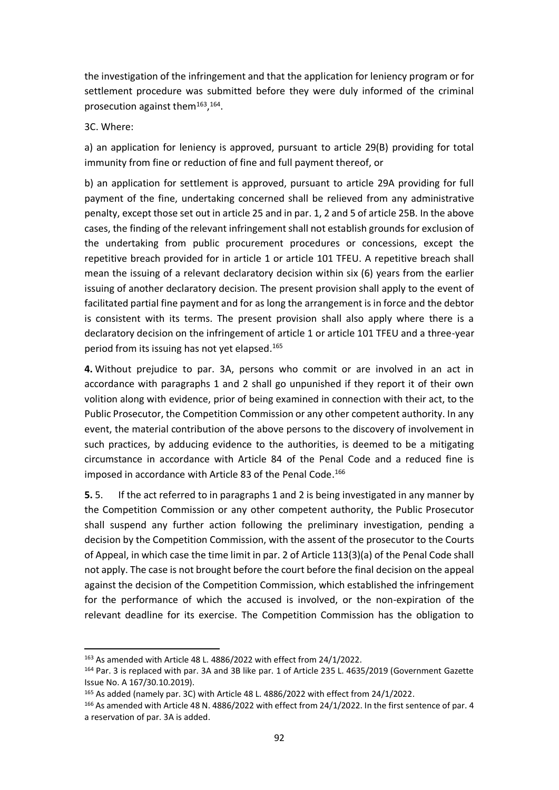the investigation of the infringement and that the application for leniency program or for settlement procedure was submitted before they were duly informed of the criminal prosecution against them<sup>163</sup>, <sup>164</sup>.

#### 3C. Where:

a) an application for leniency is approved, pursuant to article 29(B) providing for total immunity from fine or reduction of fine and full payment thereof, or

b) an application for settlement is approved, pursuant to article 29A providing for full payment of the fine, undertaking concerned shall be relieved from any administrative penalty, except those set out in article 25 and in par. 1, 2 and 5 of article 25B. In the above cases, the finding of the relevant infringement shall not establish grounds for exclusion of the undertaking from public procurement procedures or concessions, except the repetitive breach provided for in article 1 or article 101 TFEU. A repetitive breach shall mean the issuing of a relevant declaratory decision within six (6) years from the earlier issuing of another declaratory decision. The present provision shall apply to the event of facilitated partial fine payment and for as long the arrangement is in force and the debtor is consistent with its terms. The present provision shall also apply where there is a declaratory decision on the infringement of article 1 or article 101 TFEU and a three-year period from its issuing has not yet elapsed. 165

**4.** Without prejudice to par. 3A, persons who commit or are involved in an act in accordance with paragraphs 1 and 2 shall go unpunished if they report it of their own volition along with evidence, prior of being examined in connection with their act, to the Public Prosecutor, the Competition Commission or any other competent authority. In any event, the material contribution of the above persons to the discovery of involvement in such practices, by adducing evidence to the authorities, is deemed to be a mitigating circumstance in accordance with Article 84 of the Penal Code and a reduced fine is imposed in accordance with Article 83 of the Penal Code.<sup>166</sup>

**5.** 5. If the act referred to in paragraphs 1 and 2 is being investigated in any manner by the Competition Commission or any other competent authority, the Public Prosecutor shall suspend any further action following the preliminary investigation, pending a decision by the Competition Commission, with the assent of the prosecutor to the Courts of Appeal, in which case the time limit in par. 2 of Article 113(3)(a) of the Penal Code shall not apply. The case is not brought before the court before the final decision on the appeal against the decision of the Competition Commission, which established the infringement for the performance of which the accused is involved, or the non-expiration of the relevant deadline for its exercise. The Competition Commission has the obligation to

<sup>163</sup> As amended with Article 48 L. 4886/2022 with effect from 24/1/2022.

<sup>164</sup> Par. 3 is replaced with par. 3A and 3B like par. 1 of Article 235 L. 4635/2019 (Government Gazette Issue No. Α 167/30.10.2019).

<sup>165</sup> As added (namely par. 3C) with Article 48 L. 4886/2022 with effect from 24/1/2022.

<sup>166</sup> As amended with Article 48 N. 4886/2022 with effect from 24/1/2022. In the first sentence of par. 4 a reservation of par. 3A is added.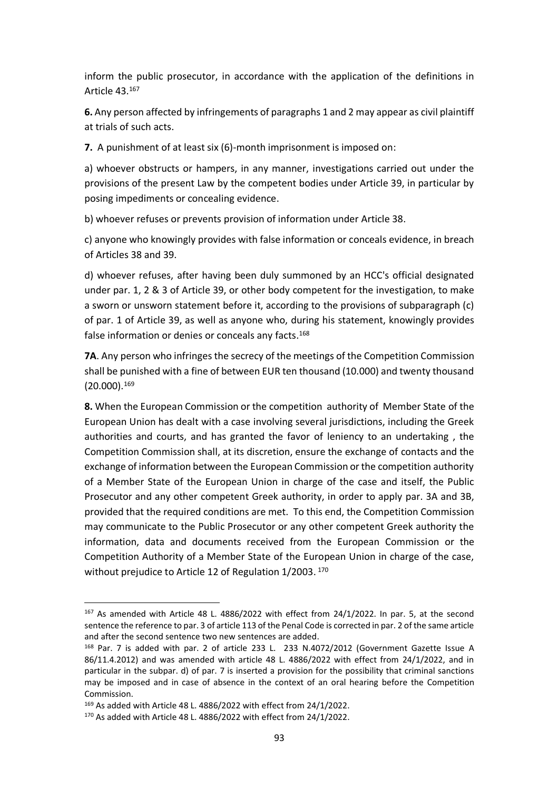inform the public prosecutor, in accordance with the application of the definitions in Article 43. 167

**6.** Any person affected by infringements of paragraphs 1 and 2 may appear as civil plaintiff at trials of such acts.

**7.** A punishment of at least six (6)-month imprisonment is imposed on:

a) whoever obstructs or hampers, in any manner, investigations carried out under the provisions of the present Law by the competent bodies under Article 39, in particular by posing impediments or concealing evidence.

b) whoever refuses or prevents provision of information under Article 38.

c) anyone who knowingly provides with false information or conceals evidence, in breach of Articles 38 and 39.

d) whoever refuses, after having been duly summoned by an HCC's official designated under par. 1, 2 & 3 of Article 39, or other body competent for the investigation, to make a sworn or unsworn statement before it, according to the provisions of subparagraph (c) of par. 1 of Article 39, as well as anyone who, during his statement, knowingly provides false information or denies or conceals any facts.<sup>168</sup>

**7Α**. Any person who infringes the secrecy of the meetings of the Competition Commission shall be punished with a fine of between EUR ten thousand (10.000) and twenty thousand (20.000). 169

**8.** When the European Commission or the competition authority of Member State of the European Union has dealt with a case involving several jurisdictions, including the Greek authorities and courts, and has granted the favor of leniency to an undertaking , the Competition Commission shall, at its discretion, ensure the exchange of contacts and the exchange of information between the European Commission or the competition authority of a Member State of the European Union in charge of the case and itself, the Public Prosecutor and any other competent Greek authority, in order to apply par. 3A and 3B, provided that the required conditions are met. To this end, the Competition Commission may communicate to the Public Prosecutor or any other competent Greek authority the information, data and documents received from the European Commission or the Competition Authority of a Member State of the European Union in charge of the case, without prejudice to Article 12 of Regulation 1/2003. <sup>170</sup>

<sup>167</sup> As amended with Article 48 L. 4886/2022 with effect from 24/1/2022. In par. 5, at the second sentence the reference to par. 3 of article 113 of the Penal Code is corrected in par. 2 of the same article and after the second sentence two new sentences are added.

<sup>168</sup> Par. 7 is added with par. 2 of article 233 L. 233 Ν.4072/2012 (Government Gazette Issue Α 86/11.4.2012) and was amended with article 48 L. 4886/2022 with effect from 24/1/2022, and in particular in the subpar. d) of par. 7 is inserted a provision for the possibility that criminal sanctions may be imposed and in case of absence in the context of an oral hearing before the Competition Commission.

<sup>169</sup> As added with Article 48 L. 4886/2022 with effect from 24/1/2022.

<sup>170</sup> As added with Article 48 L. 4886/2022 with effect from 24/1/2022.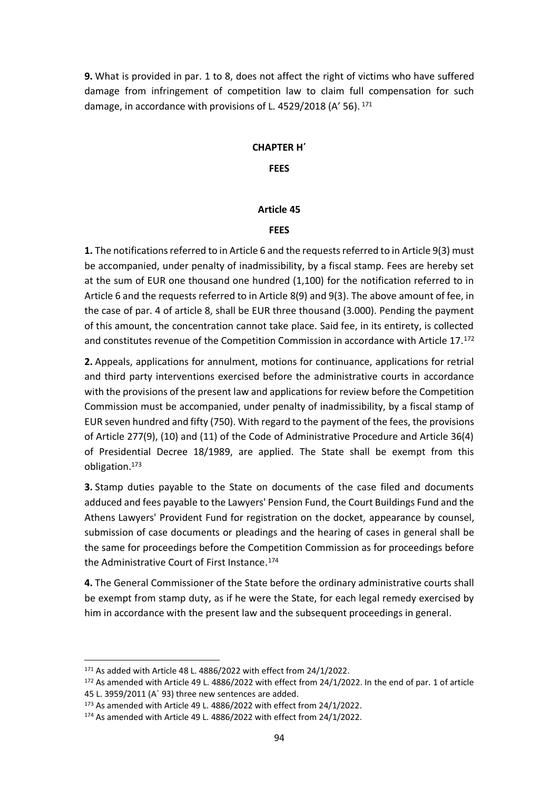**9.** What is provided in par. 1 to 8, does not affect the right of victims who have suffered damage from infringement of competition law to claim full compensation for such damage, in accordance with provisions of L. 4529/2018 (A' 56). <sup>171</sup>

# **CHAPTER Η΄**

## **FEES**

# **Article 45**

# **FEES**

**1.** The notifications referred to in Article 6 and the requests referred to in Article 9(3) must be accompanied, under penalty of inadmissibility, by a fiscal stamp. Fees are hereby set at the sum of EUR one thousand one hundred (1,100) for the notification referred to in Article 6 and the requests referred to in Article 8(9) and 9(3). The above amount of fee, in the case of par. 4 of article 8, shall be EUR three thousand (3.000). Pending the payment of this amount, the concentration cannot take place. Said fee, in its entirety, is collected and constitutes revenue of the Competition Commission in accordance with Article 17. 172

**2.** Appeals, applications for annulment, motions for continuance, applications for retrial and third party interventions exercised before the administrative courts in accordance with the provisions of the present law and applications for review before the Competition Commission must be accompanied, under penalty of inadmissibility, by a fiscal stamp of EUR seven hundred and fifty (750). With regard to the payment of the fees, the provisions of Article 277(9), (10) and (11) of the Code of Administrative Procedure and Article 36(4) of Presidential Decree 18/1989, are applied. The State shall be exempt from this obligation. 173

**3.** Stamp duties payable to the State on documents of the case filed and documents adduced and fees payable to the Lawyers' Pension Fund, the Court Buildings Fund and the Athens Lawyers' Provident Fund for registration on the docket, appearance by counsel, submission of case documents or pleadings and the hearing of cases in general shall be the same for proceedings before the Competition Commission as for proceedings before the Administrative Court of First Instance. 174

**4.** The General Commissioner of the State before the ordinary administrative courts shall be exempt from stamp duty, as if he were the State, for each legal remedy exercised by him in accordance with the present law and the subsequent proceedings in general.

<sup>171</sup> As added with Article 48 L. 4886/2022 with effect from 24/1/2022.

<sup>172</sup> As amended with Article 49 L. 4886/2022 with effect from 24/1/2022. In the end of par. 1 of article 45 L. 3959/2011 (Α΄ 93) three new sentences are added.

<sup>173</sup> As amended with Article 49 L. 4886/2022 with effect from 24/1/2022.

<sup>&</sup>lt;sup>174</sup> As amended with Article 49 L. 4886/2022 with effect from 24/1/2022.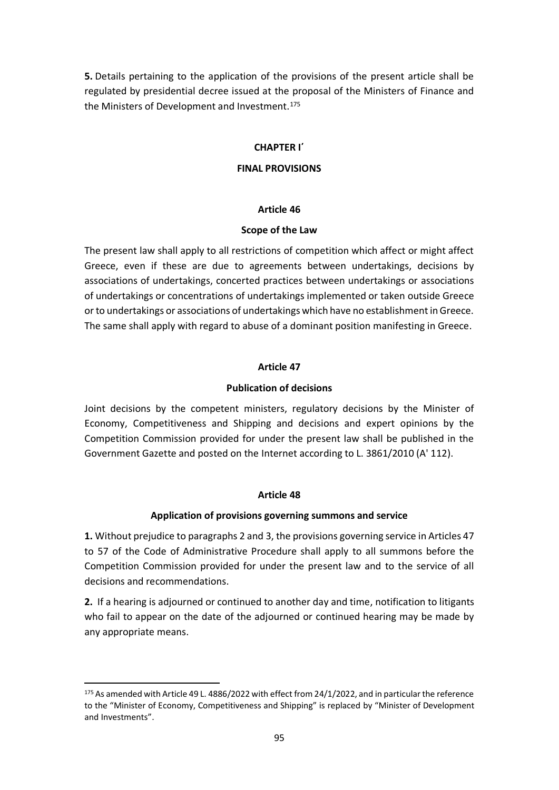**5.** Details pertaining to the application of the provisions of the present article shall be regulated by presidential decree issued at the proposal of the Ministers of Finance and the Ministers of Development and Investment. 175

#### **CHAPTER I΄**

#### **FINAL PROVISIONS**

#### **Article 46**

#### **Scope of the Law**

The present law shall apply to all restrictions of competition which affect or might affect Greece, even if these are due to agreements between undertakings, decisions by associations of undertakings, concerted practices between undertakings or associations of undertakings or concentrations of undertakings implemented or taken outside Greece or to undertakings or associations of undertakings which have no establishment in Greece. The same shall apply with regard to abuse of a dominant position manifesting in Greece.

## **Article 47**

## **Publication of decisions**

Joint decisions by the competent ministers, regulatory decisions by the Minister of Economy, Competitiveness and Shipping and decisions and expert opinions by the Competition Commission provided for under the present law shall be published in the Government Gazette and posted on the Internet according to L. 3861/2010 (A' 112).

## **Article 48**

## **Application of provisions governing summons and service**

**1.** Without prejudice to paragraphs 2 and 3, the provisions governing service in Articles 47 to 57 of the Code of Administrative Procedure shall apply to all summons before the Competition Commission provided for under the present law and to the service of all decisions and recommendations.

**2.** If a hearing is adjourned or continued to another day and time, notification to litigants who fail to appear on the date of the adjourned or continued hearing may be made by any appropriate means.

<sup>175</sup> As amended with Article 49 L. 4886/2022 with effect from 24/1/2022, and in particular the reference to the "Minister of Economy, Competitiveness and Shipping" is replaced by "Minister of Development and Investments".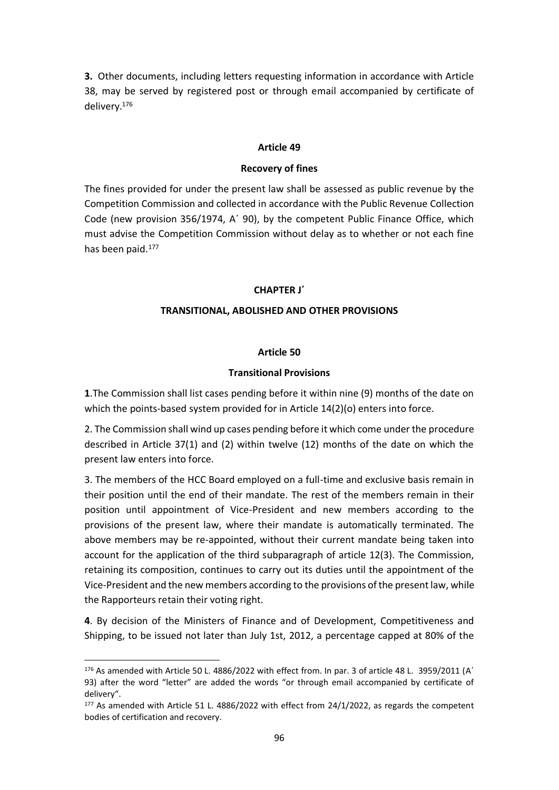**3.** Other documents, including letters requesting information in accordance with Article 38, may be served by registered post or through email accompanied by certificate of delivery. 176

#### **Article 49**

#### **Recovery of fines**

The fines provided for under the present law shall be assessed as public revenue by the Competition Commission and collected in accordance with the Public Revenue Collection Code (new provision 356/1974, Α΄ 90), by the competent Public Finance Office, which must advise the Competition Commission without delay as to whether or not each fine has been paid. 177

#### **CHAPTER J΄**

#### **TRANSITIONAL, ABOLISHED AND OTHER PROVISIONS**

#### **Article 50**

#### **Transitional Provisions**

**1**.The Commission shall list cases pending before it within nine (9) months of the date on which the points-based system provided for in Article 14(2)(o) enters into force.

2. The Commission shall wind up cases pending before it which come under the procedure described in Article 37(1) and (2) within twelve (12) months of the date on which the present law enters into force.

3. The members of the HCC Board employed on a full-time and exclusive basis remain in their position until the end of their mandate. The rest of the members remain in their position until appointment of Vice-President and new members according to the provisions of the present law, where their mandate is automatically terminated. The above members may be re-appointed, without their current mandate being taken into account for the application of the third subparagraph of article 12(3). The Commission, retaining its composition, continues to carry out its duties until the appointment of the Vice-President and the new members according to the provisions of the present law, while the Rapporteurs retain their voting right.

**4**. By decision of the Ministers of Finance and of Development, Competitiveness and Shipping, to be issued not later than July 1st, 2012, a percentage capped at 80% of the

<sup>176</sup> As amended with Article 50 L. 4886/2022 with effect from. In par. 3 of article 48 L. 3959/2011 (Α΄ 93) after the word "letter" are added the words "or through email accompanied by certificate of delivery".

<sup>177</sup> As amended with Article 51 L. 4886/2022 with effect from 24/1/2022, as regards the competent bodies of certification and recovery.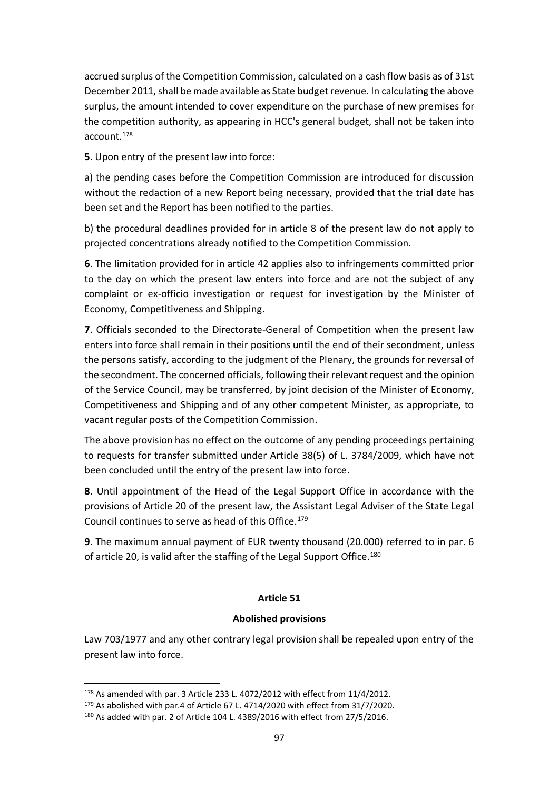accrued surplus of the Competition Commission, calculated on a cash flow basis as of 31st December 2011, shall be made available as State budget revenue. In calculating the above surplus, the amount intended to cover expenditure on the purchase of new premises for the competition authority, as appearing in HCC's general budget, shall not be taken into account. 178

**5**. Upon entry of the present law into force:

a) the pending cases before the Competition Commission are introduced for discussion without the redaction of a new Report being necessary, provided that the trial date has been set and the Report has been notified to the parties.

b) the procedural deadlines provided for in article 8 of the present law do not apply to projected concentrations already notified to the Competition Commission.

**6**. The limitation provided for in article 42 applies also to infringements committed prior to the day on which the present law enters into force and are not the subject of any complaint or ex-officio investigation or request for investigation by the Minister of Economy, Competitiveness and Shipping.

**7**. Officials seconded to the Directorate-General of Competition when the present law enters into force shall remain in their positions until the end of their secondment, unless the persons satisfy, according to the judgment of the Plenary, the grounds for reversal of the secondment. The concerned officials, following their relevant request and the opinion of the Service Council, may be transferred, by joint decision of the Minister of Economy, Competitiveness and Shipping and of any other competent Minister, as appropriate, to vacant regular posts of the Competition Commission.

The above provision has no effect on the outcome of any pending proceedings pertaining to requests for transfer submitted under Article 38(5) of L. 3784/2009, which have not been concluded until the entry of the present law into force.

**8**. Until appointment of the Head of the Legal Support Office in accordance with the provisions of Article 20 of the present law, the Assistant Legal Adviser of the State Legal Council continues to serve as head of this Office. 179

**9**. The maximum annual payment of EUR twenty thousand (20.000) referred to in par. 6 of article 20, is valid after the staffing of the Legal Support Office.<sup>180</sup>

# **Article 51**

## **Abolished provisions**

Law 703/1977 and any other contrary legal provision shall be repealed upon entry of the present law into force.

<sup>178</sup> As amended with par. 3 Article 233 L. 4072/2012 with effect from 11/4/2012.

<sup>179</sup> As abolished with par.4 of Article 67 L. 4714/2020 with effect from 31/7/2020.

<sup>180</sup> As added with par. 2 of Article 104 L. 4389/2016 with effect from 27/5/2016.